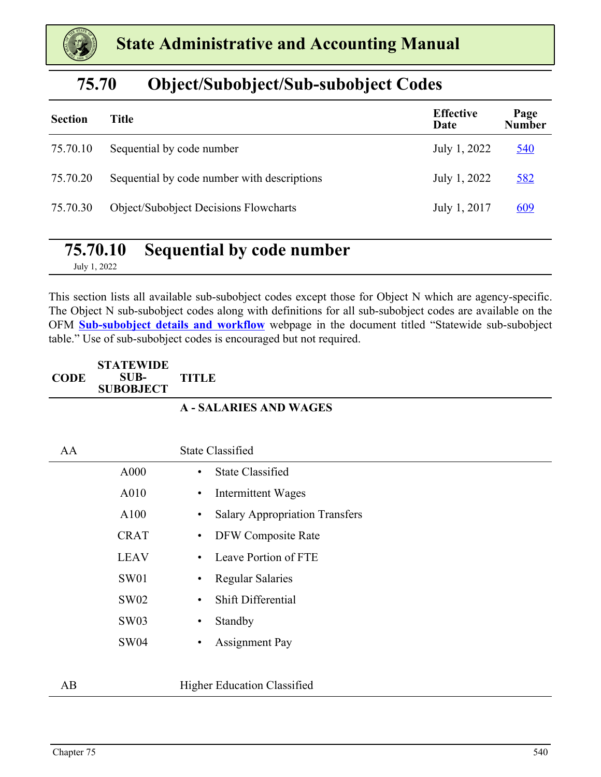

### **75.70 Object/Subobject/Sub-subobject Codes**

| <b>Section</b> | Title                                        | <b>Effective</b><br>Date | Page<br><b>Number</b> |
|----------------|----------------------------------------------|--------------------------|-----------------------|
| 75.70.10       | Sequential by code number                    | July 1, 2022             | <u>540</u>            |
| 75.70.20       | Sequential by code number with descriptions  | July 1, 2022             | 582                   |
| 75.70.30       | <b>Object/Subobject Decisions Flowcharts</b> | July 1, 2017             | <u>609</u>            |

### **75.70.10 Sequential by code number**

July 1, 2022

This section lists all available sub-subobject codes except those for Object N which are agency-specific. The Object N sub-subobject codes along with definitions for all sub-subobject codes are available on the OFM **[Sub-subobject details and workflow](https://ofm.wa.gov/accounting/saam/sub-subobject-details-and-workflow)** webpage in the document titled "Statewide sub-subobject table." Use of sub-subobject codes is encouraged but not required.

#### **CODE STATEWIDE SUB-SUBOBJECT TITLE**

#### **A - SALARIES AND WAGES**

| AA |             | <b>State Classified</b>                            |
|----|-------------|----------------------------------------------------|
|    | A000        | <b>State Classified</b><br>$\bullet$               |
|    | A010        | Intermittent Wages<br>$\bullet$                    |
|    | A100        | <b>Salary Appropriation Transfers</b><br>$\bullet$ |
|    | <b>CRAT</b> | DFW Composite Rate<br>$\bullet$                    |
|    | <b>LEAV</b> | Leave Portion of FTE<br>$\bullet$                  |
|    | <b>SW01</b> | <b>Regular Salaries</b><br>٠                       |
|    | <b>SW02</b> | Shift Differential<br>$\bullet$                    |
|    | <b>SW03</b> | Standby<br>$\bullet$                               |
|    | <b>SW04</b> | <b>Assignment Pay</b><br>$\bullet$                 |
|    |             |                                                    |
| AB |             | <b>Higher Education Classified</b>                 |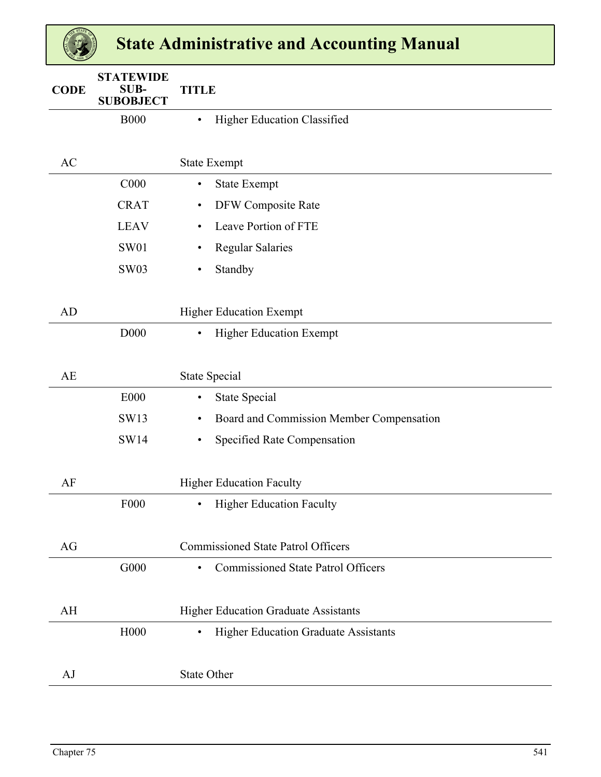| <b>CODE</b> | <b>STATEWIDE</b><br>SUB-<br><b>SUBOBJECT</b> | <b>TITLE</b>                                             |
|-------------|----------------------------------------------|----------------------------------------------------------|
|             | <b>B000</b>                                  | Higher Education Classified<br>$\bullet$                 |
|             |                                              |                                                          |
| AC          |                                              | <b>State Exempt</b>                                      |
|             | C000                                         | <b>State Exempt</b><br>$\bullet$                         |
|             | <b>CRAT</b>                                  | DFW Composite Rate<br>٠                                  |
|             | <b>LEAV</b>                                  | Leave Portion of FTE<br>$\bullet$                        |
|             | <b>SW01</b>                                  | <b>Regular Salaries</b><br>٠                             |
|             | <b>SW03</b>                                  | Standby<br>$\bullet$                                     |
|             |                                              |                                                          |
| AD          |                                              | <b>Higher Education Exempt</b>                           |
|             | D000                                         | <b>Higher Education Exempt</b><br>$\bullet$              |
|             |                                              |                                                          |
| AE          |                                              | <b>State Special</b>                                     |
|             | <b>E000</b>                                  | <b>State Special</b><br>$\bullet$                        |
|             | SW13                                         | Board and Commission Member Compensation<br>$\bullet$    |
|             | SW14                                         | Specified Rate Compensation<br>$\bullet$                 |
|             |                                              |                                                          |
| AF          |                                              | <b>Higher Education Faculty</b>                          |
|             | F <sub>000</sub>                             | <b>Higher Education Faculty</b>                          |
|             |                                              |                                                          |
| AG          |                                              | <b>Commissioned State Patrol Officers</b>                |
|             | G000                                         | <b>Commissioned State Patrol Officers</b><br>$\bullet$   |
|             |                                              |                                                          |
| AH          |                                              | <b>Higher Education Graduate Assistants</b>              |
|             | H000                                         | <b>Higher Education Graduate Assistants</b><br>$\bullet$ |
|             |                                              |                                                          |
| AJ          |                                              | <b>State Other</b>                                       |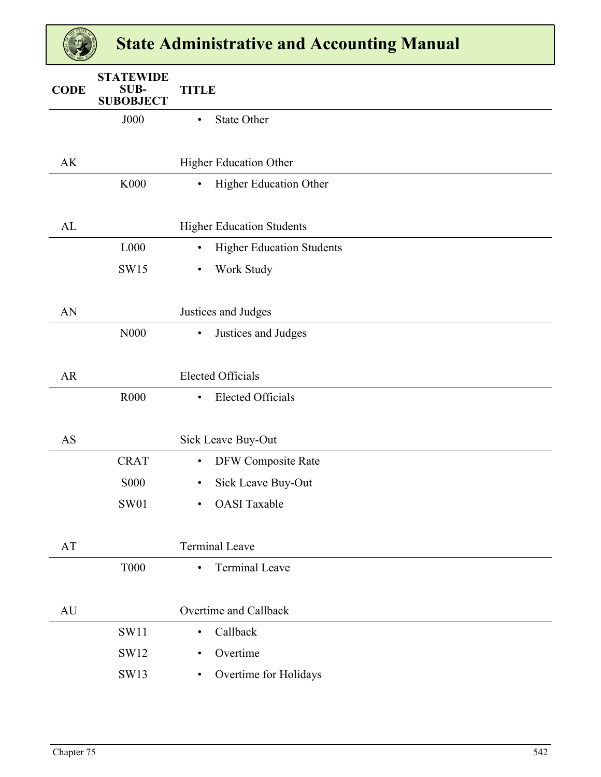| <b>CODE</b>            | <b>STATEWIDE</b><br>SUB-<br><b>SUBOBJECT</b> | <b>TITLE</b>                                  |
|------------------------|----------------------------------------------|-----------------------------------------------|
|                        | <b>J000</b>                                  | <b>State Other</b><br>$\bullet$               |
|                        |                                              |                                               |
| AK                     |                                              | Higher Education Other                        |
|                        | K000                                         | Higher Education Other<br>$\bullet$           |
|                        |                                              |                                               |
| AL                     |                                              | <b>Higher Education Students</b>              |
|                        | L000                                         | <b>Higher Education Students</b><br>$\bullet$ |
|                        | <b>SW15</b>                                  | Work Study<br>$\bullet$                       |
|                        |                                              |                                               |
| AN                     |                                              | Justices and Judges                           |
|                        | N000                                         | Justices and Judges<br>$\bullet$              |
|                        |                                              |                                               |
| AR                     |                                              | <b>Elected Officials</b>                      |
|                        | R <sub>000</sub>                             | <b>Elected Officials</b><br>$\bullet$         |
|                        |                                              |                                               |
| <b>AS</b>              |                                              | Sick Leave Buy-Out                            |
|                        | <b>CRAT</b>                                  | DFW Composite Rate<br>$\bullet$               |
|                        | <b>S000</b>                                  | Sick Leave Buy-Out<br>$\bullet$               |
|                        | SW01                                         | <b>OASI</b> Taxable                           |
|                        |                                              |                                               |
| $\mathbf{A}\mathbf{T}$ |                                              | <b>Terminal Leave</b>                         |
|                        | <b>T000</b>                                  | <b>Terminal Leave</b><br>$\bullet$            |
|                        |                                              |                                               |
| AU                     |                                              | Overtime and Callback                         |
|                        | <b>SW11</b>                                  | Callback<br>$\bullet$                         |
|                        | SW12                                         | Overtime<br>$\bullet$                         |
|                        | SW13                                         | Overtime for Holidays<br>$\bullet$            |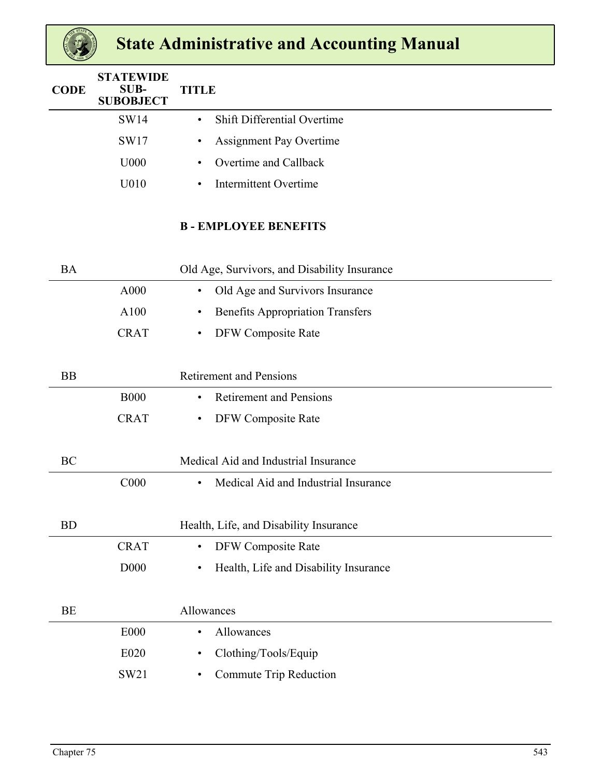| <b>CODE</b> | <b>STATEWIDE</b><br>SUB-<br><b>SUBOBJECT</b> | <b>TITLE</b>                                         |
|-------------|----------------------------------------------|------------------------------------------------------|
|             | <b>SW14</b>                                  | Shift Differential Overtime<br>$\bullet$             |
|             | SW17                                         | <b>Assignment Pay Overtime</b><br>$\bullet$          |
|             | U000                                         | Overtime and Callback<br>$\bullet$                   |
|             | U010                                         | <b>Intermittent Overtime</b><br>$\bullet$            |
|             |                                              | <b>B-EMPLOYEE BENEFITS</b>                           |
| <b>BA</b>   |                                              | Old Age, Survivors, and Disability Insurance         |
|             | A000                                         | Old Age and Survivors Insurance<br>$\bullet$         |
|             | A100                                         | <b>Benefits Appropriation Transfers</b><br>$\bullet$ |
|             | <b>CRAT</b>                                  | DFW Composite Rate<br>$\bullet$                      |
|             |                                              |                                                      |
| <b>BB</b>   |                                              | <b>Retirement and Pensions</b>                       |
|             | <b>B000</b>                                  | <b>Retirement and Pensions</b><br>$\bullet$          |
|             | <b>CRAT</b>                                  | DFW Composite Rate<br>$\bullet$                      |
|             |                                              |                                                      |
| BC          |                                              | Medical Aid and Industrial Insurance                 |
|             | C000                                         | Medical Aid and Industrial Insurance<br>$\bullet$    |
|             |                                              |                                                      |
| <b>BD</b>   |                                              | Health, Life, and Disability Insurance               |
|             | <b>CRAT</b>                                  | <b>DFW Composite Rate</b><br>$\bullet$               |
|             | D <sub>00</sub>                              | Health, Life and Disability Insurance<br>$\bullet$   |
|             |                                              |                                                      |
| <b>BE</b>   |                                              | Allowances                                           |
|             | <b>E000</b>                                  | Allowances<br>$\bullet$                              |
|             | E020                                         | Clothing/Tools/Equip<br>٠                            |
|             | SW21                                         | Commute Trip Reduction<br>$\bullet$                  |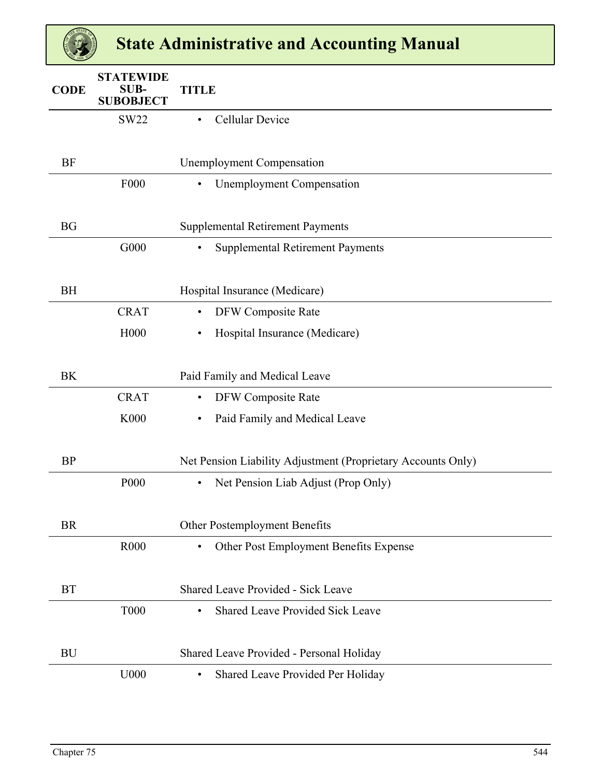| <b>CODE</b> | <b>STATEWIDE</b><br><b>SUB-</b><br><b>SUBOBJECT</b> | <b>TITLE</b>                                                 |
|-------------|-----------------------------------------------------|--------------------------------------------------------------|
|             | <b>SW22</b>                                         | <b>Cellular Device</b><br>$\bullet$                          |
|             |                                                     |                                                              |
| <b>BF</b>   |                                                     | <b>Unemployment Compensation</b>                             |
|             | F000                                                | <b>Unemployment Compensation</b><br>$\bullet$                |
|             |                                                     |                                                              |
| <b>BG</b>   |                                                     | <b>Supplemental Retirement Payments</b>                      |
|             | G000                                                | <b>Supplemental Retirement Payments</b><br>$\bullet$         |
|             |                                                     |                                                              |
| <b>BH</b>   |                                                     | Hospital Insurance (Medicare)                                |
|             | <b>CRAT</b>                                         | DFW Composite Rate<br>$\bullet$                              |
|             | H000                                                | Hospital Insurance (Medicare)<br>$\bullet$                   |
|             |                                                     |                                                              |
| <b>BK</b>   |                                                     | Paid Family and Medical Leave                                |
|             | <b>CRAT</b>                                         | DFW Composite Rate<br>$\bullet$                              |
|             | K000                                                | Paid Family and Medical Leave<br>$\bullet$                   |
|             |                                                     |                                                              |
| <b>BP</b>   |                                                     | Net Pension Liability Adjustment (Proprietary Accounts Only) |
|             | P <sub>00</sub>                                     | Net Pension Liab Adjust (Prop Only)<br>$\bullet$             |
|             |                                                     |                                                              |
| <b>BR</b>   |                                                     | Other Postemployment Benefits                                |
|             | R <sub>000</sub>                                    | Other Post Employment Benefits Expense<br>$\bullet$          |
|             |                                                     |                                                              |
| <b>BT</b>   |                                                     | <b>Shared Leave Provided - Sick Leave</b>                    |
|             | <b>T000</b>                                         | <b>Shared Leave Provided Sick Leave</b><br>$\bullet$         |
|             |                                                     |                                                              |
| <b>BU</b>   |                                                     | Shared Leave Provided - Personal Holiday                     |
|             | U000                                                | Shared Leave Provided Per Holiday<br>$\bullet$               |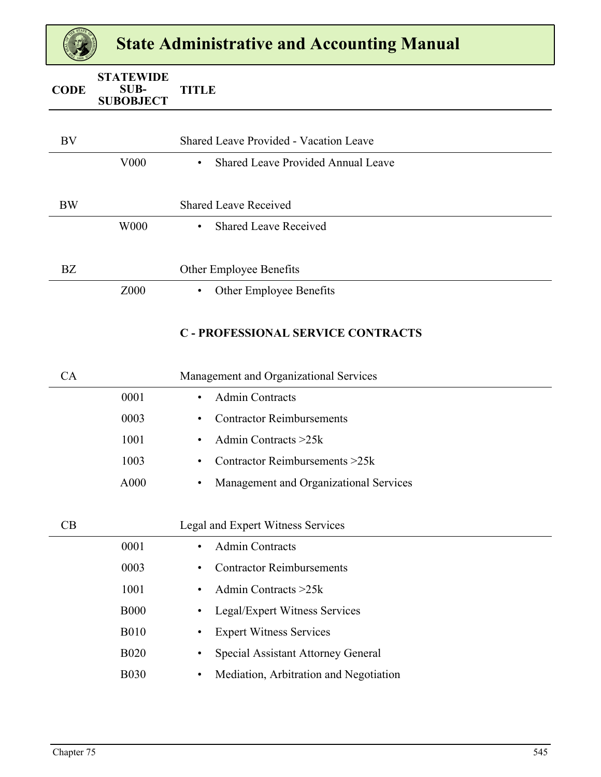| <b>CODE</b> | <b>STATEWIDE</b><br>SUB-<br><b>SUBOBJECT</b> | <b>TITLE</b>                                           |
|-------------|----------------------------------------------|--------------------------------------------------------|
|             |                                              |                                                        |
| BV          |                                              | <b>Shared Leave Provided - Vacation Leave</b>          |
|             | V <sub>00</sub>                              | <b>Shared Leave Provided Annual Leave</b><br>$\bullet$ |
|             |                                              |                                                        |
| <b>BW</b>   |                                              | <b>Shared Leave Received</b>                           |
|             | W000                                         | <b>Shared Leave Received</b><br>$\bullet$              |
|             |                                              |                                                        |
| BZ          |                                              | Other Employee Benefits                                |
|             | Z000                                         | Other Employee Benefits<br>$\bullet$                   |
|             |                                              |                                                        |

#### **C - PROFESSIONAL SERVICE CONTRACTS**

| СA |      | Management and Organizational Services        |  |
|----|------|-----------------------------------------------|--|
|    | 0001 | <b>Admin Contracts</b><br>$\bullet$           |  |
|    | 0003 | <b>Contractor Reimbursements</b><br>$\bullet$ |  |
|    | 1001 | Admin Contracts $>25k$                        |  |
|    | 1003 | Contractor Reimbursements $>25k$              |  |
|    | A000 | Management and Organizational Services<br>٠   |  |
|    |      |                                               |  |

| CB |             | Legal and Expert Witness Services                   |  |
|----|-------------|-----------------------------------------------------|--|
|    | 0001        | <b>Admin Contracts</b><br>$\bullet$                 |  |
|    | 0003        | <b>Contractor Reimbursements</b><br>٠               |  |
|    | 1001        | Admin Contracts $>25k$<br>$\bullet$                 |  |
|    | <b>B000</b> | Legal/Expert Witness Services<br>$\bullet$          |  |
|    | <b>B010</b> | <b>Expert Witness Services</b><br>٠                 |  |
|    | <b>B020</b> | Special Assistant Attorney General<br>٠             |  |
|    | <b>B030</b> | Mediation, Arbitration and Negotiation<br>$\bullet$ |  |
|    |             |                                                     |  |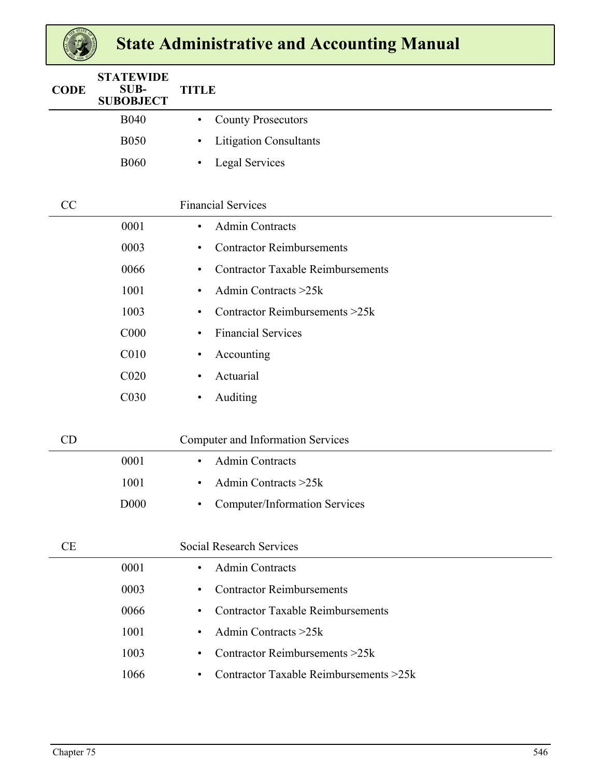| <b>CODE</b> | <b>STATEWIDE</b><br><b>SUB-</b><br><b>SUBOBJECT</b> | <b>TITLE</b>                                          |
|-------------|-----------------------------------------------------|-------------------------------------------------------|
|             | <b>B040</b>                                         | <b>County Prosecutors</b><br>$\bullet$                |
|             | <b>B050</b>                                         | <b>Litigation Consultants</b><br>$\bullet$            |
|             | <b>B060</b>                                         | <b>Legal Services</b><br>$\bullet$                    |
|             |                                                     |                                                       |
| CC          |                                                     | <b>Financial Services</b>                             |
|             | 0001                                                | <b>Admin Contracts</b><br>$\bullet$                   |
|             | 0003                                                | <b>Contractor Reimbursements</b><br>$\bullet$         |
|             | 0066                                                | <b>Contractor Taxable Reimbursements</b><br>$\bullet$ |
|             | 1001                                                | Admin Contracts > 25k<br>$\bullet$                    |
|             | 1003                                                | Contractor Reimbursements >25k<br>$\bullet$           |
|             | C <sub>000</sub>                                    | <b>Financial Services</b><br>$\bullet$                |
|             | C010                                                | Accounting<br>$\bullet$                               |
|             | C <sub>020</sub>                                    | Actuarial<br>$\bullet$                                |
|             | C030                                                | Auditing<br>$\bullet$                                 |
|             |                                                     |                                                       |
| CD          |                                                     | Computer and Information Services                     |
|             | 0001                                                | <b>Admin Contracts</b><br>$\bullet$                   |
|             | 1001                                                | Admin Contracts > 25k<br>$\bullet$                    |
|             | D <sub>00</sub>                                     | <b>Computer/Information Services</b><br>٠             |
|             |                                                     |                                                       |
| <b>CE</b>   |                                                     | <b>Social Research Services</b>                       |
|             | 0001                                                | <b>Admin Contracts</b><br>$\bullet$                   |
|             | 0003                                                | <b>Contractor Reimbursements</b><br>$\bullet$         |
|             | 0066                                                | <b>Contractor Taxable Reimbursements</b><br>$\bullet$ |
|             | 1001                                                | Admin Contracts > 25k<br>$\bullet$                    |
|             | 1003                                                | Contractor Reimbursements > 25k<br>$\bullet$          |
|             | 1066                                                | Contractor Taxable Reimbursements >25k<br>$\bullet$   |
|             |                                                     |                                                       |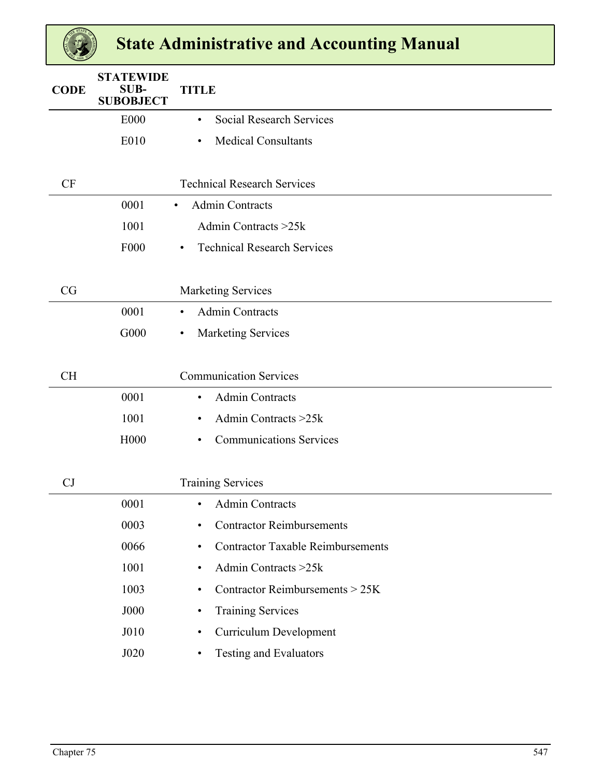| <b>CODE</b> | <b>STATEWIDE</b><br><b>SUB-</b><br><b>SUBOBJECT</b> | <b>TITLE</b>                                          |
|-------------|-----------------------------------------------------|-------------------------------------------------------|
|             | <b>E000</b>                                         | <b>Social Research Services</b><br>$\bullet$          |
|             | E010                                                | <b>Medical Consultants</b><br>$\bullet$               |
|             |                                                     |                                                       |
| <b>CF</b>   |                                                     | <b>Technical Research Services</b>                    |
|             | 0001                                                | <b>Admin Contracts</b><br>$\bullet$                   |
|             | 1001                                                | Admin Contracts >25k                                  |
|             | F <sub>000</sub>                                    | <b>Technical Research Services</b><br>$\bullet$       |
|             |                                                     |                                                       |
| CG          |                                                     | <b>Marketing Services</b>                             |
|             | 0001                                                | <b>Admin Contracts</b><br>$\bullet$                   |
|             | G000                                                | <b>Marketing Services</b><br>$\bullet$                |
|             |                                                     |                                                       |
| <b>CH</b>   |                                                     | <b>Communication Services</b>                         |
|             | 0001                                                | <b>Admin Contracts</b><br>$\bullet$                   |
|             | 1001                                                | Admin Contracts >25k<br>$\bullet$                     |
|             |                                                     |                                                       |
|             | H000                                                | <b>Communications Services</b><br>$\bullet$           |
|             |                                                     |                                                       |
| CJ          |                                                     | <b>Training Services</b>                              |
|             | 0001                                                | <b>Admin Contracts</b><br>$\bullet$                   |
|             | 0003                                                | <b>Contractor Reimbursements</b><br>$\bullet$         |
|             | 0066                                                | <b>Contractor Taxable Reimbursements</b><br>$\bullet$ |
|             | 1001                                                | Admin Contracts > 25k<br>$\bullet$                    |
|             | 1003                                                | Contractor Reimbursements > 25K<br>$\bullet$          |
|             | <b>J000</b>                                         | <b>Training Services</b><br>$\bullet$                 |
|             | J010                                                | <b>Curriculum Development</b><br>$\bullet$            |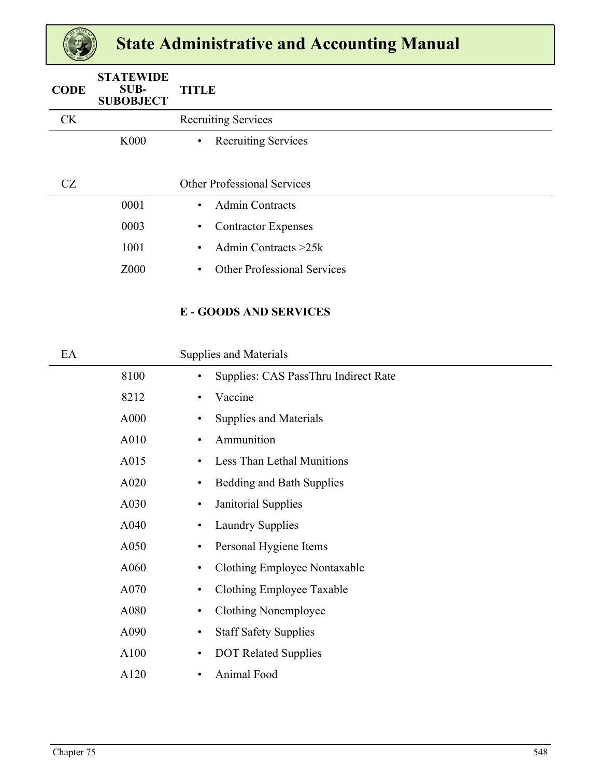| <b>CODE</b> | <b>STATEWIDE</b><br>$SUB-$<br><b>SUBOBJECT</b> | <b>TITLE</b>                                    |
|-------------|------------------------------------------------|-------------------------------------------------|
| <b>CK</b>   |                                                | <b>Recruiting Services</b>                      |
|             | <b>K000</b>                                    | <b>Recruiting Services</b><br>$\bullet$         |
|             |                                                |                                                 |
| CZ          |                                                | <b>Other Professional Services</b>              |
|             | 0001                                           | <b>Admin Contracts</b><br>$\bullet$             |
|             | 0003                                           | <b>Contractor Expenses</b><br>$\bullet$         |
|             | 1001                                           | Admin Contracts $>25k$<br>$\bullet$             |
|             | Z000                                           | <b>Other Professional Services</b><br>$\bullet$ |

### **E - GOODS AND SERVICES**

| EA |      | <b>Supplies and Materials</b>                     |  |
|----|------|---------------------------------------------------|--|
|    | 8100 | Supplies: CAS PassThru Indirect Rate<br>$\bullet$ |  |
|    | 8212 | Vaccine<br>$\bullet$                              |  |
|    | A000 | Supplies and Materials<br>$\bullet$               |  |
|    | A010 | Ammunition<br>$\bullet$                           |  |
|    | A015 | Less Than Lethal Munitions<br>٠                   |  |
|    | A020 | Bedding and Bath Supplies<br>$\bullet$            |  |
|    | A030 | Janitorial Supplies<br>$\bullet$                  |  |
|    | A040 | <b>Laundry Supplies</b><br>$\bullet$              |  |
|    | A050 | Personal Hygiene Items<br>$\bullet$               |  |
|    | A060 | Clothing Employee Nontaxable<br>$\bullet$         |  |
|    | A070 | Clothing Employee Taxable<br>$\bullet$            |  |
|    | A080 | Clothing Nonemployee<br>$\bullet$                 |  |
|    | A090 | <b>Staff Safety Supplies</b><br>$\bullet$         |  |
|    | A100 | <b>DOT Related Supplies</b><br>$\bullet$          |  |
|    | A120 | Animal Food<br>$\bullet$                          |  |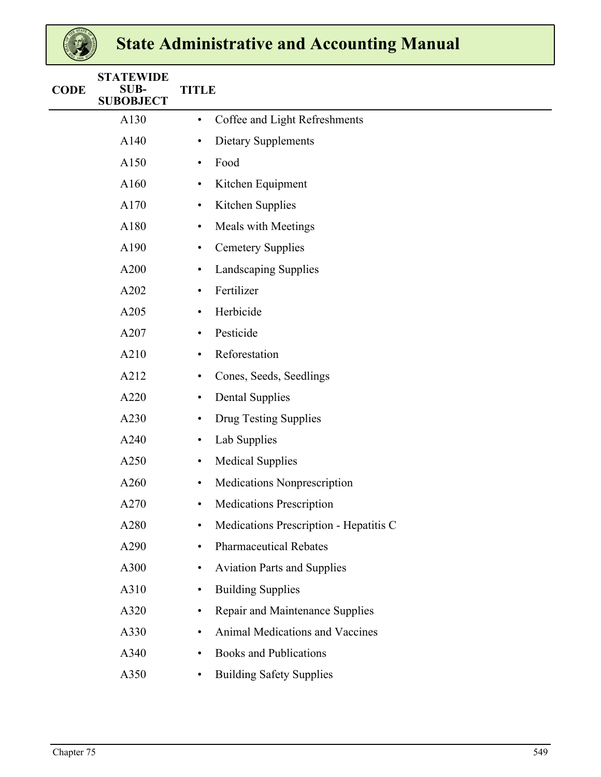| <b>CODE</b> | <b>STATEWIDE</b><br><b>SUB-</b><br><b>SUBOBJECT</b> | <b>TITLE</b>                                    |  |  |  |  |  |  |  |  |  |
|-------------|-----------------------------------------------------|-------------------------------------------------|--|--|--|--|--|--|--|--|--|
|             | A130                                                | Coffee and Light Refreshments<br>$\bullet$      |  |  |  |  |  |  |  |  |  |
|             | A140                                                | Dietary Supplements<br>٠                        |  |  |  |  |  |  |  |  |  |
|             | A150                                                | Food<br>$\bullet$                               |  |  |  |  |  |  |  |  |  |
|             | A160                                                | Kitchen Equipment<br>٠                          |  |  |  |  |  |  |  |  |  |
|             | A170                                                | Kitchen Supplies<br>٠                           |  |  |  |  |  |  |  |  |  |
|             | A180                                                | <b>Meals with Meetings</b><br>٠                 |  |  |  |  |  |  |  |  |  |
|             | A190                                                | <b>Cemetery Supplies</b><br>$\bullet$           |  |  |  |  |  |  |  |  |  |
|             | A200                                                | Landscaping Supplies<br>٠                       |  |  |  |  |  |  |  |  |  |
|             | A202                                                | Fertilizer<br>$\bullet$                         |  |  |  |  |  |  |  |  |  |
|             | A205                                                | Herbicide<br>$\bullet$                          |  |  |  |  |  |  |  |  |  |
|             | A207                                                | Pesticide<br>$\bullet$                          |  |  |  |  |  |  |  |  |  |
|             | A210                                                | Reforestation<br>٠                              |  |  |  |  |  |  |  |  |  |
|             | A212                                                | Cones, Seeds, Seedlings<br>$\bullet$            |  |  |  |  |  |  |  |  |  |
|             | A220                                                | <b>Dental Supplies</b><br>$\bullet$             |  |  |  |  |  |  |  |  |  |
|             | A230                                                | Drug Testing Supplies<br>$\bullet$              |  |  |  |  |  |  |  |  |  |
|             | A240                                                | Lab Supplies<br>$\bullet$                       |  |  |  |  |  |  |  |  |  |
|             | A250                                                | <b>Medical Supplies</b><br>$\bullet$            |  |  |  |  |  |  |  |  |  |
|             | A260                                                | Medications Nonprescription<br>$\bullet$        |  |  |  |  |  |  |  |  |  |
|             | A270                                                | <b>Medications Prescription</b><br>$\bullet$    |  |  |  |  |  |  |  |  |  |
|             | A280                                                | Medications Prescription - Hepatitis C<br>٠     |  |  |  |  |  |  |  |  |  |
|             | A290                                                | <b>Pharmaceutical Rebates</b><br>٠              |  |  |  |  |  |  |  |  |  |
|             | A300                                                | <b>Aviation Parts and Supplies</b><br>$\bullet$ |  |  |  |  |  |  |  |  |  |
|             | A310                                                | <b>Building Supplies</b><br>$\bullet$           |  |  |  |  |  |  |  |  |  |
|             | A320                                                | Repair and Maintenance Supplies<br>$\bullet$    |  |  |  |  |  |  |  |  |  |
|             | A330                                                | Animal Medications and Vaccines<br>$\bullet$    |  |  |  |  |  |  |  |  |  |
|             | A340                                                | <b>Books and Publications</b><br>$\bullet$      |  |  |  |  |  |  |  |  |  |
|             | A350                                                | <b>Building Safety Supplies</b><br>$\bullet$    |  |  |  |  |  |  |  |  |  |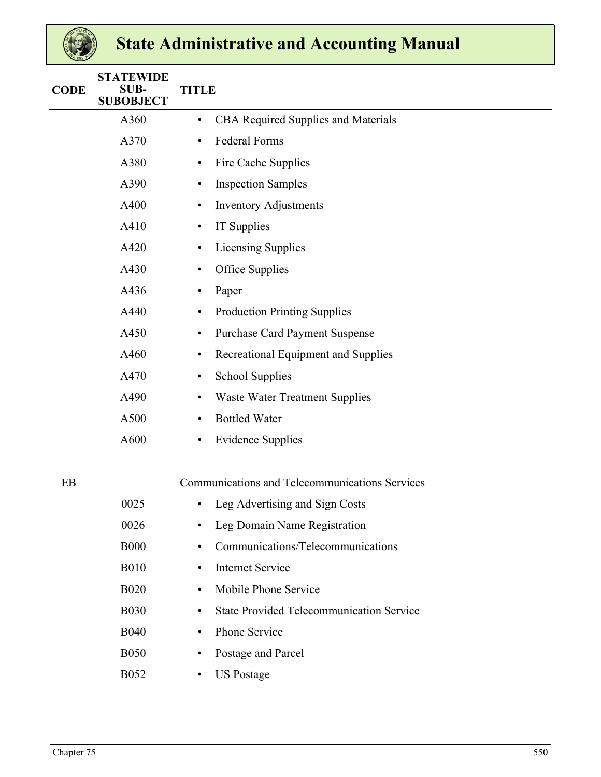| <b>CODE</b> | <b>STATEWIDE</b><br>SUB-<br><b>SUBOBJECT</b> | <b>TITLE</b>                                                 |
|-------------|----------------------------------------------|--------------------------------------------------------------|
|             | A360                                         | <b>CBA Required Supplies and Materials</b><br>$\bullet$      |
|             | A370                                         | <b>Federal Forms</b><br>$\bullet$                            |
|             | A380                                         | Fire Cache Supplies<br>$\bullet$                             |
|             | A390                                         | <b>Inspection Samples</b><br>$\bullet$                       |
|             | A400                                         | <b>Inventory Adjustments</b><br>$\bullet$                    |
|             | A410                                         | IT Supplies<br>$\bullet$                                     |
|             | A420                                         | <b>Licensing Supplies</b><br>$\bullet$                       |
|             | A430                                         | Office Supplies<br>٠                                         |
|             | A436                                         | Paper<br>$\bullet$                                           |
|             | A440                                         | <b>Production Printing Supplies</b><br>$\bullet$             |
|             | A450                                         | <b>Purchase Card Payment Suspense</b><br>$\bullet$           |
|             | A460                                         | Recreational Equipment and Supplies<br>$\bullet$             |
|             | A470                                         | <b>School Supplies</b><br>$\bullet$                          |
|             | A490                                         | <b>Waste Water Treatment Supplies</b><br>٠                   |
|             | A500                                         | <b>Bottled Water</b><br>$\bullet$                            |
|             | A600                                         | <b>Evidence Supplies</b><br>$\bullet$                        |
|             |                                              |                                                              |
| EB          |                                              | Communications and Telecommunications Services               |
|             | 0025                                         | Leg Advertising and Sign Costs                               |
|             | 0026                                         | Leg Domain Name Registration<br>٠                            |
|             | <b>B000</b>                                  | Communications/Telecommunications<br>$\bullet$               |
|             | <b>B010</b>                                  | <b>Internet Service</b><br>$\bullet$                         |
|             | <b>B020</b>                                  | Mobile Phone Service<br>$\bullet$                            |
|             | <b>B030</b>                                  | <b>State Provided Telecommunication Service</b><br>$\bullet$ |

- B040 Phone Service
- B050 Postage and Parcel
- B052 US Postage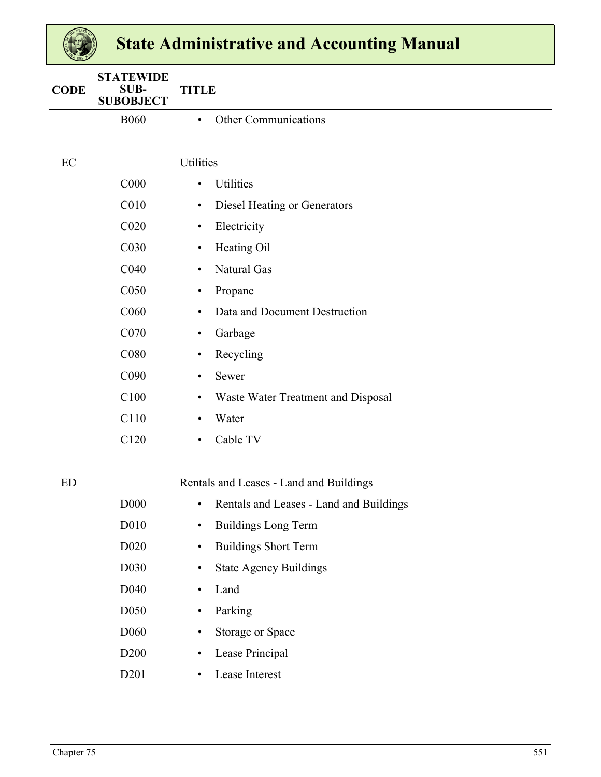| 2889        |                                              |                                                      |
|-------------|----------------------------------------------|------------------------------------------------------|
| <b>CODE</b> | <b>STATEWIDE</b><br>SUB-<br><b>SUBOBJECT</b> | <b>TITLE</b>                                         |
|             | <b>B060</b>                                  | <b>Other Communications</b><br>$\bullet$             |
|             |                                              |                                                      |
| EC          |                                              | Utilities                                            |
|             | C <sub>000</sub>                             | <b>Utilities</b><br>$\bullet$                        |
|             | C010                                         | Diesel Heating or Generators<br>$\bullet$            |
|             | C <sub>020</sub>                             | Electricity<br>$\bullet$                             |
|             | C030                                         | Heating Oil<br>$\bullet$                             |
|             | C040                                         | Natural Gas<br>$\bullet$                             |
|             | C050                                         | Propane<br>$\bullet$                                 |
|             | C060                                         | Data and Document Destruction<br>$\bullet$           |
|             | C070                                         | Garbage<br>$\bullet$                                 |
|             | C080                                         | Recycling<br>$\bullet$                               |
|             | C090                                         | Sewer<br>$\bullet$                                   |
|             | C100                                         | Waste Water Treatment and Disposal<br>$\bullet$      |
|             | C110                                         | Water<br>$\bullet$                                   |
|             | C120                                         | Cable TV<br>$\bullet$                                |
| <b>ED</b>   |                                              | Rentals and Leases - Land and Buildings              |
|             | D <sub>00</sub>                              | Rentals and Leases - Land and Buildings<br>$\bullet$ |
|             | D010                                         | <b>Buildings Long Term</b><br>$\bullet$              |
|             | D <sub>0</sub> 20                            | <b>Buildings Short Term</b><br>$\bullet$             |
|             | D030                                         | <b>State Agency Buildings</b><br>$\bullet$           |
|             | D040                                         | Land<br>$\bullet$                                    |
|             | D050                                         | Parking<br>$\bullet$                                 |
|             | D <sub>060</sub>                             | Storage or Space<br>$\bullet$                        |
|             | D <sub>200</sub>                             | Lease Principal<br>$\bullet$                         |
|             | D201                                         | Lease Interest<br>$\bullet$                          |
|             |                                              |                                                      |

 $\left( \frac{1}{2} \right)$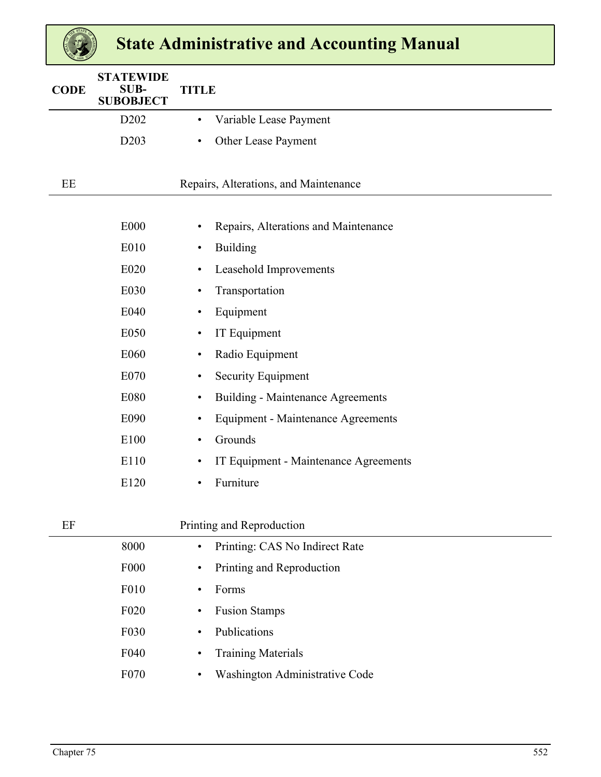| <b>CODE</b> | <b>STATEWIDE</b><br><b>SUB-</b><br><b>SUBOBJECT</b> | <b>TITLE</b>                                           |
|-------------|-----------------------------------------------------|--------------------------------------------------------|
|             | D <sub>2</sub> 0 <sub>2</sub>                       | Variable Lease Payment<br>$\bullet$                    |
|             | D <sub>203</sub>                                    | Other Lease Payment<br>$\bullet$                       |
|             |                                                     |                                                        |
| EE          |                                                     | Repairs, Alterations, and Maintenance                  |
|             |                                                     |                                                        |
|             | <b>E000</b>                                         | Repairs, Alterations and Maintenance<br>$\bullet$      |
|             | E010                                                | <b>Building</b><br>$\bullet$                           |
|             | E020                                                | Leasehold Improvements<br>$\bullet$                    |
|             | E030                                                | Transportation<br>$\bullet$                            |
|             | E040                                                | Equipment<br>$\bullet$                                 |
|             | E050                                                | IT Equipment<br>$\bullet$                              |
|             | E060                                                | Radio Equipment<br>$\bullet$                           |
|             | E070                                                | <b>Security Equipment</b><br>$\bullet$                 |
|             | E080                                                | <b>Building - Maintenance Agreements</b><br>$\bullet$  |
|             | E090                                                | <b>Equipment - Maintenance Agreements</b><br>$\bullet$ |
|             | E100                                                | Grounds<br>$\bullet$                                   |
|             | E110                                                | IT Equipment - Maintenance Agreements<br>$\bullet$     |
|             | E120                                                | Furniture<br>$\bullet$                                 |
|             |                                                     |                                                        |

| EF |                   | Printing and Reproduction                   |  |
|----|-------------------|---------------------------------------------|--|
|    | 8000              | Printing: CAS No Indirect Rate<br>$\bullet$ |  |
|    | <b>F000</b>       | Printing and Reproduction<br>$\bullet$      |  |
|    | F010              | Forms<br>$\bullet$                          |  |
|    | F <sub>020</sub>  | <b>Fusion Stamps</b><br>$\bullet$           |  |
|    | F <sub>0</sub> 30 | Publications<br>$\bullet$                   |  |
|    | F <sub>040</sub>  | <b>Training Materials</b><br>٠              |  |
|    | F <sub>070</sub>  | Washington Administrative Code<br>٠         |  |
|    |                   |                                             |  |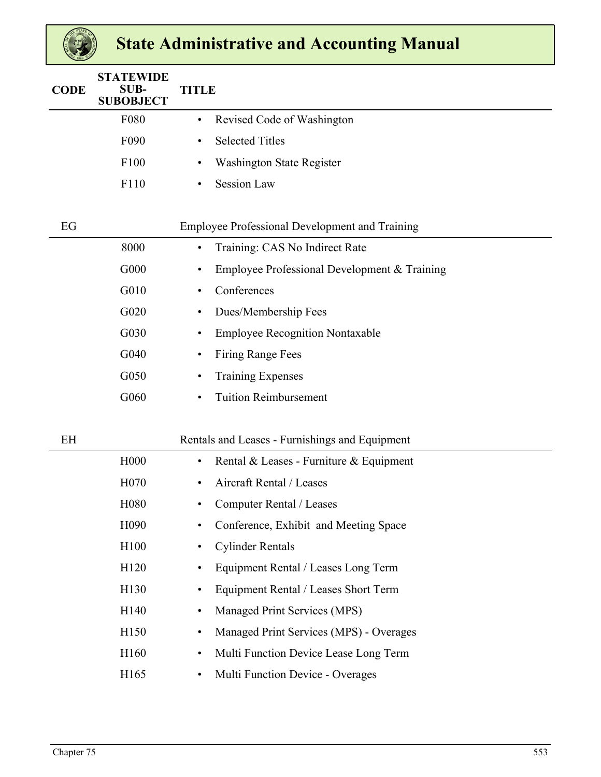| <b>CODE</b> | <b>STATEWIDE</b><br><b>SUB-</b><br><b>SUBOBJECT</b> | <b>TITLE</b>                                          |
|-------------|-----------------------------------------------------|-------------------------------------------------------|
|             | F080                                                | Revised Code of Washington<br>٠                       |
|             | F090                                                | <b>Selected Titles</b><br>٠                           |
|             | F100                                                | Washington State Register<br>$\bullet$                |
|             | F110                                                | <b>Session Law</b><br>$\bullet$                       |
|             |                                                     |                                                       |
| EG          |                                                     | <b>Employee Professional Development and Training</b> |
|             | 8000                                                | Training: CAS No Indirect Rate<br>٠                   |
|             | G000                                                | Employee Professional Development $&$ Training<br>٠   |
|             | G010                                                | Conferences<br>$\bullet$                              |
|             | G020                                                | Dues/Membership Fees<br>٠                             |
|             | G030                                                | <b>Employee Recognition Nontaxable</b><br>٠           |
|             | G040                                                | <b>Firing Range Fees</b><br>٠                         |
|             | G050                                                | <b>Training Expenses</b><br>٠                         |
|             | G060                                                | <b>Tuition Reimbursement</b><br>$\bullet$             |
|             |                                                     |                                                       |
| EH          |                                                     | Rentals and Leases - Furnishings and Equipment        |
|             | H <sub>000</sub>                                    | Rental & Leases - Furniture & Equipment<br>$\bullet$  |
|             | H <sub>0</sub> 70                                   | Aircraft Rental / Leases                              |
|             | H080                                                | Computer Rental / Leases                              |
|             | H <sub>090</sub>                                    | Conference, Exhibit and Meeting Space<br>$\bullet$    |
|             | H100                                                | <b>Cylinder Rentals</b><br>٠                          |
|             | H120                                                | Equipment Rental / Leases Long Term<br>$\bullet$      |
|             | H130                                                | Equipment Rental / Leases Short Term<br>$\bullet$     |
|             | H140                                                | Managed Print Services (MPS)<br>٠                     |
|             | H150                                                | Managed Print Services (MPS) - Overages<br>$\bullet$  |
|             | H160                                                | Multi Function Device Lease Long Term<br>$\bullet$    |
|             | H165                                                | Multi Function Device - Overages<br>$\bullet$         |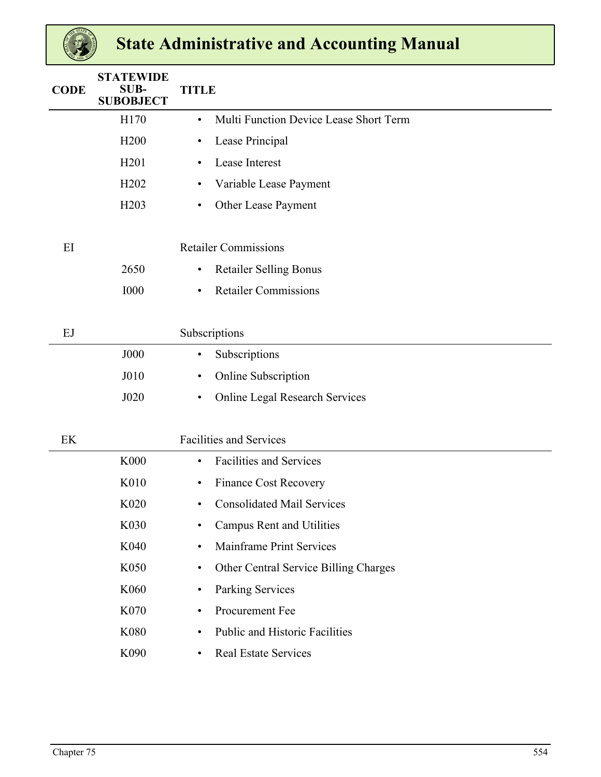| <b>CODE</b> | <b>STATEWIDE</b><br><b>SUB-</b><br><b>SUBOBJECT</b> | <b>TITLE</b> |                                        |  |  |  |  |  |  |  |  |  |
|-------------|-----------------------------------------------------|--------------|----------------------------------------|--|--|--|--|--|--|--|--|--|
|             | H170                                                | $\bullet$    | Multi Function Device Lease Short Term |  |  |  |  |  |  |  |  |  |
|             | H <sub>200</sub>                                    | $\bullet$    | Lease Principal                        |  |  |  |  |  |  |  |  |  |
|             | H <sub>201</sub>                                    | $\bullet$    | Lease Interest                         |  |  |  |  |  |  |  |  |  |
|             | H <sub>202</sub>                                    | $\bullet$    | Variable Lease Payment                 |  |  |  |  |  |  |  |  |  |
|             | H <sub>203</sub>                                    | $\bullet$    | Other Lease Payment                    |  |  |  |  |  |  |  |  |  |
| EI          |                                                     |              | <b>Retailer Commissions</b>            |  |  |  |  |  |  |  |  |  |
|             | 2650                                                | $\bullet$    | <b>Retailer Selling Bonus</b>          |  |  |  |  |  |  |  |  |  |
|             | <b>I000</b>                                         | $\bullet$    | <b>Retailer Commissions</b>            |  |  |  |  |  |  |  |  |  |
| EJ          |                                                     |              | Subscriptions                          |  |  |  |  |  |  |  |  |  |
|             | <b>J000</b>                                         | $\bullet$    | Subscriptions                          |  |  |  |  |  |  |  |  |  |
|             | J010                                                | $\bullet$    | Online Subscription                    |  |  |  |  |  |  |  |  |  |
|             | J020                                                | $\bullet$    | Online Legal Research Services         |  |  |  |  |  |  |  |  |  |
| EK          |                                                     |              | <b>Facilities and Services</b>         |  |  |  |  |  |  |  |  |  |
|             | <b>K000</b>                                         | $\bullet$    | <b>Facilities and Services</b>         |  |  |  |  |  |  |  |  |  |
|             | K010                                                | $\bullet$    | <b>Finance Cost Recovery</b>           |  |  |  |  |  |  |  |  |  |
|             | K020                                                | ٠            | <b>Consolidated Mail Services</b>      |  |  |  |  |  |  |  |  |  |
|             | K030                                                | $\bullet$    | <b>Campus Rent and Utilities</b>       |  |  |  |  |  |  |  |  |  |
|             | K040                                                | $\bullet$    | Mainframe Print Services               |  |  |  |  |  |  |  |  |  |
|             | K050                                                | $\bullet$    | Other Central Service Billing Charges  |  |  |  |  |  |  |  |  |  |
|             | K060                                                | $\bullet$    | <b>Parking Services</b>                |  |  |  |  |  |  |  |  |  |
|             | K070                                                | $\bullet$    | Procurement Fee                        |  |  |  |  |  |  |  |  |  |
|             | K080                                                | ٠            | Public and Historic Facilities         |  |  |  |  |  |  |  |  |  |
|             | K090                                                | $\bullet$    | Real Estate Services                   |  |  |  |  |  |  |  |  |  |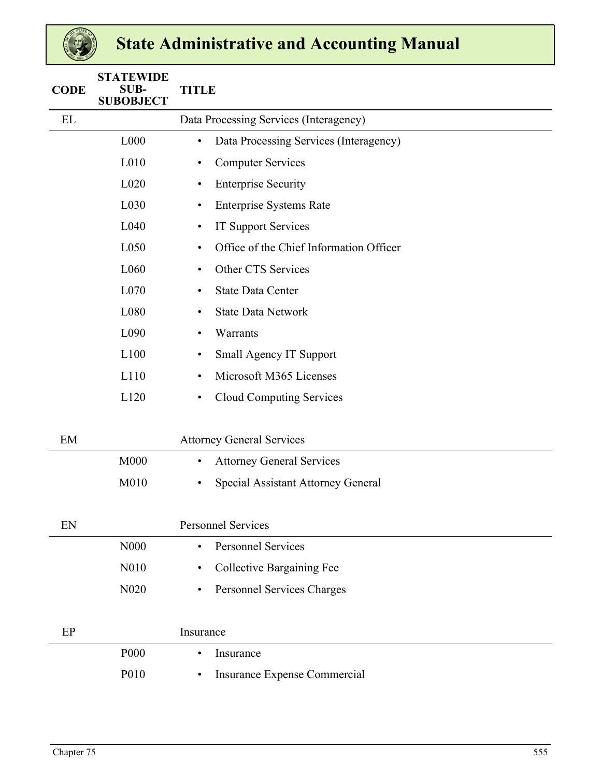| <b>CODE</b> | <b>STATEWIDE</b><br><b>SUB-</b><br><b>SUBOBJECT</b> | <b>TITLE</b>                                         |  |  |  |  |  |  |  |  |
|-------------|-----------------------------------------------------|------------------------------------------------------|--|--|--|--|--|--|--|--|
| EL          |                                                     | Data Processing Services (Interagency)               |  |  |  |  |  |  |  |  |
|             | L000                                                | Data Processing Services (Interagency)<br>$\bullet$  |  |  |  |  |  |  |  |  |
|             | L010                                                | <b>Computer Services</b><br>$\bullet$                |  |  |  |  |  |  |  |  |
|             | L020                                                | <b>Enterprise Security</b><br>$\bullet$              |  |  |  |  |  |  |  |  |
|             | L030                                                | <b>Enterprise Systems Rate</b><br>$\bullet$          |  |  |  |  |  |  |  |  |
|             | L040                                                | <b>IT Support Services</b><br>$\bullet$              |  |  |  |  |  |  |  |  |
|             | L050                                                | Office of the Chief Information Officer<br>$\bullet$ |  |  |  |  |  |  |  |  |
|             | L060                                                | Other CTS Services<br>$\bullet$                      |  |  |  |  |  |  |  |  |
|             | L070                                                | <b>State Data Center</b><br>$\bullet$                |  |  |  |  |  |  |  |  |
|             | L080                                                | <b>State Data Network</b><br>$\bullet$               |  |  |  |  |  |  |  |  |
|             | L090                                                | Warrants<br>$\bullet$                                |  |  |  |  |  |  |  |  |
|             | L100                                                | <b>Small Agency IT Support</b><br>$\bullet$          |  |  |  |  |  |  |  |  |
|             | L110                                                | Microsoft M365 Licenses<br>$\bullet$                 |  |  |  |  |  |  |  |  |
|             | L120                                                | <b>Cloud Computing Services</b><br>$\bullet$         |  |  |  |  |  |  |  |  |
| EM          |                                                     | <b>Attorney General Services</b>                     |  |  |  |  |  |  |  |  |
|             | <b>M000</b>                                         | <b>Attorney General Services</b><br>$\bullet$        |  |  |  |  |  |  |  |  |
|             | M010                                                | Special Assistant Attorney General<br>$\bullet$      |  |  |  |  |  |  |  |  |
| EN          |                                                     | <b>Personnel Services</b>                            |  |  |  |  |  |  |  |  |
|             | N000                                                | <b>Personnel Services</b><br>$\bullet$               |  |  |  |  |  |  |  |  |
|             | N010                                                | <b>Collective Bargaining Fee</b><br>$\bullet$        |  |  |  |  |  |  |  |  |
|             | N020                                                | Personnel Services Charges<br>$\bullet$              |  |  |  |  |  |  |  |  |
| EP          |                                                     | Insurance                                            |  |  |  |  |  |  |  |  |
|             | P000                                                | Insurance<br>$\bullet$                               |  |  |  |  |  |  |  |  |
|             | P010                                                | Insurance Expense Commercial<br>$\bullet$            |  |  |  |  |  |  |  |  |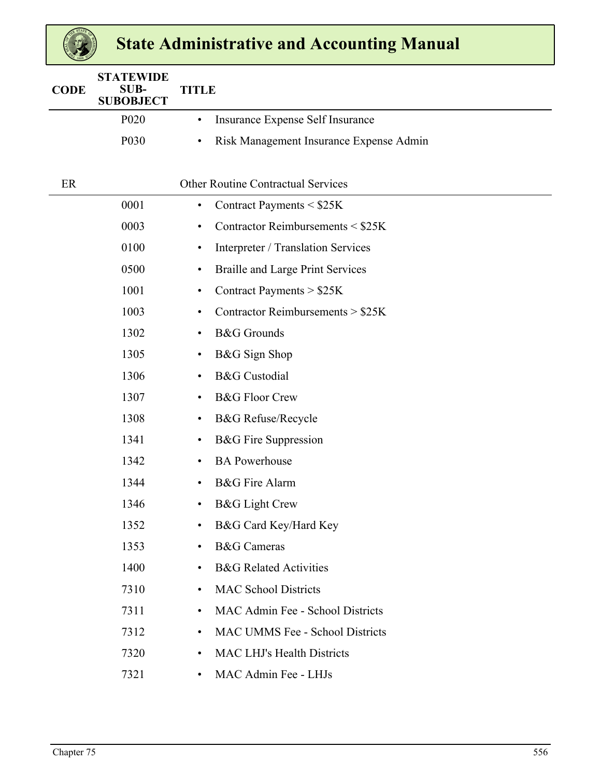| <b>CODE</b> | <b>STATEWIDE</b><br><b>SUB-</b><br><b>SUBOBJECT</b> | <b>TITLE</b>                                         |  |  |  |  |  |  |  |  |  |  |
|-------------|-----------------------------------------------------|------------------------------------------------------|--|--|--|--|--|--|--|--|--|--|
|             | P <sub>020</sub>                                    | Insurance Expense Self Insurance<br>$\bullet$        |  |  |  |  |  |  |  |  |  |  |
|             | P030                                                | Risk Management Insurance Expense Admin<br>$\bullet$ |  |  |  |  |  |  |  |  |  |  |
|             |                                                     |                                                      |  |  |  |  |  |  |  |  |  |  |
| ER          |                                                     | <b>Other Routine Contractual Services</b>            |  |  |  |  |  |  |  |  |  |  |
|             | 0001                                                | Contract Payments < \$25K<br>$\bullet$               |  |  |  |  |  |  |  |  |  |  |
|             | 0003                                                | Contractor Reimbursements $\leq$ \$25K<br>٠          |  |  |  |  |  |  |  |  |  |  |
|             | 0100                                                | Interpreter / Translation Services<br>٠              |  |  |  |  |  |  |  |  |  |  |
|             | 0500                                                | <b>Braille and Large Print Services</b><br>$\bullet$ |  |  |  |  |  |  |  |  |  |  |
|             | 1001                                                | Contract Payments > \$25K<br>٠                       |  |  |  |  |  |  |  |  |  |  |
|             | 1003                                                | Contractor Reimbursements > \$25K<br>٠               |  |  |  |  |  |  |  |  |  |  |
|             | 1302                                                | <b>B&amp;G</b> Grounds<br>$\bullet$                  |  |  |  |  |  |  |  |  |  |  |
|             | 1305                                                | B&G Sign Shop<br>$\bullet$                           |  |  |  |  |  |  |  |  |  |  |
|             | 1306                                                | <b>B&amp;G</b> Custodial<br>$\bullet$                |  |  |  |  |  |  |  |  |  |  |
|             | 1307                                                | <b>B&amp;G Floor Crew</b><br>$\bullet$               |  |  |  |  |  |  |  |  |  |  |
|             | 1308                                                | <b>B&amp;G</b> Refuse/Recycle<br>٠                   |  |  |  |  |  |  |  |  |  |  |
|             | 1341                                                | <b>B&amp;G</b> Fire Suppression<br>$\bullet$         |  |  |  |  |  |  |  |  |  |  |
|             | 1342                                                | <b>BA Powerhouse</b><br>$\bullet$                    |  |  |  |  |  |  |  |  |  |  |
|             | 1344                                                | <b>B&amp;G</b> Fire Alarm<br>$\bullet$               |  |  |  |  |  |  |  |  |  |  |
|             | 1346                                                | <b>B&amp;G</b> Light Crew<br>٠                       |  |  |  |  |  |  |  |  |  |  |
|             | 1352                                                | B&G Card Key/Hard Key                                |  |  |  |  |  |  |  |  |  |  |
|             | 1353                                                | <b>B&amp;G</b> Cameras<br>$\bullet$                  |  |  |  |  |  |  |  |  |  |  |
|             | 1400                                                | <b>B&amp;G</b> Related Activities<br>$\bullet$       |  |  |  |  |  |  |  |  |  |  |
|             | 7310                                                | <b>MAC School Districts</b><br>$\bullet$             |  |  |  |  |  |  |  |  |  |  |
|             | 7311                                                | MAC Admin Fee - School Districts<br>٠                |  |  |  |  |  |  |  |  |  |  |
|             | 7312                                                | MAC UMMS Fee - School Districts<br>٠                 |  |  |  |  |  |  |  |  |  |  |
|             | 7320                                                | <b>MAC LHJ's Health Districts</b><br>$\bullet$       |  |  |  |  |  |  |  |  |  |  |
|             | 7321                                                | MAC Admin Fee - LHJs<br>$\bullet$                    |  |  |  |  |  |  |  |  |  |  |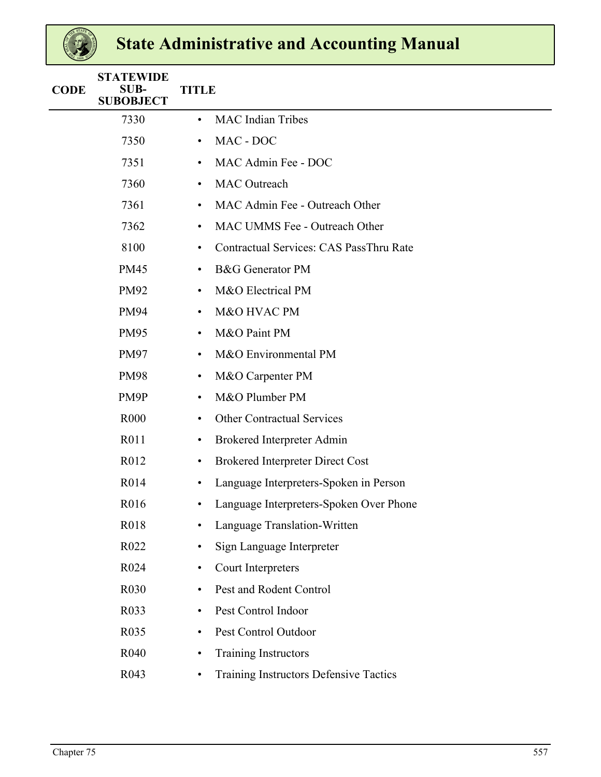| <b>CODE</b> | <b>STATEWIDE</b><br><b>SUB-</b><br><b>SUBOBJECT</b> |           | <b>TITLE</b>                            |  |  |  |  |  |  |  |  |
|-------------|-----------------------------------------------------|-----------|-----------------------------------------|--|--|--|--|--|--|--|--|
|             | 7330                                                | $\bullet$ | <b>MAC</b> Indian Tribes                |  |  |  |  |  |  |  |  |
|             | 7350                                                | $\bullet$ | MAC - DOC                               |  |  |  |  |  |  |  |  |
|             | 7351                                                | $\bullet$ | MAC Admin Fee - DOC                     |  |  |  |  |  |  |  |  |
|             | 7360                                                | $\bullet$ | <b>MAC</b> Outreach                     |  |  |  |  |  |  |  |  |
|             | 7361                                                | $\bullet$ | MAC Admin Fee - Outreach Other          |  |  |  |  |  |  |  |  |
|             | 7362                                                | $\bullet$ | <b>MAC UMMS Fee - Outreach Other</b>    |  |  |  |  |  |  |  |  |
|             | 8100                                                | $\bullet$ | Contractual Services: CAS PassThru Rate |  |  |  |  |  |  |  |  |
|             | <b>PM45</b>                                         | ٠         | <b>B&amp;G</b> Generator PM             |  |  |  |  |  |  |  |  |
|             | <b>PM92</b>                                         | $\bullet$ | M&O Electrical PM                       |  |  |  |  |  |  |  |  |
|             | <b>PM94</b>                                         | $\bullet$ | M&O HVAC PM                             |  |  |  |  |  |  |  |  |
|             | <b>PM95</b>                                         | $\bullet$ | M&O Paint PM                            |  |  |  |  |  |  |  |  |
|             | <b>PM97</b>                                         | $\bullet$ | M&O Environmental PM                    |  |  |  |  |  |  |  |  |
|             | <b>PM98</b>                                         | $\bullet$ | M&O Carpenter PM                        |  |  |  |  |  |  |  |  |
|             | PM9P                                                | $\bullet$ | M&O Plumber PM                          |  |  |  |  |  |  |  |  |
|             | R <sub>000</sub>                                    | ٠         | <b>Other Contractual Services</b>       |  |  |  |  |  |  |  |  |
|             | R011                                                | ٠         | <b>Brokered Interpreter Admin</b>       |  |  |  |  |  |  |  |  |
|             | R012                                                | $\bullet$ | <b>Brokered Interpreter Direct Cost</b> |  |  |  |  |  |  |  |  |
|             | R014                                                | $\bullet$ | Language Interpreters-Spoken in Person  |  |  |  |  |  |  |  |  |
|             | R016                                                | $\bullet$ | Language Interpreters-Spoken Over Phone |  |  |  |  |  |  |  |  |
|             | R018                                                |           | Language Translation-Written            |  |  |  |  |  |  |  |  |
|             | R022                                                | $\bullet$ | Sign Language Interpreter               |  |  |  |  |  |  |  |  |
|             | R024                                                | $\bullet$ | Court Interpreters                      |  |  |  |  |  |  |  |  |
|             | R030                                                | ٠         | Pest and Rodent Control                 |  |  |  |  |  |  |  |  |
|             | R033                                                | ٠         | Pest Control Indoor                     |  |  |  |  |  |  |  |  |
|             | R035                                                | ٠         | Pest Control Outdoor                    |  |  |  |  |  |  |  |  |
|             | R040                                                | ٠         | <b>Training Instructors</b>             |  |  |  |  |  |  |  |  |
|             | R043                                                | ٠         | Training Instructors Defensive Tactics  |  |  |  |  |  |  |  |  |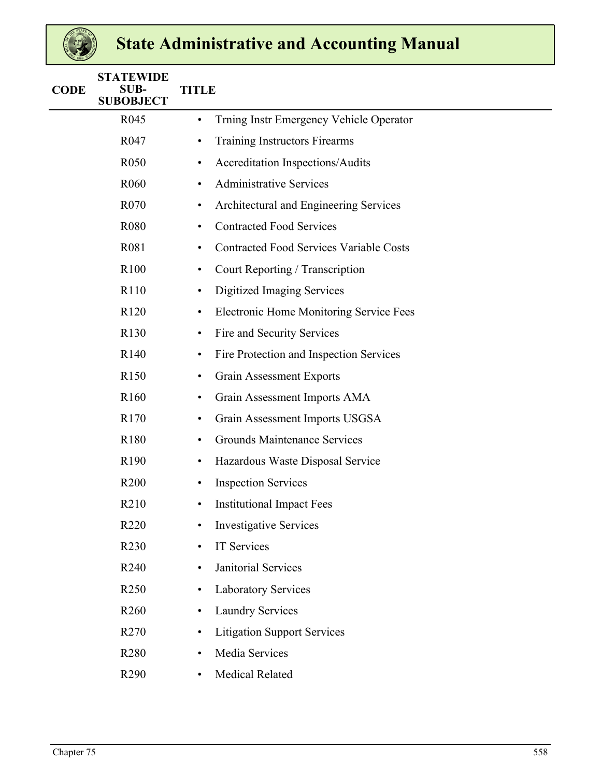| <b>CODE</b> | <b>STATEWIDE</b><br><b>SUB-</b><br><b>SUBOBJECT</b> | <b>TITLE</b>                                         |  |  |  |  |  |  |  |  |  |  |  |  |  |
|-------------|-----------------------------------------------------|------------------------------------------------------|--|--|--|--|--|--|--|--|--|--|--|--|--|
|             | R <sub>045</sub>                                    | Trning Instr Emergency Vehicle Operator<br>$\bullet$ |  |  |  |  |  |  |  |  |  |  |  |  |  |
|             | R047                                                | Training Instructors Firearms<br>$\bullet$           |  |  |  |  |  |  |  |  |  |  |  |  |  |
|             | R <sub>050</sub>                                    | <b>Accreditation Inspections/Audits</b><br>٠         |  |  |  |  |  |  |  |  |  |  |  |  |  |
|             | R <sub>060</sub>                                    | <b>Administrative Services</b><br>٠                  |  |  |  |  |  |  |  |  |  |  |  |  |  |
|             | R070                                                | Architectural and Engineering Services<br>٠          |  |  |  |  |  |  |  |  |  |  |  |  |  |
|             | R080                                                | <b>Contracted Food Services</b><br>٠                 |  |  |  |  |  |  |  |  |  |  |  |  |  |
|             | R081                                                | <b>Contracted Food Services Variable Costs</b><br>٠  |  |  |  |  |  |  |  |  |  |  |  |  |  |
|             | R100                                                | Court Reporting / Transcription<br>$\bullet$         |  |  |  |  |  |  |  |  |  |  |  |  |  |
|             | R110                                                | <b>Digitized Imaging Services</b><br>٠               |  |  |  |  |  |  |  |  |  |  |  |  |  |
|             | R <sub>120</sub>                                    | Electronic Home Monitoring Service Fees<br>$\bullet$ |  |  |  |  |  |  |  |  |  |  |  |  |  |
|             | R <sub>130</sub>                                    | Fire and Security Services<br>٠                      |  |  |  |  |  |  |  |  |  |  |  |  |  |
|             | R <sub>140</sub>                                    | Fire Protection and Inspection Services<br>$\bullet$ |  |  |  |  |  |  |  |  |  |  |  |  |  |
|             | R <sub>150</sub>                                    | <b>Grain Assessment Exports</b><br>٠                 |  |  |  |  |  |  |  |  |  |  |  |  |  |
|             | R <sub>160</sub>                                    | Grain Assessment Imports AMA<br>٠                    |  |  |  |  |  |  |  |  |  |  |  |  |  |
|             | R170                                                | Grain Assessment Imports USGSA<br>٠                  |  |  |  |  |  |  |  |  |  |  |  |  |  |
|             | R <sub>180</sub>                                    | <b>Grounds Maintenance Services</b><br>٠             |  |  |  |  |  |  |  |  |  |  |  |  |  |
|             | R <sub>190</sub>                                    | Hazardous Waste Disposal Service<br>٠                |  |  |  |  |  |  |  |  |  |  |  |  |  |
|             | R <sub>200</sub>                                    | <b>Inspection Services</b><br>$\bullet$              |  |  |  |  |  |  |  |  |  |  |  |  |  |
|             | R <sub>2</sub> 10                                   | <b>Institutional Impact Fees</b><br>٠                |  |  |  |  |  |  |  |  |  |  |  |  |  |
|             | R <sub>220</sub>                                    | <b>Investigative Services</b>                        |  |  |  |  |  |  |  |  |  |  |  |  |  |
|             | R230                                                | IT Services<br>$\bullet$                             |  |  |  |  |  |  |  |  |  |  |  |  |  |
|             | R <sub>240</sub>                                    | Janitorial Services<br>$\bullet$                     |  |  |  |  |  |  |  |  |  |  |  |  |  |
|             | R250                                                | <b>Laboratory Services</b><br>$\bullet$              |  |  |  |  |  |  |  |  |  |  |  |  |  |
|             | R <sub>260</sub>                                    | <b>Laundry Services</b><br>$\bullet$                 |  |  |  |  |  |  |  |  |  |  |  |  |  |
|             | R <sub>270</sub>                                    | <b>Litigation Support Services</b><br>$\bullet$      |  |  |  |  |  |  |  |  |  |  |  |  |  |
|             | R280                                                | Media Services<br>$\bullet$                          |  |  |  |  |  |  |  |  |  |  |  |  |  |
|             | R290                                                | Medical Related<br>$\bullet$                         |  |  |  |  |  |  |  |  |  |  |  |  |  |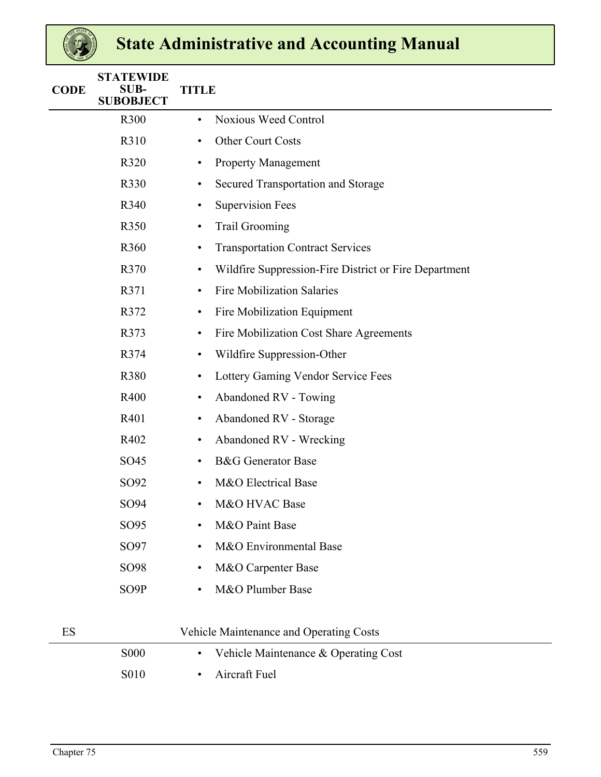| <b>CODE</b> | <b>STATEWIDE</b><br><b>SUB-</b><br><b>SUBOBJECT</b> | <b>TITLE</b>                                                       |
|-------------|-----------------------------------------------------|--------------------------------------------------------------------|
|             | R300                                                | Noxious Weed Control<br>$\bullet$                                  |
|             | R310                                                | Other Court Costs<br>$\bullet$                                     |
|             | R320                                                | <b>Property Management</b><br>$\bullet$                            |
|             | R330                                                | Secured Transportation and Storage<br>$\bullet$                    |
|             | R340                                                | <b>Supervision Fees</b><br>$\bullet$                               |
|             | R350                                                | <b>Trail Grooming</b><br>$\bullet$                                 |
|             | R360                                                | <b>Transportation Contract Services</b><br>$\bullet$               |
|             | R370                                                | Wildfire Suppression-Fire District or Fire Department<br>$\bullet$ |
|             | R371                                                | <b>Fire Mobilization Salaries</b><br>$\bullet$                     |
|             | R372                                                | Fire Mobilization Equipment<br>$\bullet$                           |
|             | R373                                                | Fire Mobilization Cost Share Agreements<br>$\bullet$               |
|             | R374                                                | Wildfire Suppression-Other<br>$\bullet$                            |
|             | R380                                                | Lottery Gaming Vendor Service Fees<br>$\bullet$                    |
|             | R400                                                | Abandoned RV - Towing<br>$\bullet$                                 |
|             | R401                                                | Abandoned RV - Storage<br>$\bullet$                                |
|             | R402                                                | Abandoned RV - Wrecking<br>$\bullet$                               |
|             | SO45                                                | <b>B&amp;G</b> Generator Base<br>$\bullet$                         |
|             | SO92                                                | M&O Electrical Base<br>$\bullet$                                   |
|             | SO94                                                | M&O HVAC Base<br>$\bullet$                                         |
|             | SO95                                                | M&O Paint Base<br>$\bullet$                                        |
|             | SO97                                                | M&O Environmental Base<br>$\bullet$                                |
|             | SO98                                                | M&O Carpenter Base<br>$\bullet$                                    |
|             | SO9P                                                | M&O Plumber Base<br>$\bullet$                                      |
| ES          |                                                     | Vehicle Maintenance and Operating Costs                            |
|             | <b>S000</b>                                         | Vehicle Maintenance & Operating Cost<br>$\bullet$                  |
|             | S010                                                | Aircraft Fuel<br>$\bullet$                                         |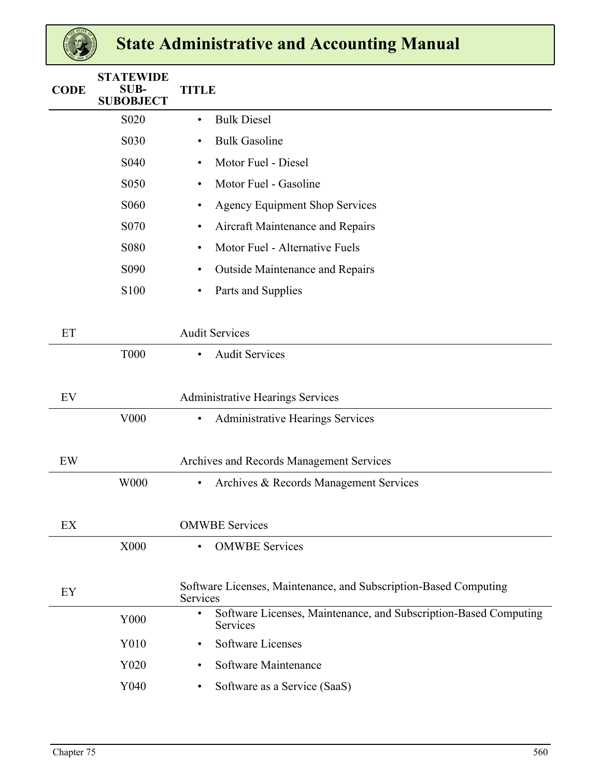| <b>CODE</b> | <b>STATEWIDE</b><br><b>SUB-</b><br><b>SUBOBJECT</b> | <b>TITLE</b>                                                                              |
|-------------|-----------------------------------------------------|-------------------------------------------------------------------------------------------|
|             | S <sub>0</sub> 2 <sub>0</sub>                       | <b>Bulk Diesel</b><br>$\bullet$                                                           |
|             | S030                                                | <b>Bulk Gasoline</b><br>$\bullet$                                                         |
|             | S <sub>040</sub>                                    | Motor Fuel - Diesel<br>٠                                                                  |
|             | S050                                                | Motor Fuel - Gasoline<br>$\bullet$                                                        |
|             | S <sub>06</sub> 0                                   | <b>Agency Equipment Shop Services</b><br>$\bullet$                                        |
|             | S <sub>0</sub> 70                                   | Aircraft Maintenance and Repairs<br>$\bullet$                                             |
|             | S080                                                | Motor Fuel - Alternative Fuels<br>$\bullet$                                               |
|             | S090                                                | <b>Outside Maintenance and Repairs</b><br>$\bullet$                                       |
|             | S100                                                | Parts and Supplies<br>$\bullet$                                                           |
|             |                                                     |                                                                                           |
| ET          |                                                     | <b>Audit Services</b>                                                                     |
|             | <b>T000</b>                                         | <b>Audit Services</b><br>$\bullet$                                                        |
|             |                                                     |                                                                                           |
| EV          |                                                     | <b>Administrative Hearings Services</b>                                                   |
|             | V000                                                | <b>Administrative Hearings Services</b><br>$\bullet$                                      |
|             |                                                     |                                                                                           |
| EW          |                                                     | Archives and Records Management Services                                                  |
|             | W000                                                | Archives & Records Management Services<br>$\bullet$                                       |
|             |                                                     |                                                                                           |
| EX          |                                                     | <b>OMWBE</b> Services                                                                     |
|             | X000                                                | <b>OMWBE</b> Services<br>$\bullet$                                                        |
|             |                                                     |                                                                                           |
| EY          |                                                     | Software Licenses, Maintenance, and Subscription-Based Computing<br>Services              |
|             | Y000                                                | Software Licenses, Maintenance, and Subscription-Based Computing<br>$\bullet$<br>Services |
|             | Y010                                                | <b>Software Licenses</b><br>$\bullet$                                                     |
|             | Y020                                                | Software Maintenance<br>$\bullet$                                                         |
|             | Y040                                                | Software as a Service (SaaS)<br>٠                                                         |
|             |                                                     |                                                                                           |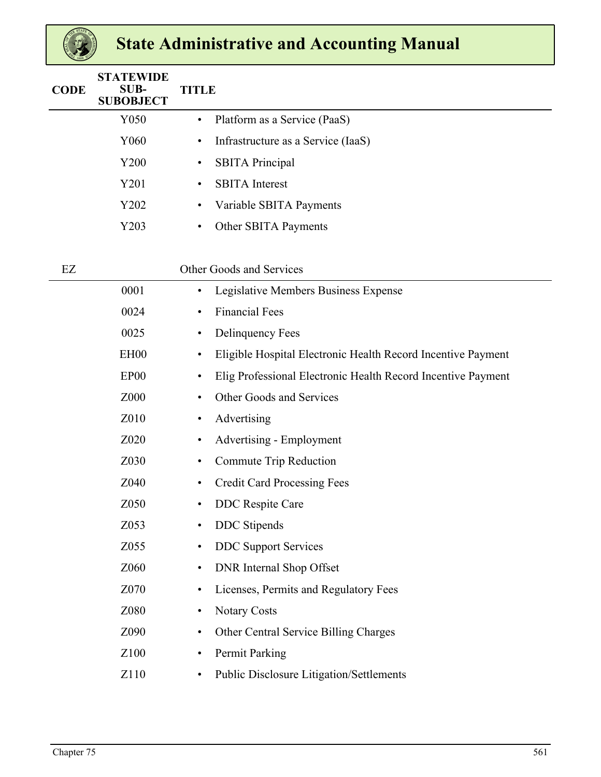| <b>CODE</b> | <b>STATEWIDE</b><br>SUB-<br><b>SUBOBJECT</b> | <b>TITLE</b>                                    |
|-------------|----------------------------------------------|-------------------------------------------------|
|             | Y050                                         | Platform as a Service (PaaS)<br>$\bullet$       |
|             | Y060                                         | Infrastructure as a Service (IaaS)<br>$\bullet$ |
|             | Y200                                         | <b>SBITA</b> Principal<br>$\bullet$             |
|             | Y201                                         | <b>SBITA</b> Interest<br>$\bullet$              |
|             | Y202                                         | Variable SBITA Payments<br>$\bullet$            |
|             | Y203                                         | Other SBITA Payments<br>٠                       |
|             |                                              |                                                 |

| EZ |                  | Other Goods and Services                                                  |
|----|------------------|---------------------------------------------------------------------------|
|    | 0001             | Legislative Members Business Expense<br>$\bullet$                         |
|    | 0024             | <b>Financial Fees</b><br>$\bullet$                                        |
|    | 0025             | Delinquency Fees<br>$\bullet$                                             |
|    | EH <sub>00</sub> | Eligible Hospital Electronic Health Record Incentive Payment<br>$\bullet$ |
|    | EP <sub>00</sub> | Elig Professional Electronic Health Record Incentive Payment<br>$\bullet$ |
|    | Z000             | Other Goods and Services<br>$\bullet$                                     |
|    | Z010             | Advertising<br>$\bullet$                                                  |
|    | Z020             | Advertising - Employment<br>$\bullet$                                     |
|    | Z030             | Commute Trip Reduction<br>$\bullet$                                       |
|    | Z040             | <b>Credit Card Processing Fees</b><br>$\bullet$                           |
|    | Z050             | DDC Respite Care<br>$\bullet$                                             |
|    | Z053             | <b>DDC</b> Stipends<br>$\bullet$                                          |
|    | Z055             | <b>DDC</b> Support Services<br>$\bullet$                                  |
|    | Z060             | <b>DNR</b> Internal Shop Offset<br>$\bullet$                              |
|    | Z070             | Licenses, Permits and Regulatory Fees<br>$\bullet$                        |
|    | Z080             | <b>Notary Costs</b><br>$\bullet$                                          |
|    | Z090             | Other Central Service Billing Charges<br>$\bullet$                        |
|    | Z100             | Permit Parking<br>$\bullet$                                               |
|    | Z110             | Public Disclosure Litigation/Settlements                                  |
|    |                  |                                                                           |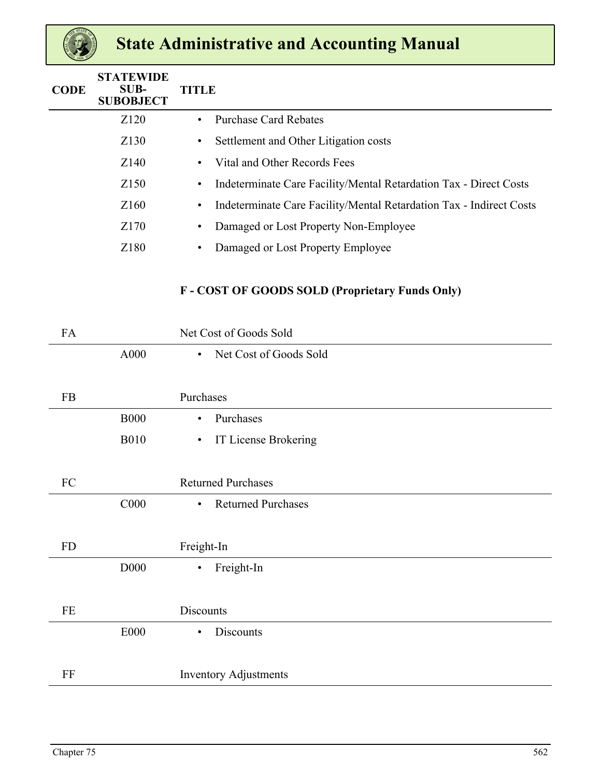| <b>CODE</b> | <b>STATEWIDE</b><br>SUB-<br><b>SUBOBJECT</b> | <b>TITLE</b>                                                                     |  |
|-------------|----------------------------------------------|----------------------------------------------------------------------------------|--|
|             | Z <sub>120</sub>                             | <b>Purchase Card Rebates</b><br>$\bullet$                                        |  |
|             | Z130                                         | Settlement and Other Litigation costs<br>٠                                       |  |
|             | Z140                                         | Vital and Other Records Fees<br>$\bullet$                                        |  |
|             | Z <sub>150</sub>                             | Indeterminate Care Facility/Mental Retardation Tax - Direct Costs<br>$\bullet$   |  |
|             | Z <sub>160</sub>                             | Indeterminate Care Facility/Mental Retardation Tax - Indirect Costs<br>$\bullet$ |  |
|             | Z170                                         | Damaged or Lost Property Non-Employee<br>٠                                       |  |
|             | Z180                                         | Damaged or Lost Property Employee<br>$\bullet$                                   |  |
|             |                                              |                                                                                  |  |

### **F - COST OF GOODS SOLD (Proprietary Funds Only)**

| FA        |             | Net Cost of Goods Sold                 |
|-----------|-------------|----------------------------------------|
|           | A000        | Net Cost of Goods Sold<br>$\bullet$    |
|           |             |                                        |
| FB        |             | Purchases                              |
|           | <b>B000</b> | Purchases<br>$\bullet$                 |
|           | <b>B010</b> | IT License Brokering<br>$\bullet$      |
|           |             |                                        |
| FC        |             | <b>Returned Purchases</b>              |
|           | C000        | <b>Returned Purchases</b><br>$\bullet$ |
|           |             |                                        |
| <b>FD</b> |             | Freight-In                             |
|           | D000        | Freight-In<br>$\bullet$                |
|           |             |                                        |
| $\rm FE$  |             | <b>Discounts</b>                       |
|           | E000        | Discounts<br>$\bullet$                 |
|           |             |                                        |
| $\rm FF$  |             | <b>Inventory Adjustments</b>           |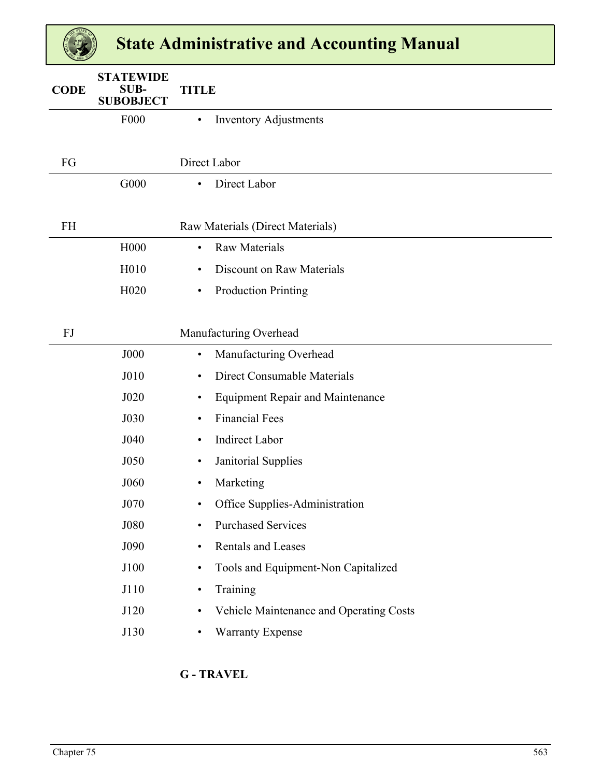| <b>CODE</b> | <b>STATEWIDE</b><br>SUB-<br><b>SUBOBJECT</b> | <b>TITLE</b>                                         |
|-------------|----------------------------------------------|------------------------------------------------------|
|             | <b>F000</b>                                  | <b>Inventory Adjustments</b><br>$\bullet$            |
|             |                                              |                                                      |
| FG          |                                              |                                                      |
|             |                                              | Direct Labor                                         |
|             | G000                                         | Direct Labor<br>$\bullet$                            |
|             |                                              |                                                      |
| <b>FH</b>   |                                              | Raw Materials (Direct Materials)                     |
|             | H000                                         | <b>Raw Materials</b><br>$\bullet$                    |
|             | H010                                         | Discount on Raw Materials<br>٠                       |
|             | H <sub>020</sub>                             | <b>Production Printing</b><br>٠                      |
|             |                                              |                                                      |
| FJ          |                                              | Manufacturing Overhead                               |
|             | <b>J000</b>                                  | Manufacturing Overhead<br>$\bullet$                  |
|             | J010                                         | Direct Consumable Materials<br>٠                     |
|             | J020                                         | <b>Equipment Repair and Maintenance</b><br>$\bullet$ |
|             | J030                                         | <b>Financial Fees</b><br>$\bullet$                   |
|             | J040                                         | <b>Indirect Labor</b><br>$\bullet$                   |
|             | J050                                         | Janitorial Supplies<br>٠                             |
|             | J060                                         | Marketing                                            |
|             | J070                                         | Office Supplies-Administration<br>$\bullet$          |
|             | J080                                         | <b>Purchased Services</b><br>$\bullet$               |
|             | J090                                         | Rentals and Leases<br>$\bullet$                      |
|             | J100                                         | Tools and Equipment-Non Capitalized<br>$\bullet$     |
|             | J110                                         | Training<br>$\bullet$                                |
|             | J120                                         | Vehicle Maintenance and Operating Costs<br>$\bullet$ |
|             | J130                                         | Warranty Expense<br>$\bullet$                        |
|             |                                              |                                                      |

### **G - TRAVEL**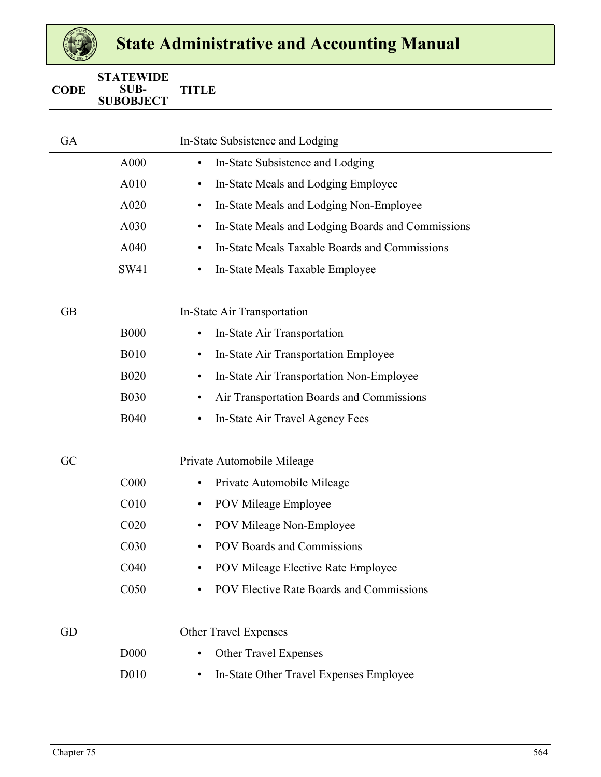| <b>CODE</b> | <b>STATEWIDE</b><br>SUB-<br><b>SUBOBJECT</b> | <b>TITLE</b>                                                   |
|-------------|----------------------------------------------|----------------------------------------------------------------|
|             |                                              |                                                                |
| GA          |                                              | In-State Subsistence and Lodging                               |
|             | A000                                         | In-State Subsistence and Lodging<br>$\bullet$                  |
|             | A010                                         | In-State Meals and Lodging Employee<br>$\bullet$               |
|             | A020                                         | In-State Meals and Lodging Non-Employee<br>٠                   |
|             | A030                                         | In-State Meals and Lodging Boards and Commissions<br>$\bullet$ |
|             | A040                                         | In-State Meals Taxable Boards and Commissions<br>$\bullet$     |
|             | SW41                                         | In-State Meals Taxable Employee<br>$\bullet$                   |
|             |                                              |                                                                |
| <b>GB</b>   |                                              | In-State Air Transportation                                    |
|             | <b>B000</b>                                  | In-State Air Transportation<br>$\bullet$                       |
|             | <b>B010</b>                                  | In-State Air Transportation Employee<br>$\bullet$              |
|             | <b>B020</b>                                  | In-State Air Transportation Non-Employee<br>$\bullet$          |
|             | <b>B030</b>                                  | Air Transportation Boards and Commissions<br>$\bullet$         |
|             | <b>B040</b>                                  | In-State Air Travel Agency Fees<br>$\bullet$                   |
|             |                                              |                                                                |
| GC          |                                              | Private Automobile Mileage                                     |
|             | C000                                         | Private Automobile Mileage<br>$\bullet$                        |
|             | C <sub>010</sub>                             | POV Mileage Employee<br>$\bullet$                              |
|             | C <sub>020</sub>                             | POV Mileage Non-Employee<br>$\bullet$                          |
|             | C030                                         | POV Boards and Commissions<br>$\bullet$                        |
|             | C040                                         | POV Mileage Elective Rate Employee<br>$\bullet$                |
|             | C050                                         | POV Elective Rate Boards and Commissions<br>$\bullet$          |
|             |                                              |                                                                |
| GD          |                                              | Other Travel Expenses                                          |
|             | <b>D000</b>                                  | Other Travel Expenses<br>$\bullet$                             |
|             | D010                                         | In-State Other Travel Expenses Employee<br>٠                   |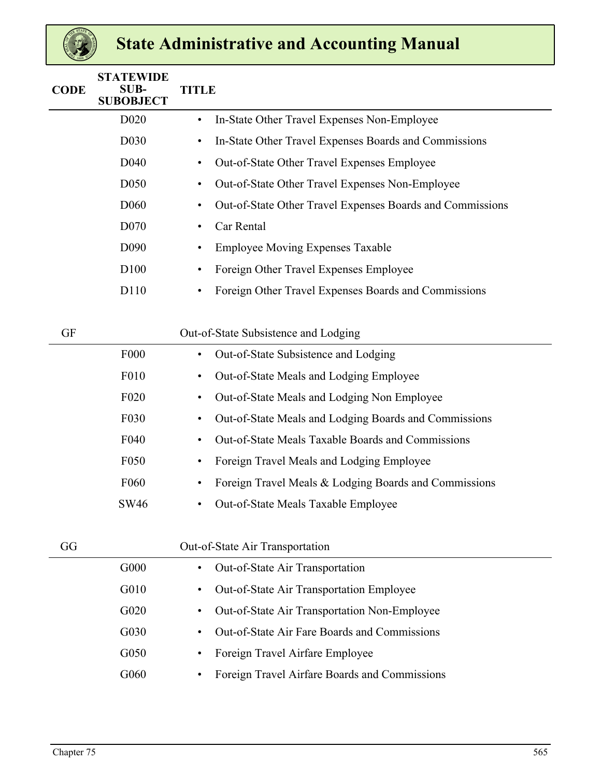| <b>CODE</b> | <b>STATEWIDE</b><br>SUB-<br><b>SUBOBJECT</b> | <b>TITLE</b>                                                           |  |
|-------------|----------------------------------------------|------------------------------------------------------------------------|--|
|             | D <sub>0</sub> 20                            | In-State Other Travel Expenses Non-Employee<br>$\bullet$               |  |
|             | D <sub>0</sub> 30                            | In-State Other Travel Expenses Boards and Commissions<br>$\bullet$     |  |
|             | D040                                         | Out-of-State Other Travel Expenses Employee<br>$\bullet$               |  |
|             | D <sub>050</sub>                             | Out-of-State Other Travel Expenses Non-Employee<br>$\bullet$           |  |
|             | D <sub>060</sub>                             | Out-of-State Other Travel Expenses Boards and Commissions<br>$\bullet$ |  |
|             | D <sub>070</sub>                             | Car Rental<br>$\bullet$                                                |  |
|             | D090                                         | <b>Employee Moving Expenses Taxable</b><br>$\bullet$                   |  |
|             | D100                                         | Foreign Other Travel Expenses Employee<br>$\bullet$                    |  |
|             | D110                                         | Foreign Other Travel Expenses Boards and Commissions<br>$\bullet$      |  |
| <b>GF</b>   |                                              | Out-of-State Subsistence and Lodging                                   |  |
|             | F000                                         | Out-of-State Subsistence and Lodging<br>$\bullet$                      |  |
|             | F010                                         | Out-of-State Meals and Lodging Employee<br>$\bullet$                   |  |
|             | F <sub>020</sub>                             | Out-of-State Meals and Lodging Non Employee<br>$\bullet$               |  |
|             | F030                                         | Out-of-State Meals and Lodging Boards and Commissions<br>$\bullet$     |  |
|             | F040                                         | Out-of-State Meals Taxable Boards and Commissions<br>$\bullet$         |  |
|             | F050                                         | Foreign Travel Meals and Lodging Employee<br>$\bullet$                 |  |
|             | F <sub>060</sub>                             | Foreign Travel Meals & Lodging Boards and Commissions<br>$\bullet$     |  |
|             | <b>SW46</b>                                  | Out-of-State Meals Taxable Employee<br>$\bullet$                       |  |
|             |                                              |                                                                        |  |

| GG |      | Out-of-State Air Transportation                                  |  |
|----|------|------------------------------------------------------------------|--|
|    | G000 | Out-of-State Air Transportation<br>$\bullet$                     |  |
|    | G010 | <b>Out-of-State Air Transportation Employee</b><br>$\bullet$     |  |
|    | G020 | <b>Out-of-State Air Transportation Non-Employee</b><br>$\bullet$ |  |
|    | G030 | Out-of-State Air Fare Boards and Commissions<br>$\bullet$        |  |
|    | G050 | Foreign Travel Airfare Employee                                  |  |
|    | G060 | Foreign Travel Airfare Boards and Commissions<br>$\bullet$       |  |
|    |      |                                                                  |  |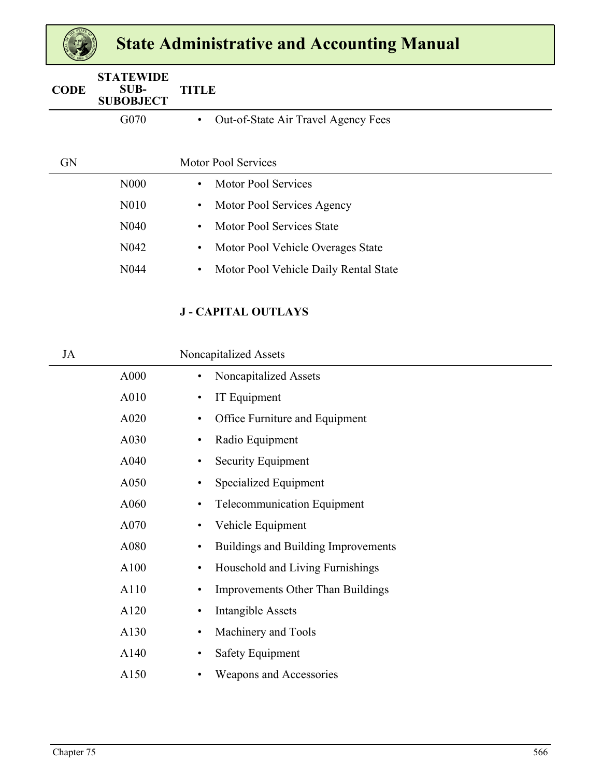| <b>CODE</b> | <b>STATEWIDE</b><br>SUB-<br><b>SUBOBJECT</b> | <b>TITLE</b>                                       |
|-------------|----------------------------------------------|----------------------------------------------------|
|             | G070                                         | Out-of-State Air Travel Agency Fees<br>$\bullet$   |
|             |                                              |                                                    |
| <b>GN</b>   |                                              | <b>Motor Pool Services</b>                         |
|             | N <sub>00</sub>                              | <b>Motor Pool Services</b><br>$\bullet$            |
|             | N <sub>0</sub> 10                            | Motor Pool Services Agency<br>$\bullet$            |
|             | N <sub>040</sub>                             | Motor Pool Services State<br>$\bullet$             |
|             | N <sub>042</sub>                             | Motor Pool Vehicle Overages State<br>٠             |
|             | N <sub>044</sub>                             | Motor Pool Vehicle Daily Rental State<br>$\bullet$ |
|             |                                              |                                                    |

### **J - CAPITAL OUTLAYS**

| JA |      | Noncapitalized Assets                            |
|----|------|--------------------------------------------------|
|    | A000 | Noncapitalized Assets<br>$\bullet$               |
|    | A010 | IT Equipment<br>$\bullet$                        |
|    | A020 | Office Furniture and Equipment<br>٠              |
|    | A030 | Radio Equipment<br>$\bullet$                     |
|    | A040 | Security Equipment<br>$\bullet$                  |
|    | A050 | Specialized Equipment<br>$\bullet$               |
|    | A060 | <b>Telecommunication Equipment</b><br>$\bullet$  |
|    | A070 | Vehicle Equipment<br>$\bullet$                   |
|    | A080 | Buildings and Building Improvements<br>$\bullet$ |
|    | A100 | Household and Living Furnishings<br>$\bullet$    |
|    | A110 | <b>Improvements Other Than Buildings</b><br>٠    |
|    | A120 | Intangible Assets<br>$\bullet$                   |
|    | A130 | Machinery and Tools<br>$\bullet$                 |
|    | A140 | <b>Safety Equipment</b><br>$\bullet$             |
|    | A150 | Weapons and Accessories                          |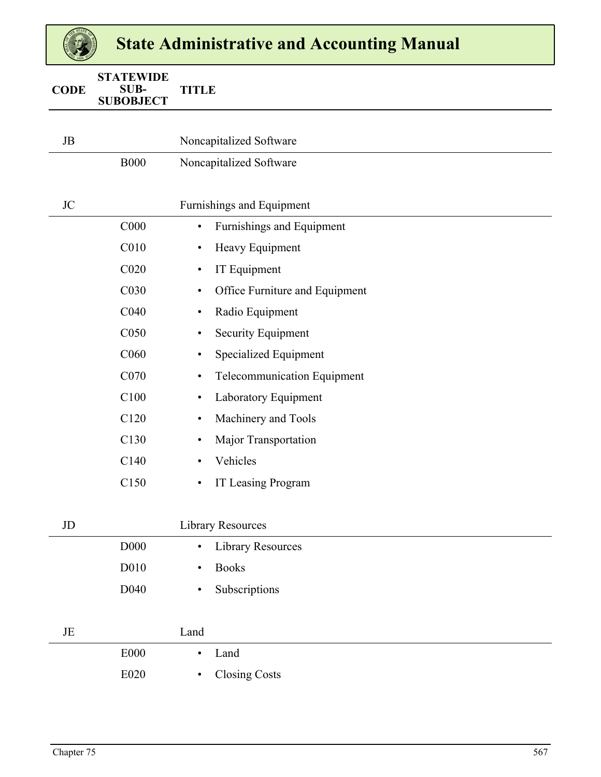| <b>CODE</b> | <b>STATEWIDE</b><br>SUB-<br><b>SUBOBJECT</b> | <b>TITLE</b> |                                    |
|-------------|----------------------------------------------|--------------|------------------------------------|
|             |                                              |              |                                    |
| JB          |                                              |              | Noncapitalized Software            |
|             | <b>B000</b>                                  |              | Noncapitalized Software            |
|             |                                              |              |                                    |
| <b>JC</b>   |                                              |              | Furnishings and Equipment          |
|             | C000                                         | $\bullet$    | Furnishings and Equipment          |
|             | C010                                         | $\bullet$    | Heavy Equipment                    |
|             | C <sub>020</sub>                             | $\bullet$    | IT Equipment                       |
|             | C030                                         | $\bullet$    | Office Furniture and Equipment     |
|             | C040                                         | $\bullet$    | Radio Equipment                    |
|             | C050                                         | $\bullet$    | Security Equipment                 |
|             | C <sub>060</sub>                             | $\bullet$    | <b>Specialized Equipment</b>       |
|             | C070                                         | $\bullet$    | <b>Telecommunication Equipment</b> |
|             | C100                                         | $\bullet$    | Laboratory Equipment               |
|             | C120                                         | $\bullet$    | Machinery and Tools                |
|             | C130                                         | $\bullet$    | Major Transportation               |
|             | C140                                         | $\bullet$    | Vehicles                           |
|             | C150                                         | $\bullet$    | IT Leasing Program                 |
|             |                                              |              |                                    |
| JD          |                                              |              | <b>Library Resources</b>           |
|             | D000                                         | $\bullet$    | <b>Library Resources</b>           |
|             | D010                                         | $\bullet$    | <b>Books</b>                       |
|             | D040                                         | $\bullet$    | Subscriptions                      |
|             |                                              |              |                                    |
| JE          |                                              | Land         |                                    |
|             | E000                                         | $\bullet$    | Land                               |
|             | E020                                         | $\bullet$    | <b>Closing Costs</b>               |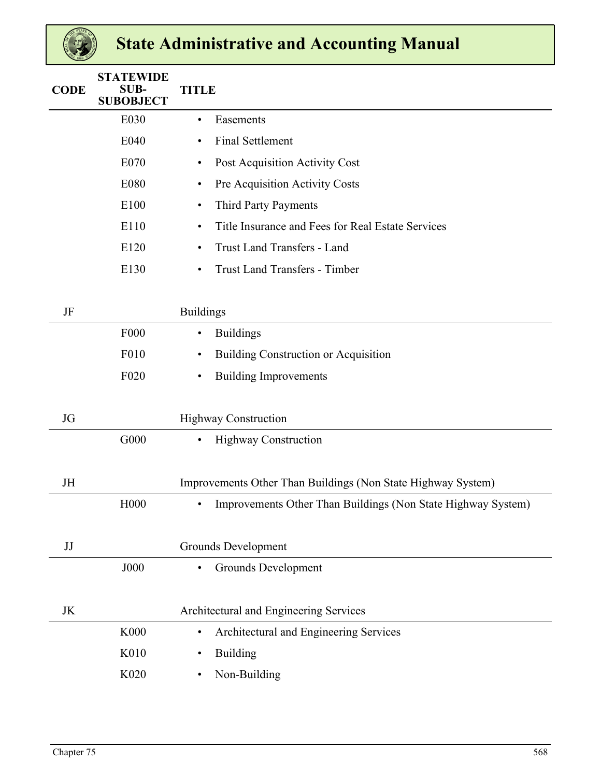| <b>CODE</b> | <b>STATEWIDE</b><br><b>SUB-</b><br><b>SUBOBJECT</b> | <b>TITLE</b>                                                              |
|-------------|-----------------------------------------------------|---------------------------------------------------------------------------|
|             | E030                                                | Easements<br>$\bullet$                                                    |
|             | E040                                                | <b>Final Settlement</b><br>$\bullet$                                      |
|             | E070                                                | Post Acquisition Activity Cost<br>$\bullet$                               |
|             | E080                                                | Pre Acquisition Activity Costs<br>$\bullet$                               |
|             | E100                                                | Third Party Payments<br>$\bullet$                                         |
|             | E110                                                | Title Insurance and Fees for Real Estate Services<br>$\bullet$            |
|             | E120                                                | Trust Land Transfers - Land<br>$\bullet$                                  |
|             | E130                                                | <b>Trust Land Transfers - Timber</b><br>$\bullet$                         |
|             |                                                     |                                                                           |
| JF          |                                                     | <b>Buildings</b>                                                          |
|             | F <sub>000</sub>                                    | <b>Buildings</b><br>$\bullet$                                             |
|             | F010                                                | <b>Building Construction or Acquisition</b><br>$\bullet$                  |
|             | F <sub>020</sub>                                    | <b>Building Improvements</b><br>$\bullet$                                 |
| JG          |                                                     | <b>Highway Construction</b>                                               |
|             | G000                                                | Highway Construction<br>$\bullet$                                         |
|             |                                                     |                                                                           |
| JH          |                                                     | Improvements Other Than Buildings (Non State Highway System)              |
|             | H <sub>00</sub> 0                                   | Improvements Other Than Buildings (Non State Highway System)<br>$\bullet$ |
|             |                                                     |                                                                           |
| JJ          |                                                     | Grounds Development                                                       |
|             | <b>J000</b>                                         | Grounds Development<br>$\bullet$                                          |
|             |                                                     |                                                                           |
| JK          |                                                     | Architectural and Engineering Services                                    |
|             | K000                                                | Architectural and Engineering Services<br>$\bullet$                       |
|             | K010                                                | <b>Building</b><br>$\bullet$                                              |
|             | K020                                                | Non-Building<br>$\bullet$                                                 |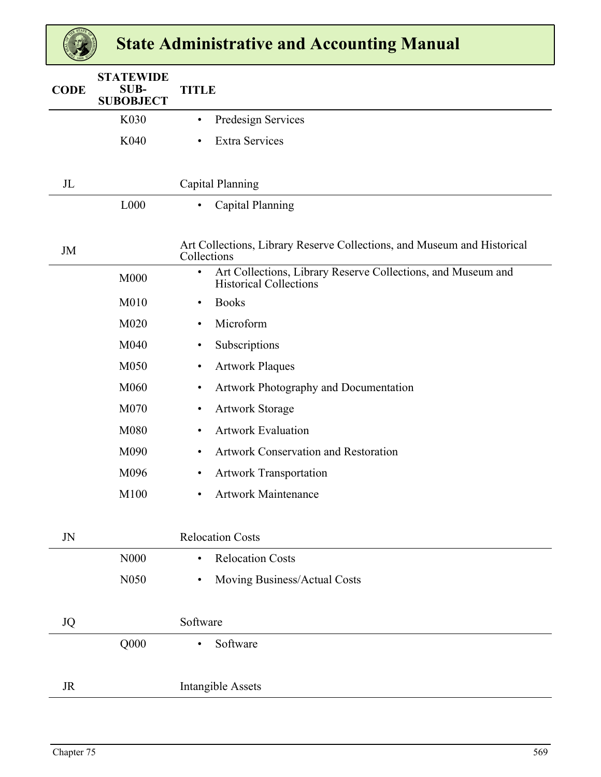| <b>CODE</b> | <b>STATEWIDE</b><br>SUB-<br><b>SUBOBJECT</b> | <b>TITLE</b>                                                                                               |
|-------------|----------------------------------------------|------------------------------------------------------------------------------------------------------------|
|             | K030                                         | Predesign Services<br>$\bullet$                                                                            |
|             | K040                                         | <b>Extra Services</b><br>$\bullet$                                                                         |
|             |                                              |                                                                                                            |
| $J_{L}$     |                                              | Capital Planning                                                                                           |
|             | L000                                         | Capital Planning<br>$\bullet$                                                                              |
|             |                                              |                                                                                                            |
| JM          |                                              | Art Collections, Library Reserve Collections, and Museum and Historical<br>Collections                     |
|             | M000                                         | Art Collections, Library Reserve Collections, and Museum and<br>$\bullet$<br><b>Historical Collections</b> |
|             | M010                                         | <b>Books</b><br>$\bullet$                                                                                  |
|             | M020                                         | Microform<br>$\bullet$                                                                                     |
|             | M040                                         | Subscriptions<br>$\bullet$                                                                                 |
|             | M050                                         | <b>Artwork Plaques</b><br>$\bullet$                                                                        |
|             | M060                                         | Artwork Photography and Documentation<br>$\bullet$                                                         |
|             | M070                                         | <b>Artwork Storage</b><br>$\bullet$                                                                        |
|             | M080                                         | <b>Artwork Evaluation</b><br>$\bullet$                                                                     |
|             | M090                                         | <b>Artwork Conservation and Restoration</b><br>$\bullet$                                                   |
|             | M096                                         | <b>Artwork Transportation</b><br>$\bullet$                                                                 |
|             | M100                                         | <b>Artwork Maintenance</b><br>$\bullet$                                                                    |
|             |                                              |                                                                                                            |
| JN          |                                              | <b>Relocation Costs</b>                                                                                    |
|             | N <sub>00</sub>                              | <b>Relocation Costs</b><br>$\bullet$                                                                       |
|             | N050                                         | Moving Business/Actual Costs<br>$\bullet$                                                                  |
|             |                                              |                                                                                                            |
| <b>JQ</b>   |                                              | Software                                                                                                   |
|             | Q000                                         | Software<br>$\bullet$                                                                                      |
|             |                                              |                                                                                                            |
| <b>JR</b>   |                                              | <b>Intangible Assets</b>                                                                                   |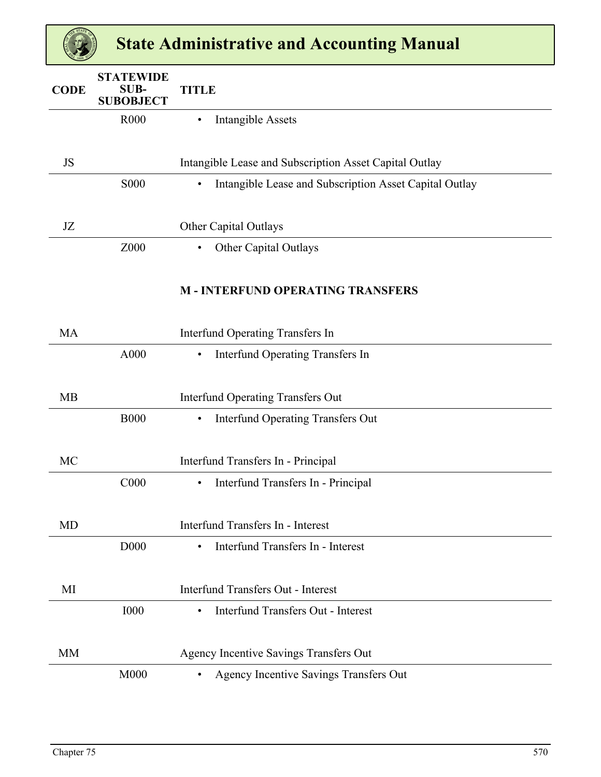| <b>CODE</b> | <b>STATEWIDE</b><br><b>SUB-</b><br><b>SUBOBJECT</b> | <b>TITLE</b>                                                        |
|-------------|-----------------------------------------------------|---------------------------------------------------------------------|
|             | R <sub>000</sub>                                    | <b>Intangible Assets</b><br>٠                                       |
| JS          |                                                     | Intangible Lease and Subscription Asset Capital Outlay              |
|             | <b>S000</b>                                         | Intangible Lease and Subscription Asset Capital Outlay<br>$\bullet$ |
| JZ          |                                                     | Other Capital Outlays                                               |
|             | Z000                                                | <b>Other Capital Outlays</b><br>$\bullet$                           |
|             |                                                     | <b>M-INTERFUND OPERATING TRANSFERS</b>                              |
| <b>MA</b>   |                                                     | <b>Interfund Operating Transfers In</b>                             |
|             | A000                                                | <b>Interfund Operating Transfers In</b><br>$\bullet$                |
| <b>MB</b>   |                                                     | <b>Interfund Operating Transfers Out</b>                            |
|             | <b>B000</b>                                         | <b>Interfund Operating Transfers Out</b><br>$\bullet$               |
| MC          |                                                     | Interfund Transfers In - Principal                                  |
|             | C <sub>000</sub>                                    | Interfund Transfers In - Principal<br>$\bullet$                     |
| MD          |                                                     | Interfund Transfers In - Interest                                   |
|             | D <sub>000</sub>                                    | Interfund Transfers In - Interest<br>$\bullet$                      |
| MI          |                                                     | <b>Interfund Transfers Out - Interest</b>                           |
|             | <b>I000</b>                                         | Interfund Transfers Out - Interest<br>$\bullet$                     |
| <b>MM</b>   |                                                     | Agency Incentive Savings Transfers Out                              |
|             | M000                                                | Agency Incentive Savings Transfers Out<br>$\bullet$                 |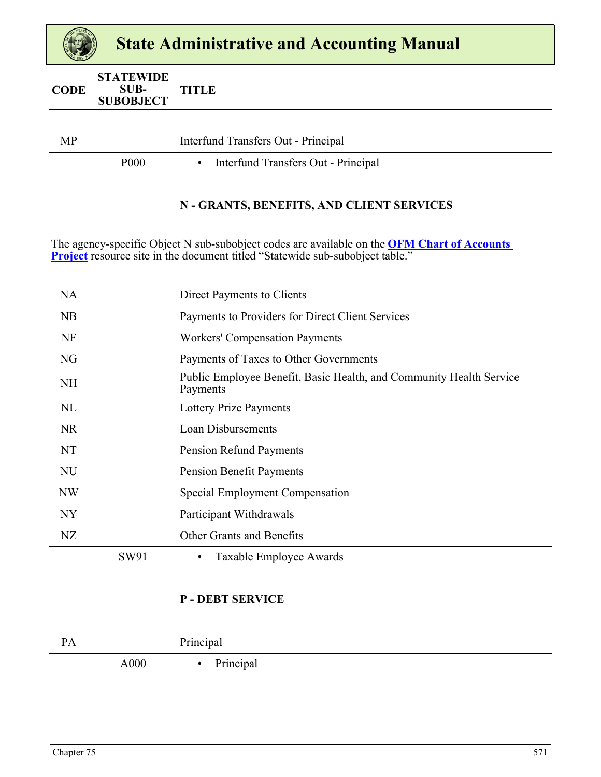| <b>CODE</b> | <b>STATEWIDE</b><br>SUB- | <b>TITLE</b> |
|-------------|--------------------------|--------------|
|             | <b>SUBOBJECT</b>         |              |

| <b>MP</b> |                  | Interfund Transfers Out - Principal |  |
|-----------|------------------|-------------------------------------|--|
|           | P <sub>000</sub> | Interfund Transfers Out - Principal |  |

#### **N - GRANTS, BENEFITS, AND CLIENT SERVICES**

The agency-specific Object N sub-subobject codes are available on the **[OFM Chart of Accounts](https://ofm.wa.gov/accounting/administrative-accounting-resources/finance-erp-readiness-project/chart-accounts-project)  [Project](https://ofm.wa.gov/accounting/administrative-accounting-resources/finance-erp-readiness-project/chart-accounts-project)** resource site in the document titled "Statewide sub-subobject table."

|                | SW91 | Taxable Employee Awards                                                         |
|----------------|------|---------------------------------------------------------------------------------|
| NZ             |      | Other Grants and Benefits                                                       |
| NY <sub></sub> |      | Participant Withdrawals                                                         |
| <b>NW</b>      |      | Special Employment Compensation                                                 |
| <b>NU</b>      |      | <b>Pension Benefit Payments</b>                                                 |
| NT             |      | <b>Pension Refund Payments</b>                                                  |
| <b>NR</b>      |      | Loan Disbursements                                                              |
| NL             |      | <b>Lottery Prize Payments</b>                                                   |
| <b>NH</b>      |      | Public Employee Benefit, Basic Health, and Community Health Service<br>Payments |
| NG             |      | Payments of Taxes to Other Governments                                          |
| NF             |      | <b>Workers' Compensation Payments</b>                                           |
| <b>NB</b>      |      | Payments to Providers for Direct Client Services                                |
| <b>NA</b>      |      | Direct Payments to Clients                                                      |

#### **P - DEBT SERVICE**

| DΛ<br>ГA |      | Principal      |  |
|----------|------|----------------|--|
|          | A000 | Principal<br>٠ |  |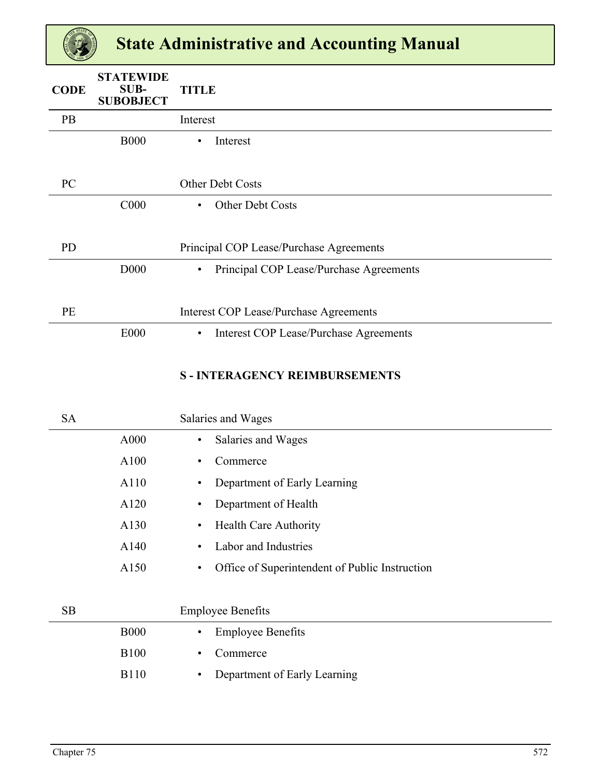| <b>CODE</b> | <b>STATEWIDE</b><br>SUB-<br><b>SUBOBJECT</b> | <b>TITLE</b>                                               |
|-------------|----------------------------------------------|------------------------------------------------------------|
| PB          |                                              | Interest                                                   |
|             | <b>B000</b>                                  | Interest<br>$\bullet$                                      |
| PC          |                                              | Other Debt Costs                                           |
|             | C <sub>000</sub>                             | Other Debt Costs<br>$\bullet$                              |
| <b>PD</b>   |                                              | Principal COP Lease/Purchase Agreements                    |
|             | D <sub>000</sub>                             | Principal COP Lease/Purchase Agreements<br>$\bullet$       |
| PE          |                                              | <b>Interest COP Lease/Purchase Agreements</b>              |
|             | <b>E000</b>                                  | <b>Interest COP Lease/Purchase Agreements</b><br>$\bullet$ |

#### **S - INTERAGENCY REIMBURSEMENTS**

| <b>SA</b> |             | Salaries and Wages                                          |
|-----------|-------------|-------------------------------------------------------------|
|           | A000        | Salaries and Wages<br>$\bullet$                             |
|           | A100        | Commerce<br>$\bullet$                                       |
|           | A110        | Department of Early Learning<br>$\bullet$                   |
|           | A120        | Department of Health<br>$\bullet$                           |
|           | A130        | <b>Health Care Authority</b><br>$\bullet$                   |
|           | A140        | Labor and Industries<br>٠                                   |
|           | A150        | Office of Superintendent of Public Instruction<br>$\bullet$ |
|           |             |                                                             |
| <b>SB</b> |             | <b>Employee Benefits</b>                                    |
|           | <b>B000</b> | <b>Employee Benefits</b><br>$\bullet$                       |
|           | <b>B100</b> | Commerce<br>٠                                               |
|           | <b>B110</b> | Department of Early Learning<br>$\bullet$                   |
|           |             |                                                             |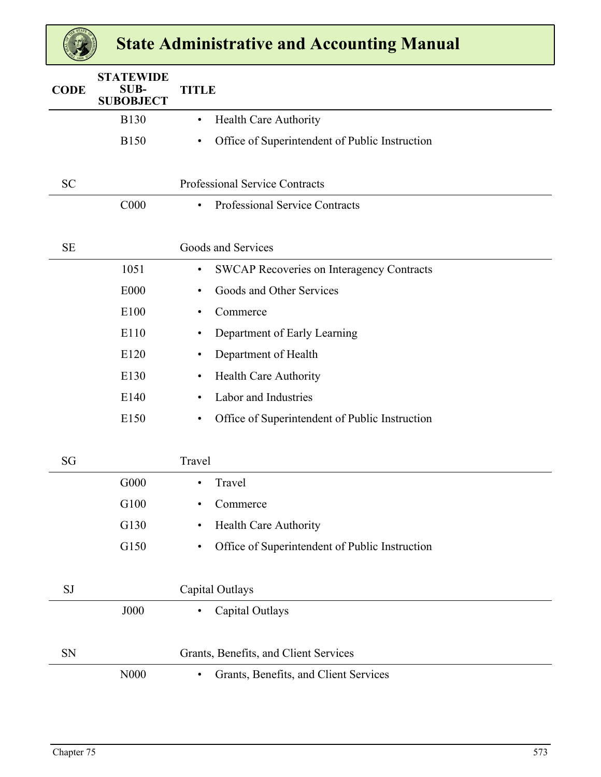| <b>CODE</b> | <b>STATEWIDE</b><br><b>SUB-</b><br><b>SUBOBJECT</b> | <b>TITLE</b>                                                  |
|-------------|-----------------------------------------------------|---------------------------------------------------------------|
|             | <b>B130</b>                                         | Health Care Authority<br>$\bullet$                            |
|             | <b>B150</b>                                         | Office of Superintendent of Public Instruction<br>$\bullet$   |
|             |                                                     |                                                               |
| <b>SC</b>   |                                                     | Professional Service Contracts                                |
|             | C000                                                | Professional Service Contracts<br>$\bullet$                   |
|             |                                                     |                                                               |
| <b>SE</b>   |                                                     | Goods and Services                                            |
|             | 1051                                                | <b>SWCAP Recoveries on Interagency Contracts</b><br>$\bullet$ |
|             | E000                                                | Goods and Other Services<br>$\bullet$                         |
|             | E100                                                | Commerce<br>$\bullet$                                         |
|             | E110                                                | Department of Early Learning<br>٠                             |
|             | E120                                                | Department of Health<br>٠                                     |
|             | E130                                                | Health Care Authority<br>$\bullet$                            |
|             | E140                                                | Labor and Industries<br>$\bullet$                             |
|             | E150                                                | Office of Superintendent of Public Instruction<br>$\bullet$   |
|             |                                                     |                                                               |
| SG          |                                                     | Travel                                                        |
|             | G000                                                | Travel<br>$\bullet$                                           |
|             | G100                                                | Commerce                                                      |
|             | G130                                                | <b>Health Care Authority</b><br>$\bullet$                     |
|             | G150                                                | Office of Superintendent of Public Instruction<br>$\bullet$   |
| SJ          |                                                     | Capital Outlays                                               |
|             | J000                                                | Capital Outlays<br>٠                                          |
| <b>SN</b>   |                                                     |                                                               |
|             |                                                     | Grants, Benefits, and Client Services                         |
|             | N000                                                | Grants, Benefits, and Client Services<br>$\bullet$            |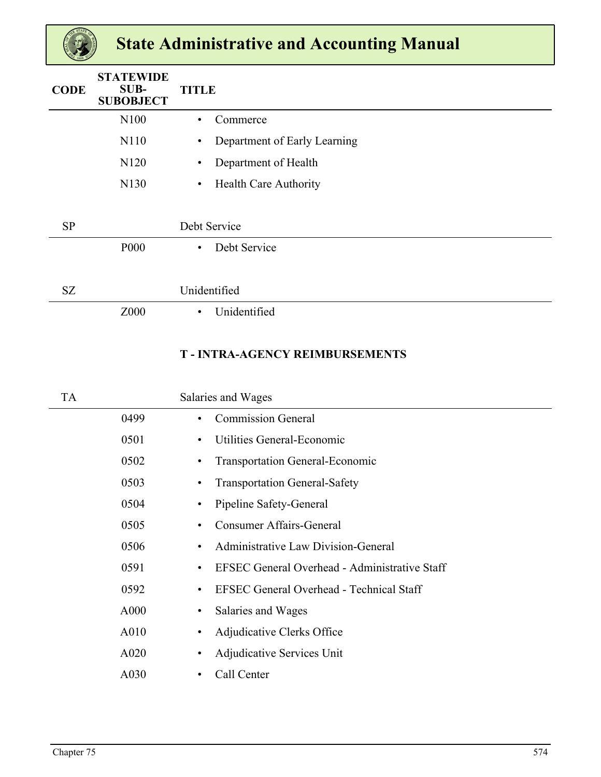| <b>CODE</b> | <b>STATEWIDE</b><br>SUB-<br><b>SUBOBJECT</b> | <b>TITLE</b>                              |
|-------------|----------------------------------------------|-------------------------------------------|
|             | N100                                         | Commerce<br>$\bullet$                     |
|             | N110                                         | Department of Early Learning<br>$\bullet$ |
|             | N120                                         | Department of Health<br>$\bullet$         |
|             | N130                                         | Health Care Authority<br>$\bullet$        |
|             |                                              |                                           |
| <b>SP</b>   |                                              | Debt Service                              |
|             | <b>P000</b>                                  | Debt Service<br>$\bullet$                 |
|             |                                              |                                           |
| SZ          |                                              | Unidentified                              |
|             | Z000                                         | Unidentified<br>$\bullet$                 |
|             |                                              |                                           |

### **T - INTRA-AGENCY REIMBURSEMENTS**

| TA |      | Salaries and Wages                                           |  |
|----|------|--------------------------------------------------------------|--|
|    | 0499 | <b>Commission General</b><br>٠                               |  |
|    | 0501 | Utilities General-Economic<br>٠                              |  |
|    | 0502 | <b>Transportation General-Economic</b><br>٠                  |  |
|    | 0503 | <b>Transportation General-Safety</b><br>٠                    |  |
|    | 0504 | Pipeline Safety-General<br>٠                                 |  |
|    | 0505 | <b>Consumer Affairs-General</b><br>٠                         |  |
|    | 0506 | Administrative Law Division-General<br>$\bullet$             |  |
|    | 0591 | EFSEC General Overhead - Administrative Staff<br>٠           |  |
|    | 0592 | <b>EFSEC General Overhead - Technical Staff</b><br>$\bullet$ |  |
|    | A000 | Salaries and Wages<br>٠                                      |  |
|    | A010 | Adjudicative Clerks Office<br>$\bullet$                      |  |
|    | A020 | Adjudicative Services Unit<br>٠                              |  |
|    | A030 | Call Center<br>٠                                             |  |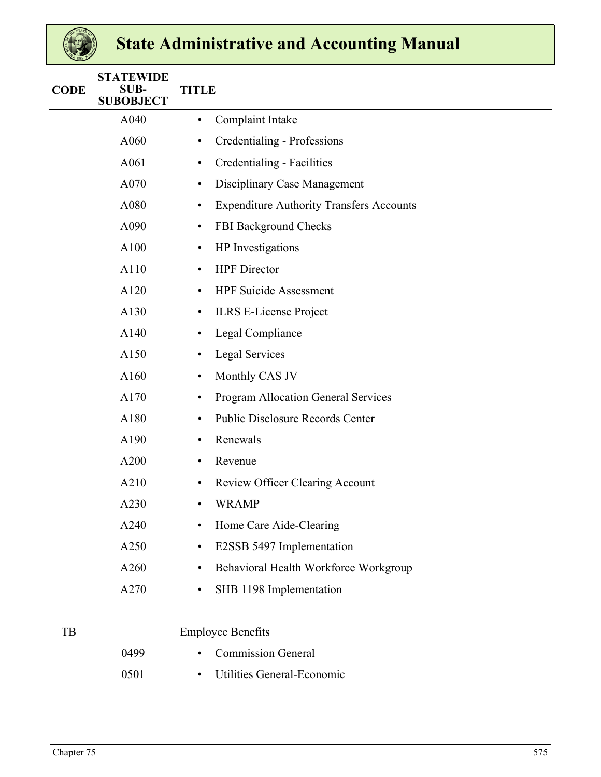| <b>CODE</b> | <b>STATEWIDE</b><br>SUB-<br><b>SUBOBJECT</b> | <b>TITLE</b>                                                 |
|-------------|----------------------------------------------|--------------------------------------------------------------|
|             | A040                                         | Complaint Intake<br>$\bullet$                                |
|             | A060                                         | Credentialing - Professions<br>$\bullet$                     |
|             | A061                                         | Credentialing - Facilities<br>$\bullet$                      |
|             | A070                                         | Disciplinary Case Management<br>$\bullet$                    |
|             | A080                                         | <b>Expenditure Authority Transfers Accounts</b><br>$\bullet$ |
|             | A090                                         | FBI Background Checks<br>$\bullet$                           |
|             | A100                                         | HP Investigations<br>$\bullet$                               |
|             | A110                                         | <b>HPF</b> Director<br>$\bullet$                             |
|             | A120                                         | <b>HPF Suicide Assessment</b><br>$\bullet$                   |
|             | A130                                         | <b>ILRS E-License Project</b><br>$\bullet$                   |
|             | A140                                         | Legal Compliance<br>$\bullet$                                |
|             | A150                                         | <b>Legal Services</b><br>$\bullet$                           |
|             | A160                                         | Monthly CAS JV<br>$\bullet$                                  |
|             | A170                                         | <b>Program Allocation General Services</b><br>$\bullet$      |
|             | A180                                         | <b>Public Disclosure Records Center</b><br>$\bullet$         |
|             | A190                                         | Renewals<br>$\bullet$                                        |
|             | A200                                         | Revenue<br>$\bullet$                                         |
|             | A210                                         | <b>Review Officer Clearing Account</b><br>$\bullet$          |
|             | A230                                         | <b>WRAMP</b><br>$\bullet$                                    |
|             | A240                                         | Home Care Aide-Clearing<br>٠                                 |
|             | A250                                         | E2SSB 5497 Implementation<br>$\bullet$                       |
|             | A260                                         | Behavioral Health Workforce Workgroup<br>٠                   |
|             | A270                                         | SHB 1198 Implementation<br>$\bullet$                         |
| TB          |                                              | <b>Employee Benefits</b>                                     |
|             | 0499                                         | <b>Commission General</b><br>$\bullet$                       |
|             | 0501                                         | Utilities General-Economic<br>$\bullet$                      |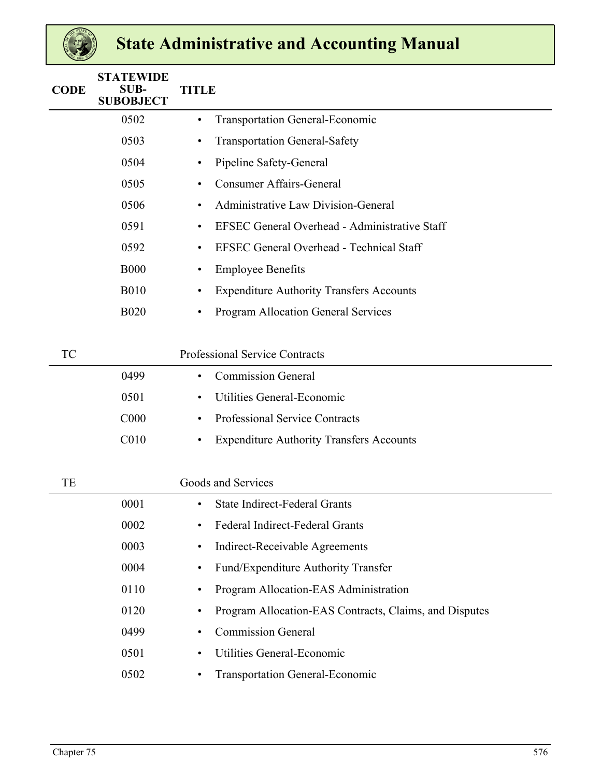| <b>CODE</b> | <b>STATEWIDE</b><br>SUB-<br><b>SUBOBJECT</b> | <b>TITLE</b>                                                        |  |
|-------------|----------------------------------------------|---------------------------------------------------------------------|--|
|             | 0502                                         | <b>Transportation General-Economic</b><br>$\bullet$                 |  |
|             | 0503                                         | <b>Transportation General-Safety</b><br>$\bullet$                   |  |
|             | 0504                                         | Pipeline Safety-General<br>$\bullet$                                |  |
|             | 0505                                         | <b>Consumer Affairs-General</b><br>$\bullet$                        |  |
|             | 0506                                         | Administrative Law Division-General<br>$\bullet$                    |  |
|             | 0591                                         | <b>EFSEC General Overhead - Administrative Staff</b><br>$\bullet$   |  |
|             | 0592                                         | <b>EFSEC General Overhead - Technical Staff</b><br>$\bullet$        |  |
|             | <b>B000</b>                                  | <b>Employee Benefits</b><br>$\bullet$                               |  |
|             | <b>B010</b>                                  | <b>Expenditure Authority Transfers Accounts</b><br>$\bullet$        |  |
|             | <b>B020</b>                                  | <b>Program Allocation General Services</b><br>$\bullet$             |  |
| <b>TC</b>   |                                              | <b>Professional Service Contracts</b>                               |  |
|             | 0499                                         | <b>Commission General</b><br>$\bullet$                              |  |
|             | 0501                                         | Utilities General-Economic<br>$\bullet$                             |  |
|             | C <sub>000</sub>                             | Professional Service Contracts<br>$\bullet$                         |  |
|             | C <sub>010</sub>                             | <b>Expenditure Authority Transfers Accounts</b><br>$\bullet$        |  |
| TE          |                                              | Goods and Services                                                  |  |
|             | 0001                                         | State Indirect-Federal Grants<br>$\bullet$                          |  |
|             | 0002                                         | Federal Indirect-Federal Grants                                     |  |
|             | 0003                                         | Indirect-Receivable Agreements<br>$\bullet$                         |  |
|             | 0004                                         | Fund/Expenditure Authority Transfer<br>$\bullet$                    |  |
|             | 0110                                         | Program Allocation-EAS Administration<br>$\bullet$                  |  |
|             | 0120                                         | Program Allocation-EAS Contracts, Claims, and Disputes<br>$\bullet$ |  |
|             | 0499                                         | <b>Commission General</b><br>$\bullet$                              |  |
|             | 0501                                         | Utilities General-Economic<br>$\bullet$                             |  |
|             | 0502                                         | <b>Transportation General-Economic</b><br>$\bullet$                 |  |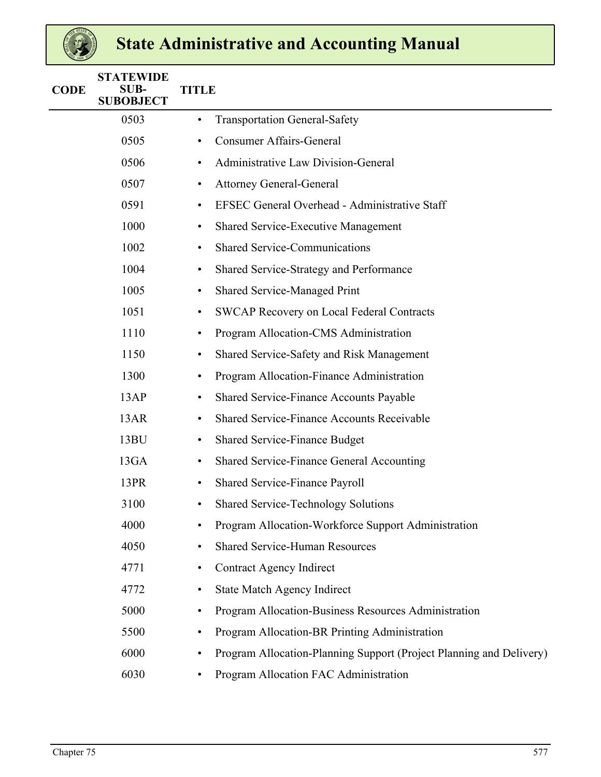| <b>CODE</b> | <b>STATEWIDE</b><br>SUB-<br><b>SUBOBJECT</b> | <b>TITLE</b> |                                                                     |
|-------------|----------------------------------------------|--------------|---------------------------------------------------------------------|
|             | 0503                                         | ٠            | <b>Transportation General-Safety</b>                                |
|             | 0505                                         | $\bullet$    | <b>Consumer Affairs-General</b>                                     |
|             | 0506                                         | $\bullet$    | Administrative Law Division-General                                 |
|             | 0507                                         | $\bullet$    | <b>Attorney General-General</b>                                     |
|             | 0591                                         | $\bullet$    | EFSEC General Overhead - Administrative Staff                       |
|             | 1000                                         | $\bullet$    | <b>Shared Service-Executive Management</b>                          |
|             | 1002                                         | $\bullet$    | <b>Shared Service-Communications</b>                                |
|             | 1004                                         | $\bullet$    | Shared Service-Strategy and Performance                             |
|             | 1005                                         | ٠            | <b>Shared Service-Managed Print</b>                                 |
|             | 1051                                         | $\bullet$    | SWCAP Recovery on Local Federal Contracts                           |
|             | 1110                                         | $\bullet$    | Program Allocation-CMS Administration                               |
|             | 1150                                         | $\bullet$    | Shared Service-Safety and Risk Management                           |
|             | 1300                                         | ٠            | Program Allocation-Finance Administration                           |
|             | 13AP                                         | $\bullet$    | <b>Shared Service-Finance Accounts Payable</b>                      |
|             | 13AR                                         | $\bullet$    | <b>Shared Service-Finance Accounts Receivable</b>                   |
|             | 13BU                                         | $\bullet$    | <b>Shared Service-Finance Budget</b>                                |
|             | 13GA                                         | $\bullet$    | Shared Service-Finance General Accounting                           |
|             | 13PR                                         | $\bullet$    | Shared Service-Finance Payroll                                      |
|             | 3100                                         | $\bullet$    | <b>Shared Service-Technology Solutions</b>                          |
|             | 4000                                         |              | Program Allocation-Workforce Support Administration                 |
|             | 4050                                         | $\bullet$    | <b>Shared Service-Human Resources</b>                               |
|             | 4771                                         | $\bullet$    | <b>Contract Agency Indirect</b>                                     |
|             | 4772                                         | $\bullet$    | <b>State Match Agency Indirect</b>                                  |
|             | 5000                                         | $\bullet$    | Program Allocation-Business Resources Administration                |
|             | 5500                                         | ٠            | Program Allocation-BR Printing Administration                       |
|             | 6000                                         | ٠            | Program Allocation-Planning Support (Project Planning and Delivery) |
|             | 6030                                         |              | Program Allocation FAC Administration                               |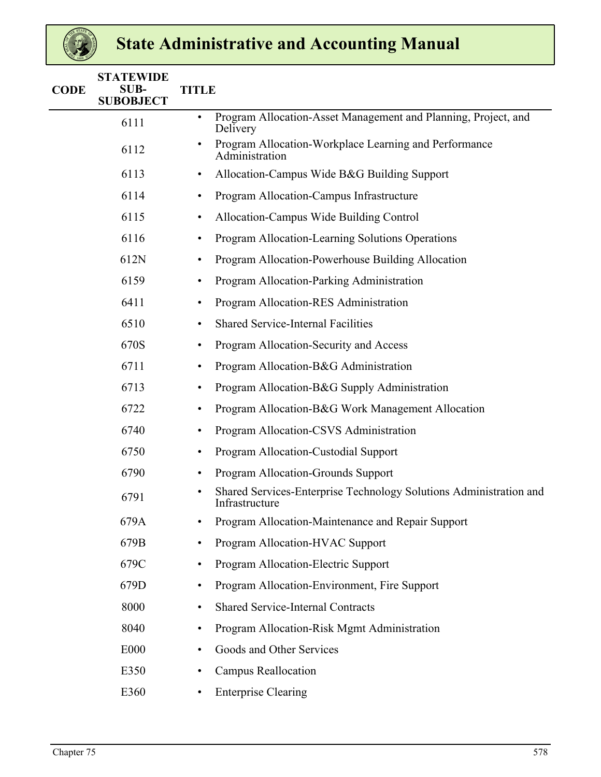| <b>CODE</b> | <b>STATEWIDE</b><br><b>SUB-</b><br><b>SUBOBJECT</b> | <b>TITLE</b>                                                                                      |  |
|-------------|-----------------------------------------------------|---------------------------------------------------------------------------------------------------|--|
|             | 6111                                                | Program Allocation-Asset Management and Planning, Project, and<br>$\bullet$<br>Delivery           |  |
|             | 6112                                                | Program Allocation-Workplace Learning and Performance<br>Administration                           |  |
|             | 6113                                                | Allocation-Campus Wide B&G Building Support<br>$\bullet$                                          |  |
|             | 6114                                                | Program Allocation-Campus Infrastructure<br>$\bullet$                                             |  |
|             | 6115                                                | Allocation-Campus Wide Building Control<br>$\bullet$                                              |  |
|             | 6116                                                | Program Allocation-Learning Solutions Operations<br>$\bullet$                                     |  |
|             | 612N                                                | Program Allocation-Powerhouse Building Allocation<br>٠                                            |  |
|             | 6159                                                | Program Allocation-Parking Administration<br>$\bullet$                                            |  |
|             | 6411                                                | Program Allocation-RES Administration<br>$\bullet$                                                |  |
|             | 6510                                                | <b>Shared Service-Internal Facilities</b><br>$\bullet$                                            |  |
|             | 670S                                                | Program Allocation-Security and Access<br>$\bullet$                                               |  |
|             | 6711                                                | Program Allocation-B&G Administration<br>$\bullet$                                                |  |
|             | 6713                                                | Program Allocation-B&G Supply Administration<br>$\bullet$                                         |  |
|             | 6722                                                | Program Allocation-B&G Work Management Allocation<br>$\bullet$                                    |  |
|             | 6740                                                | Program Allocation-CSVS Administration<br>$\bullet$                                               |  |
|             | 6750                                                | Program Allocation-Custodial Support<br>$\bullet$                                                 |  |
|             | 6790                                                | Program Allocation-Grounds Support<br>٠                                                           |  |
|             | 6791                                                | Shared Services-Enterprise Technology Solutions Administration and<br>$\bullet$<br>Infrastructure |  |
|             | 679A                                                | Program Allocation-Maintenance and Repair Support                                                 |  |
|             | 679B                                                | Program Allocation-HVAC Support<br>$\bullet$                                                      |  |
|             | 679C                                                | Program Allocation-Electric Support<br>$\bullet$                                                  |  |
|             | 679D                                                | Program Allocation-Environment, Fire Support<br>$\bullet$                                         |  |
|             | 8000                                                | <b>Shared Service-Internal Contracts</b><br>$\bullet$                                             |  |
|             | 8040                                                | Program Allocation-Risk Mgmt Administration<br>$\bullet$                                          |  |
|             | E000                                                | Goods and Other Services<br>٠                                                                     |  |
|             | E350                                                | <b>Campus Reallocation</b><br>$\bullet$                                                           |  |
|             | E360                                                | <b>Enterprise Clearing</b>                                                                        |  |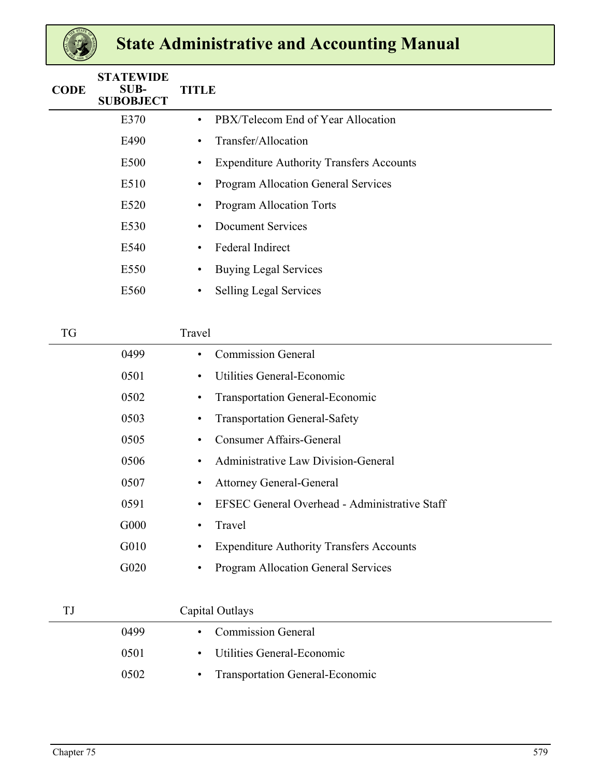| <b>CODE</b> | <b>STATEWIDE</b><br>SUB-<br><b>SUBOBJECT</b> | <b>TITLE</b> |                                                 |
|-------------|----------------------------------------------|--------------|-------------------------------------------------|
|             | E370                                         | $\bullet$    | PBX/Telecom End of Year Allocation              |
|             | E490                                         | $\bullet$    | Transfer/Allocation                             |
|             | E500                                         | $\bullet$    | <b>Expenditure Authority Transfers Accounts</b> |
|             | E510                                         | $\bullet$    | Program Allocation General Services             |
|             | E520                                         | $\bullet$    | <b>Program Allocation Torts</b>                 |
|             | E530                                         | $\bullet$    | <b>Document Services</b>                        |
|             | E540                                         | $\bullet$    | <b>Federal Indirect</b>                         |
|             | E550                                         | $\bullet$    | <b>Buying Legal Services</b>                    |
|             | E560                                         | $\bullet$    | <b>Selling Legal Services</b>                   |
|             |                                              |              |                                                 |

| TG |      | Travel                                                            |
|----|------|-------------------------------------------------------------------|
|    | 0499 | <b>Commission General</b><br>$\bullet$                            |
|    | 0501 | Utilities General-Economic<br>$\bullet$                           |
|    | 0502 | <b>Transportation General-Economic</b><br>$\bullet$               |
|    | 0503 | <b>Transportation General-Safety</b><br>$\bullet$                 |
|    | 0505 | <b>Consumer Affairs-General</b><br>$\bullet$                      |
|    | 0506 | Administrative Law Division-General<br>$\bullet$                  |
|    | 0507 | <b>Attorney General-General</b><br>$\bullet$                      |
|    | 0591 | <b>EFSEC General Overhead - Administrative Staff</b><br>$\bullet$ |
|    | G000 | Travel<br>$\bullet$                                               |
|    | G010 | <b>Expenditure Authority Transfers Accounts</b><br>٠              |
|    | G020 | <b>Program Allocation General Services</b><br>$\bullet$           |
|    |      |                                                                   |
| TJ |      | Capital Outlays                                                   |
|    | 0499 | <b>Commission General</b><br>$\bullet$                            |
|    | 0501 | Utilities General-Economic<br>$\bullet$                           |
|    | 0502 | <b>Transportation General-Economic</b><br>$\bullet$               |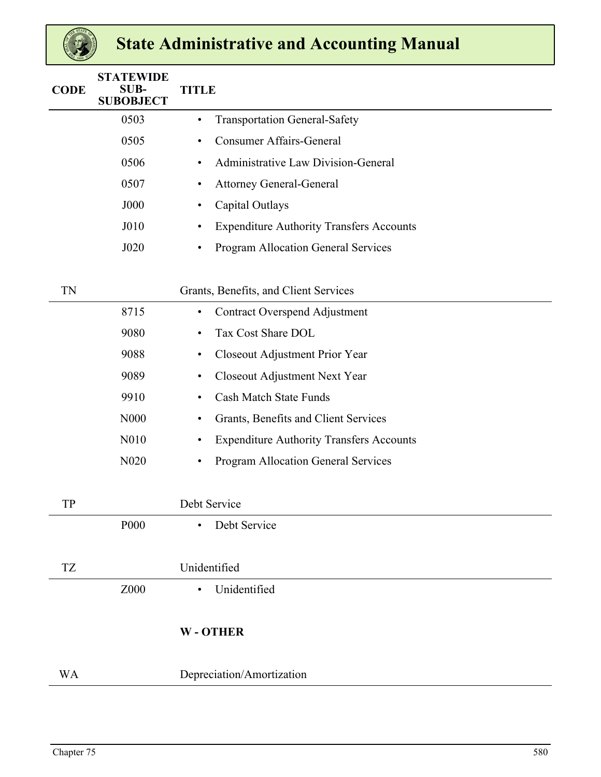| <b>CODE</b> | <b>STATEWIDE</b><br><b>SUB-</b><br><b>SUBOBJECT</b> | <b>TITLE</b>                                         |
|-------------|-----------------------------------------------------|------------------------------------------------------|
|             | 0503                                                | <b>Transportation General-Safety</b><br>$\bullet$    |
|             | 0505                                                | <b>Consumer Affairs-General</b><br>$\bullet$         |
|             | 0506                                                | <b>Administrative Law Division-General</b><br>٠      |
|             | 0507                                                | <b>Attorney General-General</b><br>٠                 |
|             | <b>J000</b>                                         | Capital Outlays<br>٠                                 |
|             | J010                                                | <b>Expenditure Authority Transfers Accounts</b><br>٠ |
|             | J020                                                | Program Allocation General Services<br>$\bullet$     |
|             |                                                     |                                                      |
| TN          |                                                     | Grants, Benefits, and Client Services                |
|             | 8715                                                | <b>Contract Overspend Adjustment</b><br>$\bullet$    |
|             | 9080                                                | Tax Cost Share DOL<br>٠                              |
|             | 9088                                                | Closeout Adjustment Prior Year<br>٠                  |
|             | 9089                                                | Closeout Adjustment Next Year<br>٠                   |
|             | 9910                                                | <b>Cash Match State Funds</b><br>٠                   |
|             | N000                                                | Grants, Benefits and Client Services<br>٠            |
|             | N010                                                | <b>Expenditure Authority Transfers Accounts</b><br>٠ |
|             | N <sub>0</sub> 20                                   | Program Allocation General Services<br>٠             |
|             |                                                     |                                                      |
| TP          |                                                     | Debt Service                                         |
|             | P <sub>00</sub>                                     | Debt Service<br>$\bullet$                            |
|             |                                                     |                                                      |
| <b>TZ</b>   |                                                     | Unidentified                                         |
|             | Z000                                                | Unidentified<br>$\bullet$                            |
|             |                                                     |                                                      |
|             |                                                     | <b>W-OTHER</b>                                       |
|             |                                                     |                                                      |
| <b>WA</b>   |                                                     | Depreciation/Amortization                            |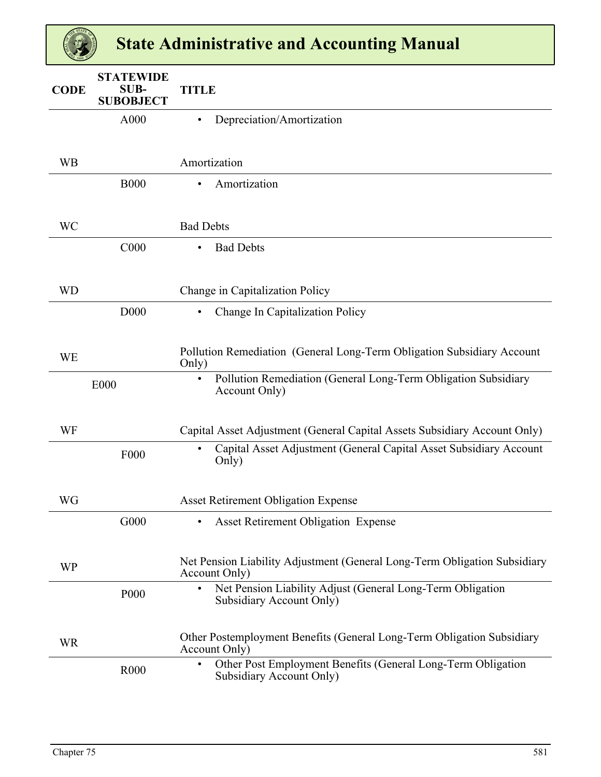| <b>CODE</b> | <b>STATEWIDE</b><br><b>SUB-</b><br><b>SUBOBJECT</b> | <b>TITLE</b>                                                                                          |
|-------------|-----------------------------------------------------|-------------------------------------------------------------------------------------------------------|
|             | A000                                                | Depreciation/Amortization                                                                             |
| <b>WB</b>   |                                                     | Amortization                                                                                          |
|             | <b>B000</b>                                         | Amortization<br>$\bullet$                                                                             |
| <b>WC</b>   |                                                     | <b>Bad Debts</b>                                                                                      |
|             | C000                                                | <b>Bad Debts</b><br>$\bullet$                                                                         |
| <b>WD</b>   |                                                     | Change in Capitalization Policy                                                                       |
|             | D000                                                | Change In Capitalization Policy<br>$\bullet$                                                          |
| <b>WE</b>   |                                                     | Pollution Remediation (General Long-Term Obligation Subsidiary Account<br>Only)                       |
|             | <b>E000</b>                                         | Pollution Remediation (General Long-Term Obligation Subsidiary<br>$\bullet$<br>Account Only)          |
| WF          |                                                     | Capital Asset Adjustment (General Capital Assets Subsidiary Account Only)                             |
|             | F000                                                | Capital Asset Adjustment (General Capital Asset Subsidiary Account<br>$\bullet$<br>Only)              |
| WG          |                                                     | <b>Asset Retirement Obligation Expense</b>                                                            |
|             | G000                                                | <b>Asset Retirement Obligation Expense</b><br>$\bullet$                                               |
| <b>WP</b>   |                                                     | Net Pension Liability Adjustment (General Long-Term Obligation Subsidiary<br>Account Only)            |
|             | P <sub>00</sub>                                     | Net Pension Liability Adjust (General Long-Term Obligation<br>$\bullet$<br>Subsidiary Account Only)   |
| <b>WR</b>   |                                                     | Other Postemployment Benefits (General Long-Term Obligation Subsidiary<br>Account Only)               |
|             | R <sub>000</sub>                                    | Other Post Employment Benefits (General Long-Term Obligation<br>$\bullet$<br>Subsidiary Account Only) |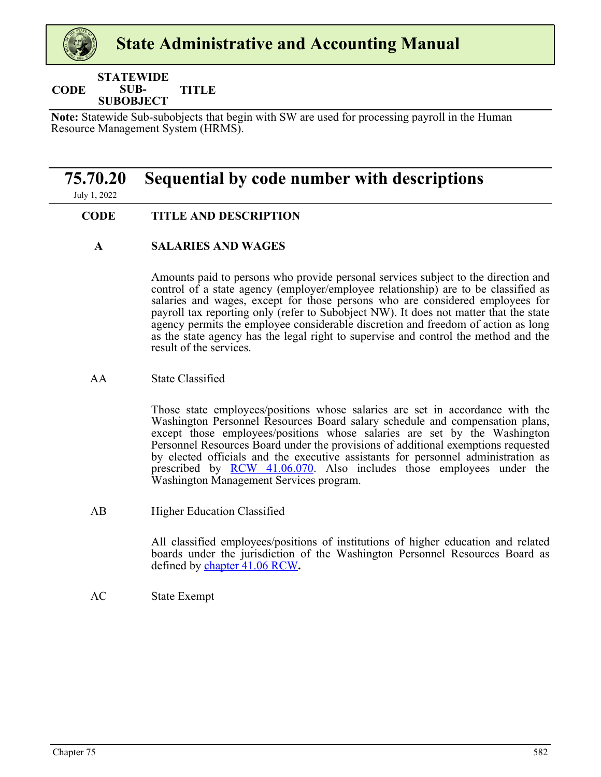#### <span id="page-42-0"></span>**CODE STATEWIDE SUB-SUBOBJECT TITLE**

**Note:** Statewide Sub-subobjects that begin with SW are used for processing payroll in the Human Resource Management System (HRMS).

### **75.70.20 Sequential by code number with descriptions**

July 1, 2022

#### **CODE TITLE AND DESCRIPTION**

#### **A SALARIES AND WAGES**

Amounts paid to persons who provide personal services subject to the direction and control of a state agency (employer/employee relationship) are to be classified as salaries and wages, except for those persons who are considered employees for payroll tax reporting only (refer to Subobject NW). It does not matter that the state agency permits the employee considerable discretion and freedom of action as long as the state agency has the legal right to supervise and control the method and the result of the services.

#### AA State Classified

Those state employees/positions whose salaries are set in accordance with the Washington Personnel Resources Board salary schedule and compensation plans, except those employees/positions whose salaries are set by the Washington Personnel Resources Board under the provisions of additional exemptions requested by elected officials and the executive assistants for personnel administration as prescribed by [RCW 41.06.07](https://apps.leg.wa.gov/RCW/default.aspx?cite=41.06.070)0. Also includes those employees under the Washington Management Services program.

AB Higher Education Classified

All classified employees/positions of institutions of higher education and related boards under the jurisdiction of the Washington Personnel Resources Board as defined by [chapter 41.06 RCW](https://apps.leg.wa.gov/RCW/default.aspx?cite=41.06)**.**

AC State Exempt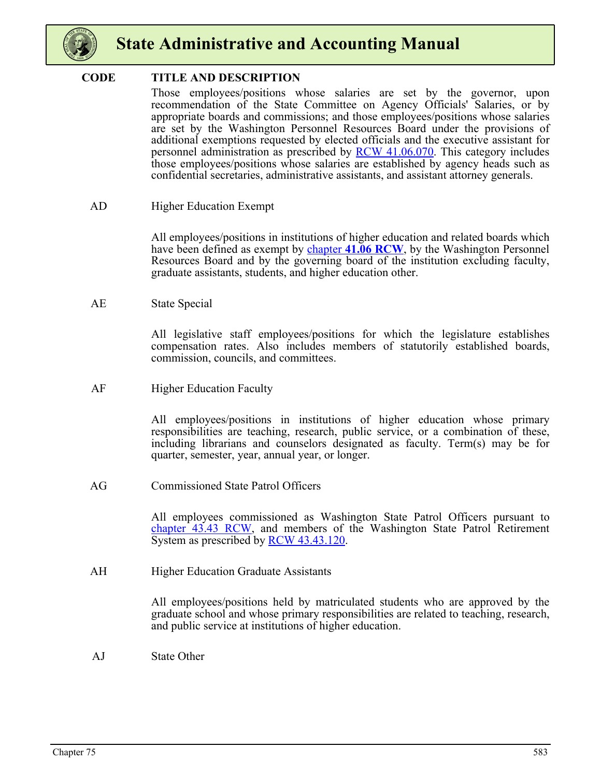

#### **CODE TITLE AND DESCRIPTION**

Those employees/positions whose salaries are set by the governor, upon recommendation of the State Committee on Agency Officials' Salaries, or by appropriate boards and commissions; and those employees/positions whose salaries are set by the Washington Personnel Resources Board under the provisions of additional exemptions requested by elected officials and the executive assistant for personnel administration as prescribed by [RCW 41.06.070](https://apps.leg.wa.gov/RCW/default.aspx?cite=41.06.070). This category includes those employees/positions whose salaries are established by agency heads such as confidential secretaries, administrative assistants, and assistant attorney generals.

#### AD Higher Education Exempt

All employees/positions in institutions of higher education and related boards which have been defined as exempt by **[chapter](https://apps.leg.wa.gov/RCW/default.aspx?cite=41.06) [41.06 RCW](https://apps.leg.wa.gov/RCW/default.aspx?cite=41.06)**, by the Washington Personnel Resources Board and by the governing board of the institution excluding faculty, graduate assistants, students, and higher education other.

#### AE State Special

All legislative staff employees/positions for which the legislature establishes compensation rates. Also includes members of statutorily established boards, commission, councils, and committees.

AF Higher Education Faculty

All employees/positions in institutions of higher education whose primary responsibilities are teaching, research, public service, or a combination of these, including librarians and counselors designated as faculty. Term(s) may be for quarter, semester, year, annual year, or longer.

AG Commissioned State Patrol Officers

All employees commissioned as Washington State Patrol Officers pursuant to [chapter 43.43 RCW](https://apps.leg.wa.gov/RCW/default.aspx?cite=43.43), and members of the Washington State Patrol Retirement System as prescribed by [RCW 43.43.120.](https://apps.leg.wa.gov/RCW/default.aspx?cite=43.43.120)

AH Higher Education Graduate Assistants

All employees/positions held by matriculated students who are approved by the graduate school and whose primary responsibilities are related to teaching, research, and public service at institutions of higher education.

AJ State Other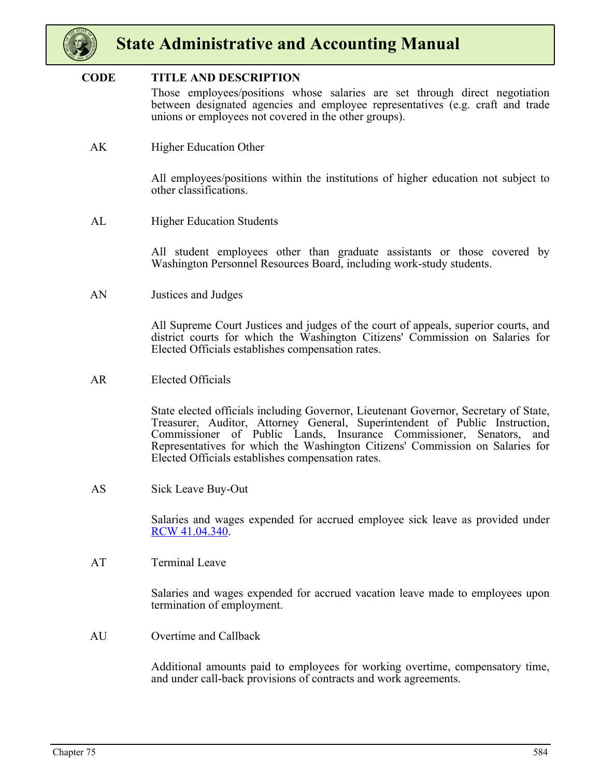

#### **CODE TITLE AND DESCRIPTION**

Those employees/positions whose salaries are set through direct negotiation between designated agencies and employee representatives (e.g. craft and trade unions or employees not covered in the other groups).

AK Higher Education Other

All employees/positions within the institutions of higher education not subject to other classifications.

AL Higher Education Students

All student employees other than graduate assistants or those covered by Washington Personnel Resources Board, including work-study students.

AN Justices and Judges

All Supreme Court Justices and judges of the court of appeals, superior courts, and district courts for which the Washington Citizens' Commission on Salaries for Elected Officials establishes compensation rates.

AR Elected Officials

State elected officials including Governor, Lieutenant Governor, Secretary of State, Treasurer, Auditor, Attorney General, Superintendent of Public Instruction, Commissioner of Public Lands, Insurance Commissioner, Senators, and Representatives for which the Washington Citizens' Commission on Salaries for Elected Officials establishes compensation rates.

AS Sick Leave Buy-Out

Salaries and wages expended for accrued employee sick leave as provided under [RCW 41.04.340](https://apps.leg.wa.gov/RCW/default.aspx?cite=41.04.340).

AT Terminal Leave

Salaries and wages expended for accrued vacation leave made to employees upon termination of employment.

AU Overtime and Callback

Additional amounts paid to employees for working overtime, compensatory time, and under call-back provisions of contracts and work agreements.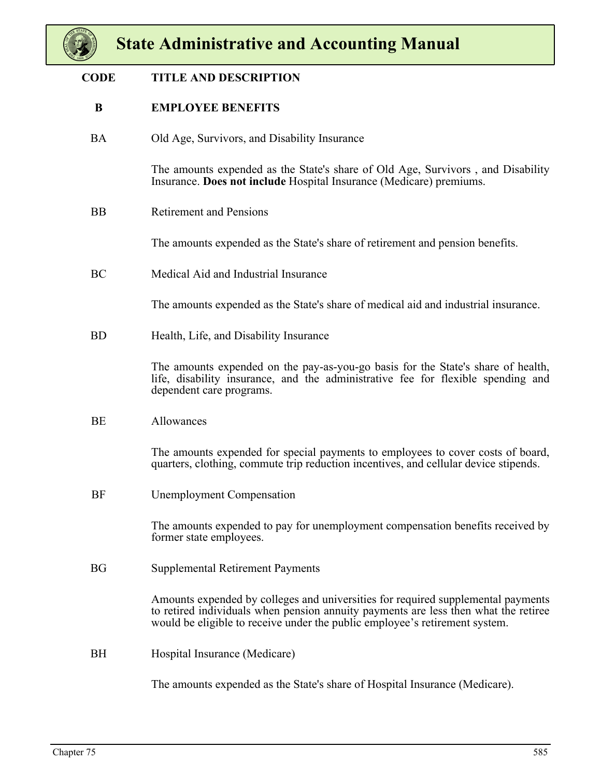

| <b>CODE</b> | <b>TITLE AND DESCRIPTION</b>                                                                                                                                                                                                                           |
|-------------|--------------------------------------------------------------------------------------------------------------------------------------------------------------------------------------------------------------------------------------------------------|
| B           | <b>EMPLOYEE BENEFITS</b>                                                                                                                                                                                                                               |
| <b>BA</b>   | Old Age, Survivors, and Disability Insurance                                                                                                                                                                                                           |
|             | The amounts expended as the State's share of Old Age, Survivors, and Disability<br>Insurance. Does not include Hospital Insurance (Medicare) premiums.                                                                                                 |
| <b>BB</b>   | <b>Retirement and Pensions</b>                                                                                                                                                                                                                         |
|             | The amounts expended as the State's share of retirement and pension benefits.                                                                                                                                                                          |
| BC          | Medical Aid and Industrial Insurance                                                                                                                                                                                                                   |
|             | The amounts expended as the State's share of medical aid and industrial insurance.                                                                                                                                                                     |
| <b>BD</b>   | Health, Life, and Disability Insurance                                                                                                                                                                                                                 |
|             | The amounts expended on the pay-as-you-go basis for the State's share of health,<br>life, disability insurance, and the administrative fee for flexible spending and<br>dependent care programs.                                                       |
| BE          | Allowances                                                                                                                                                                                                                                             |
|             | The amounts expended for special payments to employees to cover costs of board,<br>quarters, clothing, commute trip reduction incentives, and cellular device stipends.                                                                                |
| BF          | <b>Unemployment Compensation</b>                                                                                                                                                                                                                       |
|             | The amounts expended to pay for unemployment compensation benefits received by<br>former state employees.                                                                                                                                              |
| <b>BG</b>   | <b>Supplemental Retirement Payments</b>                                                                                                                                                                                                                |
|             | Amounts expended by colleges and universities for required supplemental payments<br>to retired individuals when pension annuity payments are less then what the retiree<br>would be eligible to receive under the public employee's retirement system. |
| <b>BH</b>   | Hospital Insurance (Medicare)                                                                                                                                                                                                                          |
|             | The amounts expended as the State's share of Hospital Insurance (Medicare).                                                                                                                                                                            |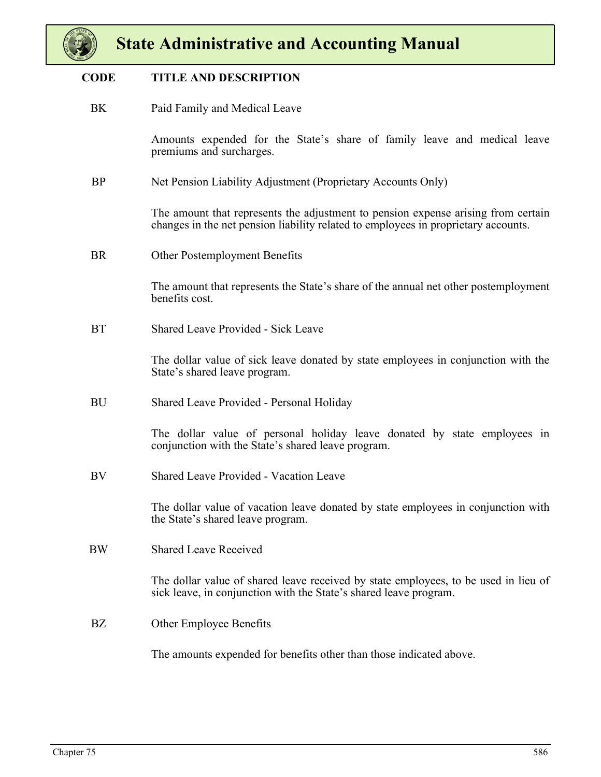

#### **CODE TITLE AND DESCRIPTION**

BK Paid Family and Medical Leave

Amounts expended for the State's share of family leave and medical leave premiums and surcharges.

BP Net Pension Liability Adjustment (Proprietary Accounts Only)

The amount that represents the adjustment to pension expense arising from certain changes in the net pension liability related to employees in proprietary accounts.

BR Other Postemployment Benefits

The amount that represents the State's share of the annual net other postemployment benefits cost.

BT Shared Leave Provided - Sick Leave

The dollar value of sick leave donated by state employees in conjunction with the State's shared leave program.

BU Shared Leave Provided - Personal Holiday

The dollar value of personal holiday leave donated by state employees in conjunction with the State's shared leave program.

BV Shared Leave Provided - Vacation Leave

The dollar value of vacation leave donated by state employees in conjunction with the State's shared leave program.

BW Shared Leave Received

The dollar value of shared leave received by state employees, to be used in lieu of sick leave, in conjunction with the State's shared leave program.

BZ Other Employee Benefits

The amounts expended for benefits other than those indicated above.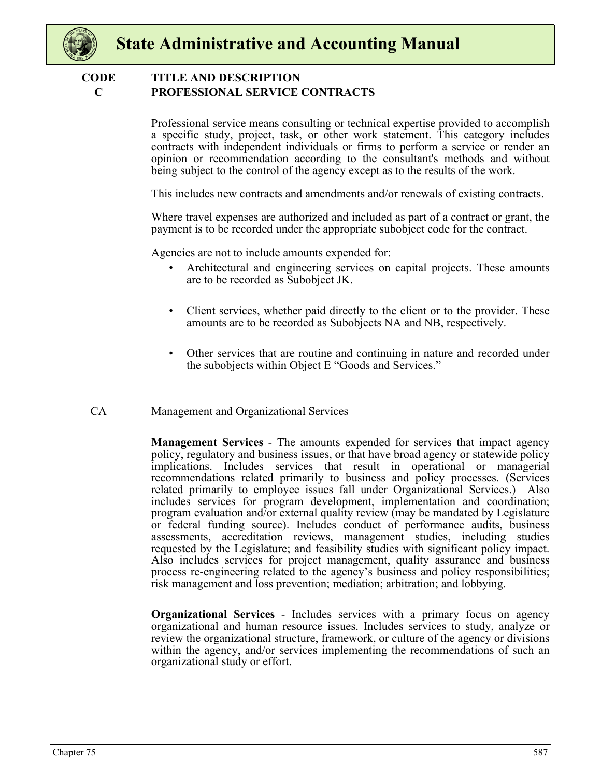

#### **C PROFESSIONAL SERVICE CONTRACTS CODE TITLE AND DESCRIPTION**

Professional service means consulting or technical expertise provided to accomplish a specific study, project, task, or other work statement. This category includes contracts with independent individuals or firms to perform a service or render an opinion or recommendation according to the consultant's methods and without being subject to the control of the agency except as to the results of the work.

This includes new contracts and amendments and/or renewals of existing contracts.

Where travel expenses are authorized and included as part of a contract or grant, the payment is to be recorded under the appropriate subobject code for the contract.

Agencies are not to include amounts expended for:

- Architectural and engineering services on capital projects. These amounts are to be recorded as Subobject JK.
- Client services, whether paid directly to the client or to the provider. These amounts are to be recorded as Subobjects NA and NB, respectively.
- Other services that are routine and continuing in nature and recorded under the subobjects within Object E "Goods and Services."

#### CA Management and Organizational Services

**Management Services** - The amounts expended for services that impact agency policy, regulatory and business issues, or that have broad agency or statewide policy implications. Includes services that result in operational or managerial recommendations related primarily to business and policy processes. (Services related primarily to employee issues fall under Organizational Services.) Also includes services for program development, implementation and coordination; program evaluation and/or external quality review (may be mandated by Legislature or federal funding source). Includes conduct of performance audits, business assessments, accreditation reviews, management studies, including studies requested by the Legislature; and feasibility studies with significant policy impact. Also includes services for project management, quality assurance and business process re-engineering related to the agency's business and policy responsibilities; risk management and loss prevention; mediation; arbitration; and lobbying.

**Organizational Services** - Includes services with a primary focus on agency organizational and human resource issues. Includes services to study, analyze or review the organizational structure, framework, or culture of the agency or divisions within the agency, and/or services implementing the recommendations of such an organizational study or effort.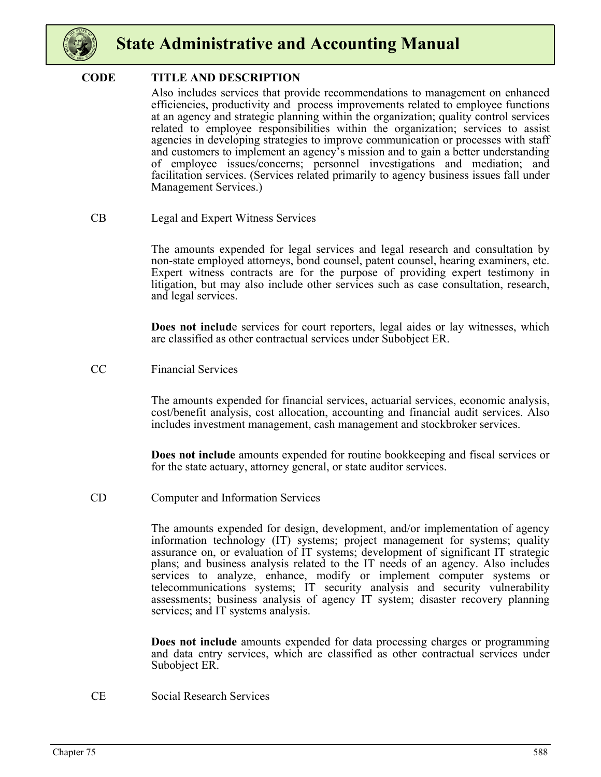

#### **CODE TITLE AND DESCRIPTION**

Also includes services that provide recommendations to management on enhanced efficiencies, productivity and process improvements related to employee functions at an agency and strategic planning within the organization; quality control services related to employee responsibilities within the organization; services to assist agencies in developing strategies to improve communication or processes with staff and customers to implement an agency's mission and to gain a better understanding of employee issues/concerns; personnel investigations and mediation; and facilitation services. (Services related primarily to agency business issues fall under Management Services.)

CB Legal and Expert Witness Services

The amounts expended for legal services and legal research and consultation by non-state employed attorneys, bond counsel, patent counsel, hearing examiners, etc. Expert witness contracts are for the purpose of providing expert testimony in litigation, but may also include other services such as case consultation, research, and legal services.

**Does not include** services for court reporters, legal aides or lay witnesses, which are classified as other contractual services under Subobject ER.

CC Financial Services

The amounts expended for financial services, actuarial services, economic analysis, cost/benefit analysis, cost allocation, accounting and financial audit services. Also includes investment management, cash management and stockbroker services.

**Does not include** amounts expended for routine bookkeeping and fiscal services or for the state actuary, attorney general, or state auditor services.

CD Computer and Information Services

The amounts expended for design, development, and/or implementation of agency information technology (IT) systems; project management for systems; quality assurance on, or evaluation of IT systems; development of significant IT strategic plans; and business analysis related to the IT needs of an agency. Also includes services to analyze, enhance, modify or implement computer systems or telecommunications systems; IT security analysis and security vulnerability assessments; business analysis of agency IT system; disaster recovery planning services; and IT systems analysis.

**Does not include** amounts expended for data processing charges or programming and data entry services, which are classified as other contractual services under Subobject ER.

CE Social Research Services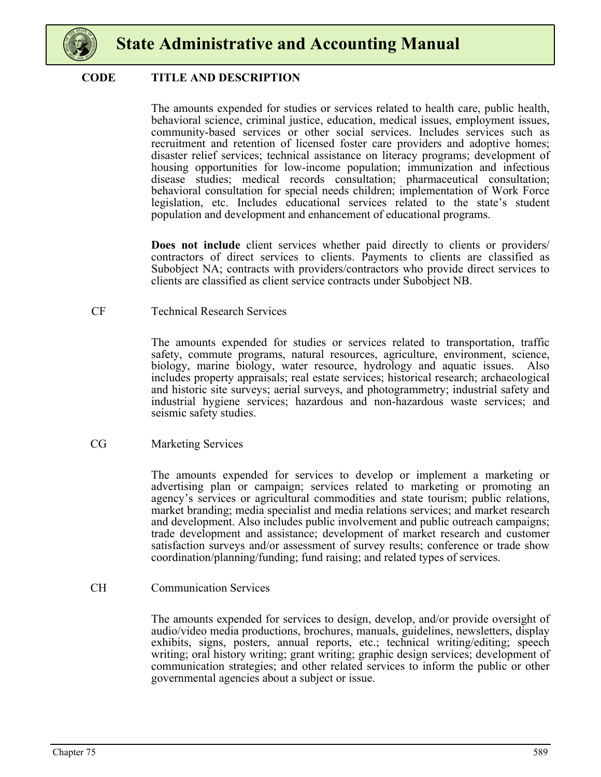

#### **CODE TITLE AND DESCRIPTION**

The amounts expended for studies or services related to health care, public health, behavioral science, criminal justice, education, medical issues, employment issues, community-based services or other social services. Includes services such as recruitment and retention of licensed foster care providers and adoptive homes; disaster relief services; technical assistance on literacy programs; development of housing opportunities for low-income population; immunization and infectious disease studies; medical records consultation; pharmaceutical consultation; behavioral consultation for special needs children; implementation of Work Force legislation, etc. Includes educational services related to the state's student population and development and enhancement of educational programs.

**Does not include** client services whether paid directly to clients or providers/ contractors of direct services to clients. Payments to clients are classified as Subobject NA; contracts with providers/contractors who provide direct services to clients are classified as client service contracts under Subobject NB.

#### CF Technical Research Services

The amounts expended for studies or services related to transportation, traffic safety, commute programs, natural resources, agriculture, environment, science, biology, marine biology, water resource, hydrology and aquatic issues. Also includes property appraisals; real estate services; historical research; archaeological and historic site surveys; aerial surveys, and photogrammetry; industrial safety and industrial hygiene services; hazardous and non-hazardous waste services; and seismic safety studies.

#### CG Marketing Services

The amounts expended for services to develop or implement a marketing or advertising plan or campaign; services related to marketing or promoting an agency's services or agricultural commodities and state tourism; public relations, market branding; media specialist and media relations services; and market research and development. Also includes public involvement and public outreach campaigns; trade development and assistance; development of market research and customer satisfaction surveys and/or assessment of survey results; conference or trade show coordination/planning/funding; fund raising; and related types of services.

#### CH Communication Services

The amounts expended for services to design, develop, and/or provide oversight of audio/video media productions, brochures, manuals, guidelines, newsletters, display exhibits, signs, posters, annual reports, etc.; technical writing/editing; speech writing; oral history writing; grant writing; graphic design services; development of communication strategies; and other related services to inform the public or other governmental agencies about a subject or issue.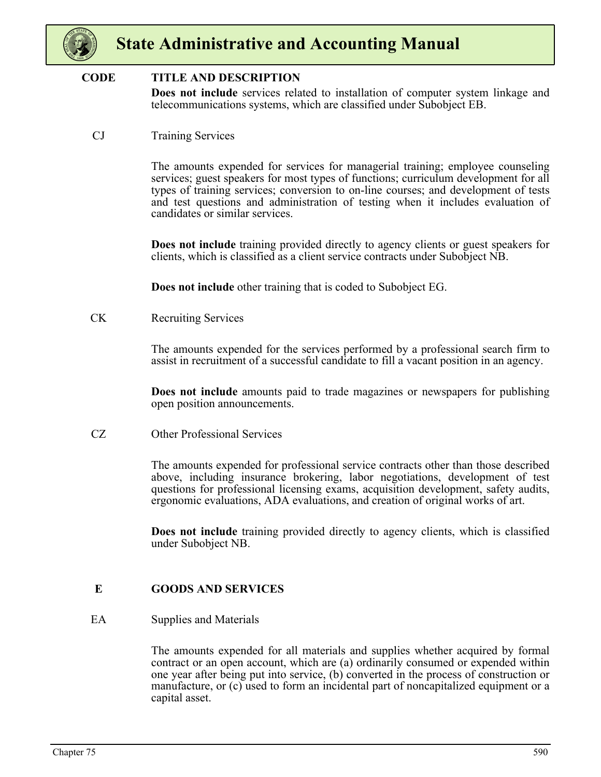

#### **CODE TITLE AND DESCRIPTION**

**Does not include** services related to installation of computer system linkage and telecommunications systems, which are classified under Subobject EB.

CJ Training Services

The amounts expended for services for managerial training; employee counseling services; guest speakers for most types of functions; curriculum development for all types of training services; conversion to on-line courses; and development of tests and test questions and administration of testing when it includes evaluation of candidates or similar services.

**Does not include** training provided directly to agency clients or guest speakers for clients, which is classified as a client service contracts under Subobject NB.

**Does not include** other training that is coded to Subobject EG.

CK Recruiting Services

The amounts expended for the services performed by a professional search firm to assist in recruitment of a successful candidate to fill a vacant position in an agency.

**Does not include** amounts paid to trade magazines or newspapers for publishing open position announcements.

CZ Other Professional Services

The amounts expended for professional service contracts other than those described above, including insurance brokering, labor negotiations, development of test questions for professional licensing exams, acquisition development, safety audits, ergonomic evaluations, ADA evaluations, and creation of original works of art.

**Does not include** training provided directly to agency clients, which is classified under Subobject NB.

#### **E GOODS AND SERVICES**

#### EA Supplies and Materials

The amounts expended for all materials and supplies whether acquired by formal contract or an open account, which are (a) ordinarily consumed or expended within one year after being put into service, (b) converted in the process of construction or manufacture, or (c) used to form an incidental part of noncapitalized equipment or a capital asset.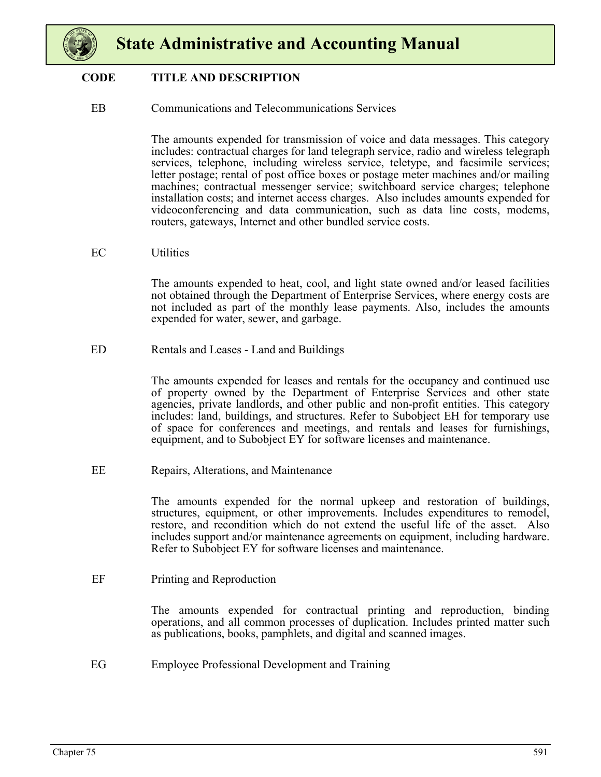

#### **CODE TITLE AND DESCRIPTION**

EB Communications and Telecommunications Services

The amounts expended for transmission of voice and data messages. This category includes: contractual charges for land telegraph service, radio and wireless telegraph services, telephone, including wireless service, teletype, and facsimile services; letter postage; rental of post office boxes or postage meter machines and/or mailing machines; contractual messenger service; switchboard service charges; telephone installation costs; and internet access charges. Also includes amounts expended for videoconferencing and data communication, such as data line costs, modems, routers, gateways, Internet and other bundled service costs.

EC Utilities

The amounts expended to heat, cool, and light state owned and/or leased facilities not obtained through the Department of Enterprise Services, where energy costs are not included as part of the monthly lease payments. Also, includes the amounts expended for water, sewer, and garbage.

ED Rentals and Leases - Land and Buildings

The amounts expended for leases and rentals for the occupancy and continued use of property owned by the Department of Enterprise Services and other state agencies, private landlords, and other public and non-profit entities. This category includes: land, buildings, and structures. Refer to Subobject EH for temporary use of space for conferences and meetings, and rentals and leases for furnishings, equipment, and to Subobject EY for software licenses and maintenance.

EE Repairs, Alterations, and Maintenance

The amounts expended for the normal upkeep and restoration of buildings, structures, equipment, or other improvements. Includes expenditures to remodel, restore, and recondition which do not extend the useful life of the asset. Also includes support and/or maintenance agreements on equipment, including hardware. Refer to Subobject EY for software licenses and maintenance.

EF Printing and Reproduction

The amounts expended for contractual printing and reproduction, binding operations, and all common processes of duplication. Includes printed matter such as publications, books, pamphlets, and digital and scanned images.

EG Employee Professional Development and Training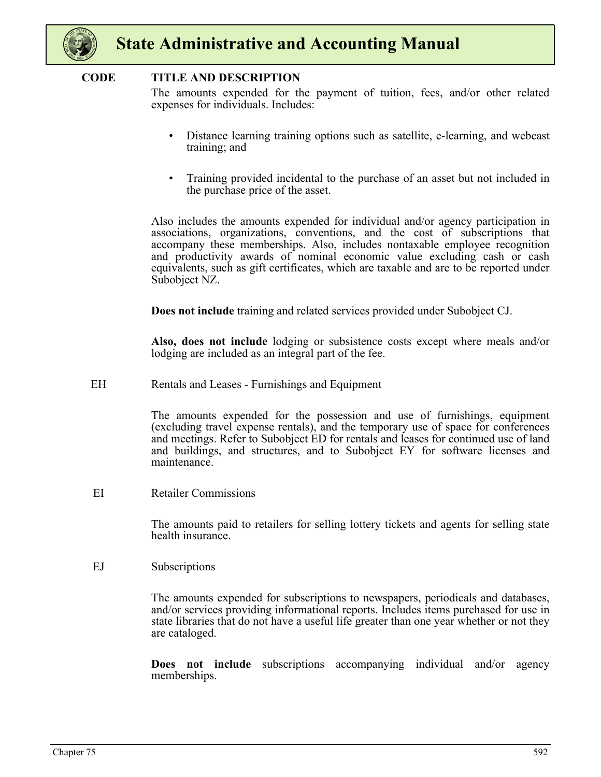

#### **CODE TITLE AND DESCRIPTION**

The amounts expended for the payment of tuition, fees, and/or other related expenses for individuals. Includes:

- Distance learning training options such as satellite, e-learning, and webcast training; and
- Training provided incidental to the purchase of an asset but not included in the purchase price of the asset.

Also includes the amounts expended for individual and/or agency participation in associations, organizations, conventions, and the cost of subscriptions that accompany these memberships. Also, includes nontaxable employee recognition and productivity awards of nominal economic value excluding cash or cash equivalents, such as gift certificates, which are taxable and are to be reported under Subobject NZ.

**Does not include** training and related services provided under Subobject CJ.

**Also, does not include** lodging or subsistence costs except where meals and/or lodging are included as an integral part of the fee.

EH Rentals and Leases - Furnishings and Equipment

The amounts expended for the possession and use of furnishings, equipment (excluding travel expense rentals), and the temporary use of space for conferences and meetings. Refer to Subobject ED for rentals and leases for continued use of land and buildings, and structures, and to Subobject EY for software licenses and maintenance.

EI Retailer Commissions

The amounts paid to retailers for selling lottery tickets and agents for selling state health insurance.

EJ Subscriptions

The amounts expended for subscriptions to newspapers, periodicals and databases, and/or services providing informational reports. Includes items purchased for use in state libraries that do not have a useful life greater than one year whether or not they are cataloged.

**Does not include** subscriptions accompanying individual and/or agency memberships.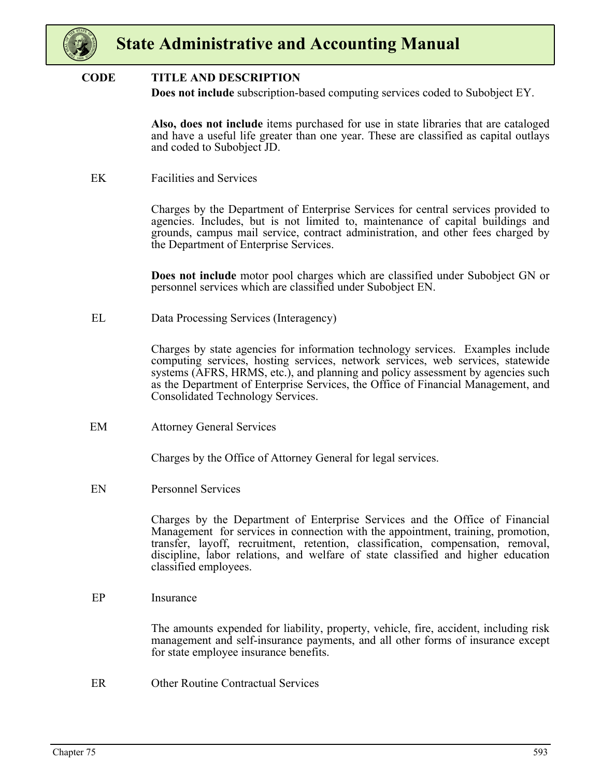

#### **CODE TITLE AND DESCRIPTION**

**Does not include** subscription-based computing services coded to Subobject EY.

**Also, does not include** items purchased for use in state libraries that are cataloged and have a useful life greater than one year. These are classified as capital outlays and coded to Subobject JD.

EK Facilities and Services

Charges by the Department of Enterprise Services for central services provided to agencies. Includes, but is not limited to, maintenance of capital buildings and grounds, campus mail service, contract administration, and other fees charged by the Department of Enterprise Services.

**Does not include** motor pool charges which are classified under Subobject GN or personnel services which are classified under Subobject EN.

EL Data Processing Services (Interagency)

Charges by state agencies for information technology services. Examples include computing services, hosting services, network services, web services, statewide systems (AFRS, HRMS, etc.), and planning and policy assessment by agencies such as the Department of Enterprise Services, the Office of Financial Management, and Consolidated Technology Services.

EM Attorney General Services

Charges by the Office of Attorney General for legal services.

EN Personnel Services

Charges by the Department of Enterprise Services and the Office of Financial Management for services in connection with the appointment, training, promotion, transfer, layoff, recruitment, retention, classification, compensation, removal, discipline, labor relations, and welfare of state classified and higher education classified employees.

EP Insurance

The amounts expended for liability, property, vehicle, fire, accident, including risk management and self-insurance payments, and all other forms of insurance except for state employee insurance benefits.

ER Other Routine Contractual Services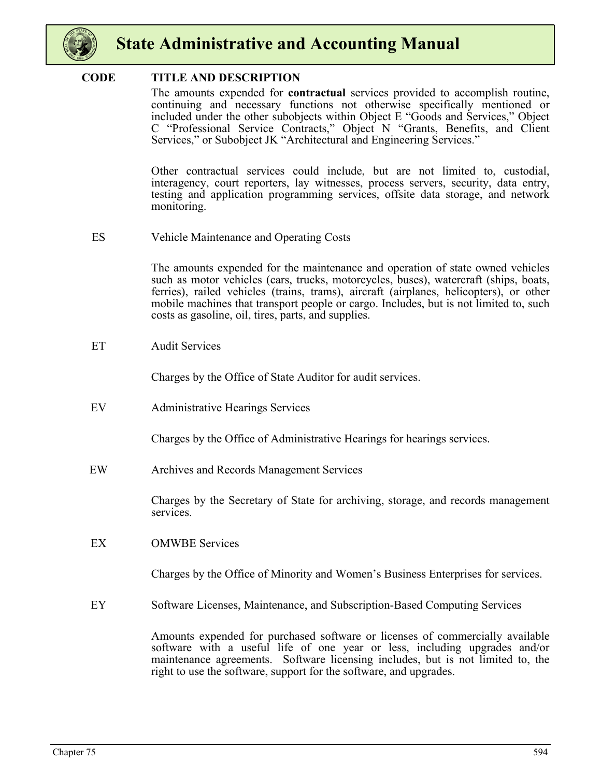

#### **CODE TITLE AND DESCRIPTION**

The amounts expended for **contractual** services provided to accomplish routine, continuing and necessary functions not otherwise specifically mentioned or included under the other subobjects within Object E "Goods and Services," Object C "Professional Service Contracts," Object N "Grants, Benefits, and Client Services," or Subobject JK "Architectural and Engineering Services."

Other contractual services could include, but are not limited to, custodial, interagency, court reporters, lay witnesses, process servers, security, data entry, testing and application programming services, offsite data storage, and network monitoring.

ES Vehicle Maintenance and Operating Costs

The amounts expended for the maintenance and operation of state owned vehicles such as motor vehicles (cars, trucks, motorcycles, buses), watercraft (ships, boats, ferries), railed vehicles (trains, trams), aircraft (airplanes, helicopters), or other mobile machines that transport people or cargo. Includes, but is not limited to, such costs as gasoline, oil, tires, parts, and supplies.

ET Audit Services

Charges by the Office of State Auditor for audit services.

EV Administrative Hearings Services

Charges by the Office of Administrative Hearings for hearings services.

EW Archives and Records Management Services

Charges by the Secretary of State for archiving, storage, and records management services.

EX OMWBE Services

Charges by the Office of Minority and Women's Business Enterprises for services.

EY Software Licenses, Maintenance, and Subscription-Based Computing Services

Amounts expended for purchased software or licenses of commercially available software with a useful life of one year or less, including upgrades and/or maintenance agreements. Software licensing includes, but is not limited to, the right to use the software, support for the software, and upgrades.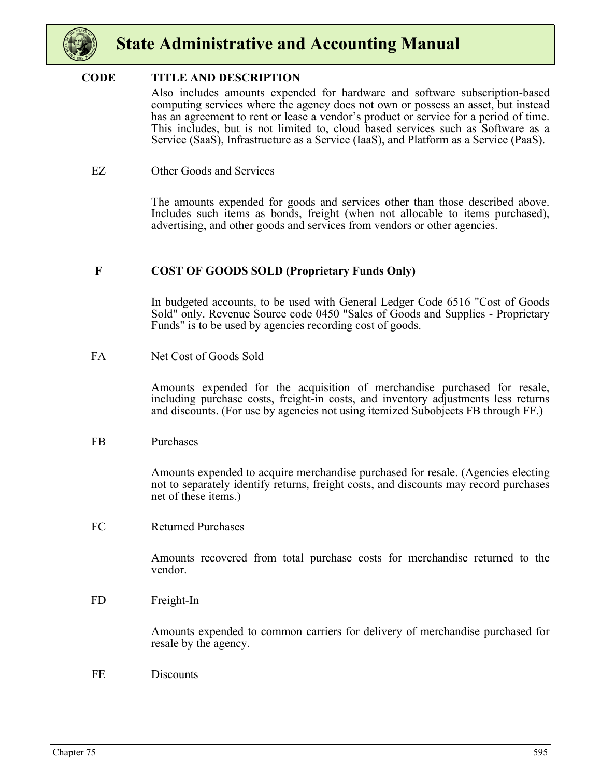

#### **CODE TITLE AND DESCRIPTION**

Also includes amounts expended for hardware and software subscription-based computing services where the agency does not own or possess an asset, but instead has an agreement to rent or lease a vendor's product or service for a period of time. This includes, but is not limited to, cloud based services such as Software as a Service (SaaS), Infrastructure as a Service (IaaS), and Platform as a Service (PaaS).

#### EZ Other Goods and Services

The amounts expended for goods and services other than those described above. Includes such items as bonds, freight (when not allocable to items purchased), advertising, and other goods and services from vendors or other agencies.

#### **F COST OF GOODS SOLD (Proprietary Funds Only)**

In budgeted accounts, to be used with General Ledger Code 6516 "Cost of Goods Sold" only. Revenue Source code 0450 "Sales of Goods and Supplies - Proprietary Funds" is to be used by agencies recording cost of goods.

FA Net Cost of Goods Sold

Amounts expended for the acquisition of merchandise purchased for resale, including purchase costs, freight-in costs, and inventory adjustments less returns and discounts. (For use by agencies not using itemized Subobjects FB through FF.)

#### FB Purchases

Amounts expended to acquire merchandise purchased for resale. (Agencies electing not to separately identify returns, freight costs, and discounts may record purchases net of these items.)

FC Returned Purchases

Amounts recovered from total purchase costs for merchandise returned to the vendor.

FD Freight-In

Amounts expended to common carriers for delivery of merchandise purchased for resale by the agency.

FE Discounts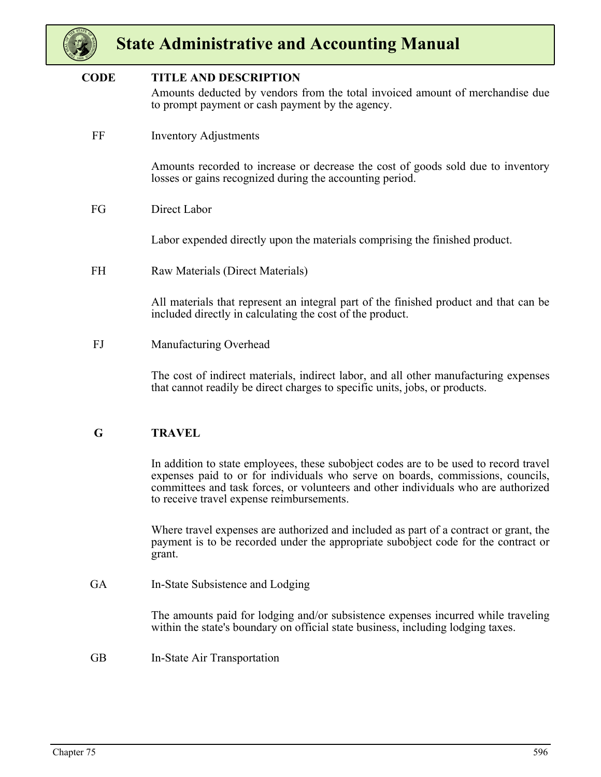

#### Amounts deducted by vendors from the total invoiced amount of merchandise due to prompt payment or cash payment by the agency. **CODE TITLE AND DESCRIPTION**

FF Inventory Adjustments

Amounts recorded to increase or decrease the cost of goods sold due to inventory losses or gains recognized during the accounting period.

FG Direct Labor

Labor expended directly upon the materials comprising the finished product.

FH Raw Materials (Direct Materials)

All materials that represent an integral part of the finished product and that can be included directly in calculating the cost of the product.

FJ Manufacturing Overhead

The cost of indirect materials, indirect labor, and all other manufacturing expenses that cannot readily be direct charges to specific units, jobs, or products.

#### **G TRAVEL**

In addition to state employees, these subobject codes are to be used to record travel expenses paid to or for individuals who serve on boards, commissions, councils, committees and task forces, or volunteers and other individuals who are authorized to receive travel expense reimbursements.

Where travel expenses are authorized and included as part of a contract or grant, the payment is to be recorded under the appropriate subobject code for the contract or grant.

GA In-State Subsistence and Lodging

The amounts paid for lodging and/or subsistence expenses incurred while traveling within the state's boundary on official state business, including lodging taxes.

GB In-State Air Transportation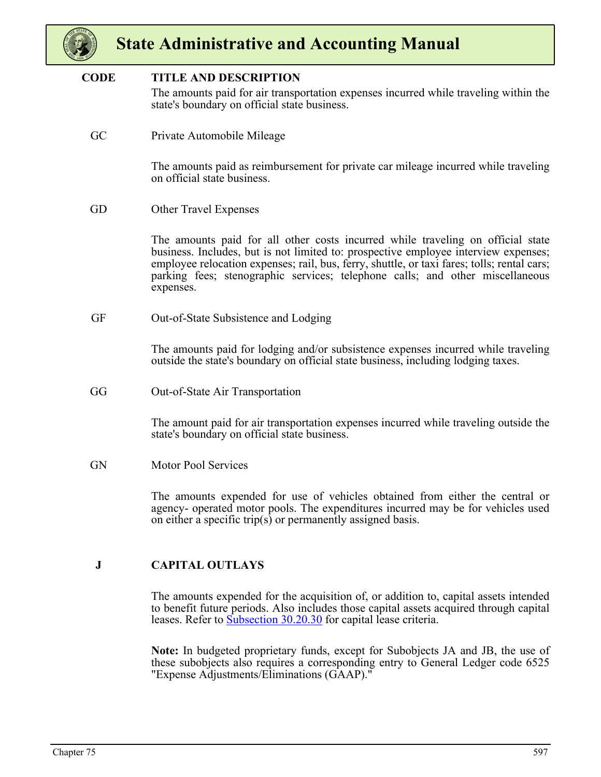

#### **CODE TITLE AND DESCRIPTION**

The amounts paid for air transportation expenses incurred while traveling within the state's boundary on official state business.

GC Private Automobile Mileage

The amounts paid as reimbursement for private car mileage incurred while traveling on official state business.

GD Other Travel Expenses

The amounts paid for all other costs incurred while traveling on official state business. Includes, but is not limited to: prospective employee interview expenses; employee relocation expenses; rail, bus, ferry, shuttle, or taxi fares; tolls; rental cars; parking fees; stenographic services; telephone calls; and other miscellaneous expenses.

GF Out-of-State Subsistence and Lodging

The amounts paid for lodging and/or subsistence expenses incurred while traveling outside the state's boundary on official state business, including lodging taxes.

GG Out-of-State Air Transportation

The amount paid for air transportation expenses incurred while traveling outside the state's boundary on official state business.

GN Motor Pool Services

The amounts expended for use of vehicles obtained from either the central or agency- operated motor pools. The expenditures incurred may be for vehicles used on either a specific trip(s) or permanently assigned basis.

#### **J CAPITAL OUTLAYS**

The amounts expended for the acquisition of, or addition to, capital assets intended to benefit future periods. Also includes those capital assets acquired through capital leases. Refer to **Subsection 30.20.30** for capital lease criteria.

**Note:** In budgeted proprietary funds, except for Subobjects JA and JB, the use of these subobjects also requires a corresponding entry to General Ledger code 6525 "Expense Adjustments/Eliminations (GAAP)."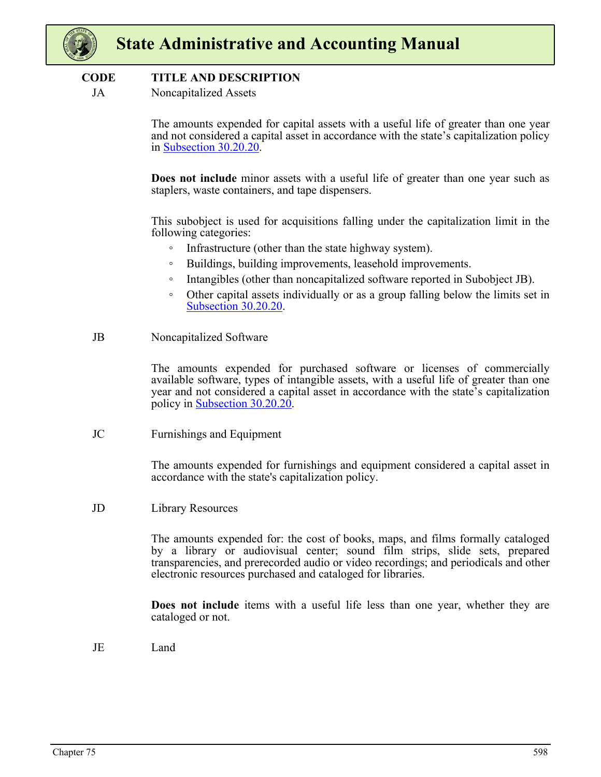

#### **CODE TITLE AND DESCRIPTION**

JA Noncapitalized Assets

The amounts expended for capital assets with a useful life of greater than one year and not considered a capital asset in accordance with the state's capitalization policy in Subsection 30.20.20.

**Does not include** minor assets with a useful life of greater than one year such as staplers, waste containers, and tape dispensers.

This subobject is used for acquisitions falling under the capitalization limit in the following categories:

- Infrastructure (other than the state highway system).
- Buildings, building improvements, leasehold improvements.
- Intangibles (other than noncapitalized software reported in Subobject JB).
- Other capital assets individually or as a group falling below the limits set in Subsection 30.20.20.
- JB Noncapitalized Software

The amounts expended for purchased software or licenses of commercially available software, types of intangible assets, with a useful life of greater than one year and not considered a capital asset in accordance with the state's capitalization policy in Subsection 30.20.20.

JC Furnishings and Equipment

The amounts expended for furnishings and equipment considered a capital asset in accordance with the state's capitalization policy.

JD Library Resources

The amounts expended for: the cost of books, maps, and films formally cataloged by a library or audiovisual center; sound film strips, slide sets, prepared transparencies, and prerecorded audio or video recordings; and periodicals and other electronic resources purchased and cataloged for libraries.

**Does not include** items with a useful life less than one year, whether they are cataloged or not.

JE Land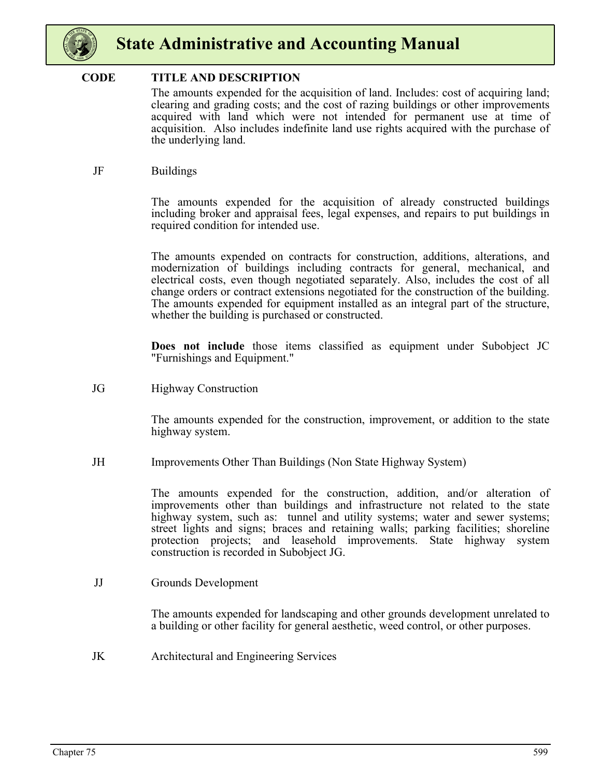

#### **CODE TITLE AND DESCRIPTION**

The amounts expended for the acquisition of land. Includes: cost of acquiring land; clearing and grading costs; and the cost of razing buildings or other improvements acquired with land which were not intended for permanent use at time of acquisition. Also includes indefinite land use rights acquired with the purchase of the underlying land.

JF Buildings

The amounts expended for the acquisition of already constructed buildings including broker and appraisal fees, legal expenses, and repairs to put buildings in required condition for intended use.

The amounts expended on contracts for construction, additions, alterations, and modernization of buildings including contracts for general, mechanical, and electrical costs, even though negotiated separately. Also, includes the cost of all change orders or contract extensions negotiated for the construction of the building. The amounts expended for equipment installed as an integral part of the structure, whether the building is purchased or constructed.

**Does not include** those items classified as equipment under Subobject JC "Furnishings and Equipment."

JG Highway Construction

The amounts expended for the construction, improvement, or addition to the state highway system.

JH Improvements Other Than Buildings (Non State Highway System)

The amounts expended for the construction, addition, and/or alteration of improvements other than buildings and infrastructure not related to the state highway system, such as: tunnel and utility systems; water and sewer systems; street lights and signs; braces and retaining walls; parking facilities; shoreline protection projects; and leasehold improvements. State highway system construction is recorded in Subobject JG.

JJ Grounds Development

The amounts expended for landscaping and other grounds development unrelated to a building or other facility for general aesthetic, weed control, or other purposes.

JK Architectural and Engineering Services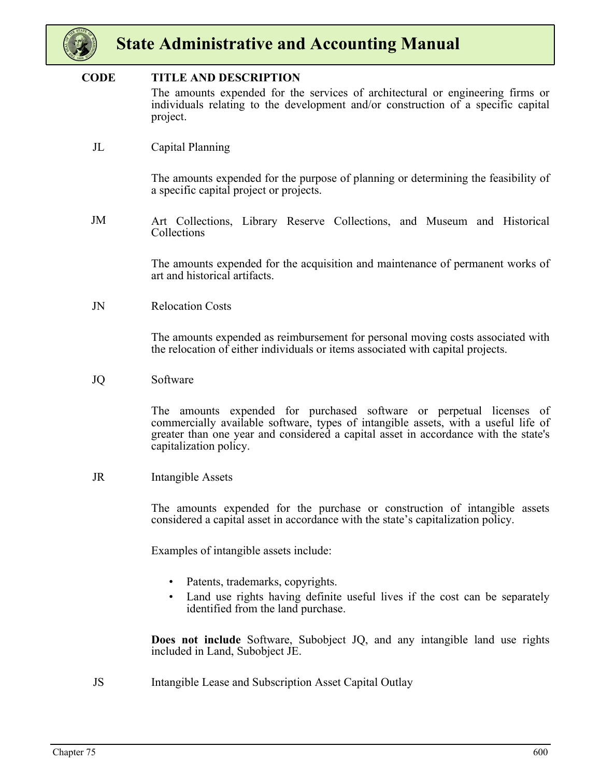

#### **CODE TITLE AND DESCRIPTION**

The amounts expended for the services of architectural or engineering firms or individuals relating to the development and/or construction of a specific capital project.

JL Capital Planning

The amounts expended for the purpose of planning or determining the feasibility of a specific capital project or projects.

JM Art Collections, Library Reserve Collections, and Museum and Historical Collections

> The amounts expended for the acquisition and maintenance of permanent works of art and historical artifacts.

JN Relocation Costs

The amounts expended as reimbursement for personal moving costs associated with the relocation of either individuals or items associated with capital projects.

JQ Software

The amounts expended for purchased software or perpetual licenses of commercially available software, types of intangible assets, with a useful life of greater than one year and considered a capital asset in accordance with the state's capitalization policy.

JR Intangible Assets

The amounts expended for the purchase or construction of intangible assets considered a capital asset in accordance with the state's capitalization policy.

Examples of intangible assets include:

- Patents, trademarks, copyrights.
- Land use rights having definite useful lives if the cost can be separately identified from the land purchase.

**Does not include** Software, Subobject JQ, and any intangible land use rights included in Land, Subobject JE.

JS Intangible Lease and Subscription Asset Capital Outlay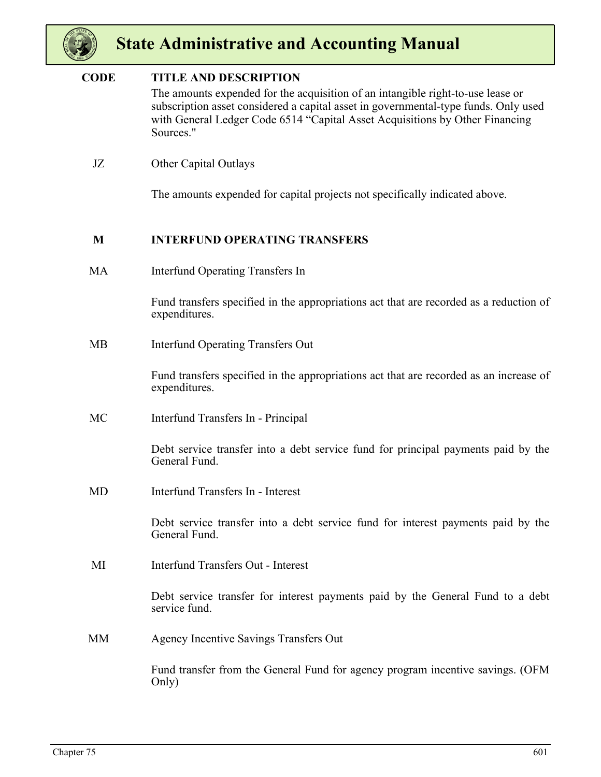

#### **CODE TITLE AND DESCRIPTION**

The amounts expended for the acquisition of an intangible right-to-use lease or subscription asset considered a capital asset in governmental-type funds. Only used with General Ledger Code 6514 "Capital Asset Acquisitions by Other Financing Sources."

JZ Other Capital Outlays

The amounts expended for capital projects not specifically indicated above.

#### **M INTERFUND OPERATING TRANSFERS**

MA Interfund Operating Transfers In

Fund transfers specified in the appropriations act that are recorded as a reduction of expenditures.

MB Interfund Operating Transfers Out

Fund transfers specified in the appropriations act that are recorded as an increase of expenditures.

MC Interfund Transfers In - Principal

Debt service transfer into a debt service fund for principal payments paid by the General Fund.

MD Interfund Transfers In - Interest

Debt service transfer into a debt service fund for interest payments paid by the General Fund.

MI Interfund Transfers Out - Interest

Debt service transfer for interest payments paid by the General Fund to a debt service fund.

MM Agency Incentive Savings Transfers Out

Fund transfer from the General Fund for agency program incentive savings. (OFM Only)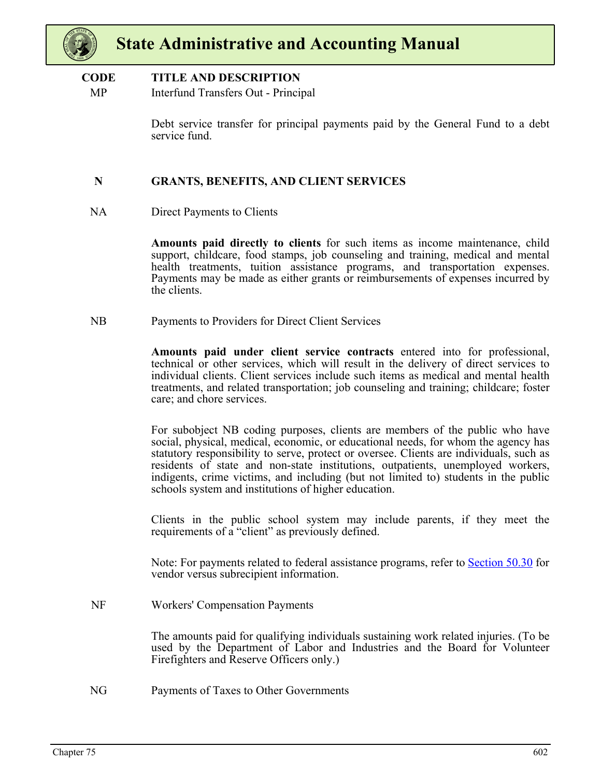

#### **CODE TITLE AND DESCRIPTION**

MP Interfund Transfers Out - Principal

Debt service transfer for principal payments paid by the General Fund to a debt service fund.

#### **N GRANTS, BENEFITS, AND CLIENT SERVICES**

NA Direct Payments to Clients

**Amounts paid directly to clients** for such items as income maintenance, child support, childcare, food stamps, job counseling and training, medical and mental health treatments, tuition assistance programs, and transportation expenses. Payments may be made as either grants or reimbursements of expenses incurred by the clients.

NB Payments to Providers for Direct Client Services

**Amounts paid under client service contracts** entered into for professional, technical or other services, which will result in the delivery of direct services to individual clients. Client services include such items as medical and mental health treatments, and related transportation; job counseling and training; childcare; foster care; and chore services.

For subobject NB coding purposes, clients are members of the public who have social, physical, medical, economic, or educational needs, for whom the agency has statutory responsibility to serve, protect or oversee. Clients are individuals, such as residents of state and non-state institutions, outpatients, unemployed workers, indigents, crime victims, and including (but not limited to) students in the public schools system and institutions of higher education.

Clients in the public school system may include parents, if they meet the requirements of a "client" as previously defined.

Note: For payments related to federal assistance programs, refer to Section 50.30 for vendor versus subrecipient information.

NF Workers' Compensation Payments

The amounts paid for qualifying individuals sustaining work related injuries. (To be used by the Department of Labor and Industries and the Board for Volunteer Firefighters and Reserve Officers only.)

NG Payments of Taxes to Other Governments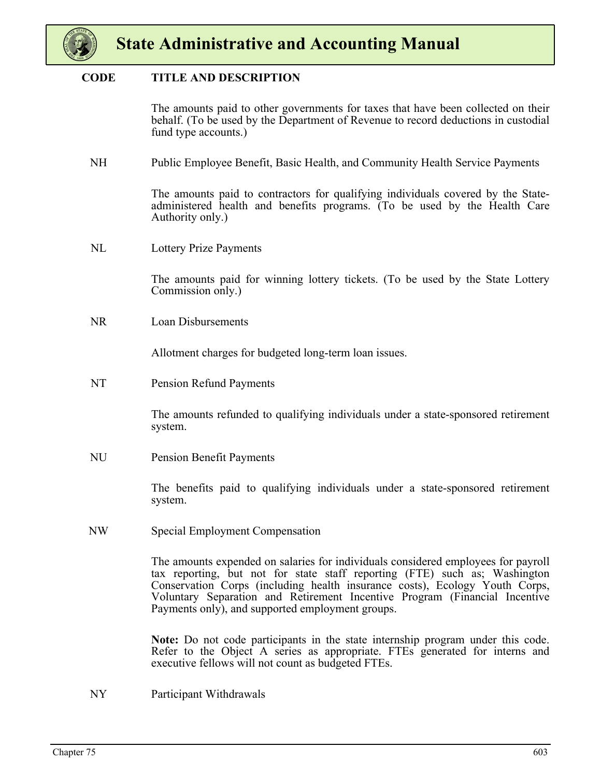

#### **CODE TITLE AND DESCRIPTION**

The amounts paid to other governments for taxes that have been collected on their behalf. (To be used by the Department of Revenue to record deductions in custodial fund type accounts.)

NH Public Employee Benefit, Basic Health, and Community Health Service Payments

The amounts paid to contractors for qualifying individuals covered by the Stateadministered health and benefits programs. (To be used by the Health Care Authority only.)

NL Lottery Prize Payments

The amounts paid for winning lottery tickets. (To be used by the State Lottery Commission only.)

NR Loan Disbursements

Allotment charges for budgeted long-term loan issues.

NT Pension Refund Payments

The amounts refunded to qualifying individuals under a state-sponsored retirement system.

NU Pension Benefit Payments

The benefits paid to qualifying individuals under a state-sponsored retirement system.

NW Special Employment Compensation

The amounts expended on salaries for individuals considered employees for payroll tax reporting, but not for state staff reporting (FTE) such as; Washington Conservation Corps (including health insurance costs), Ecology Youth Corps, Voluntary Separation and Retirement Incentive Program (Financial Incentive Payments only), and supported employment groups.

**Note:** Do not code participants in the state internship program under this code. Refer to the Object A series as appropriate. FTEs generated for interns and executive fellows will not count as budgeted FTEs.

NY Participant Withdrawals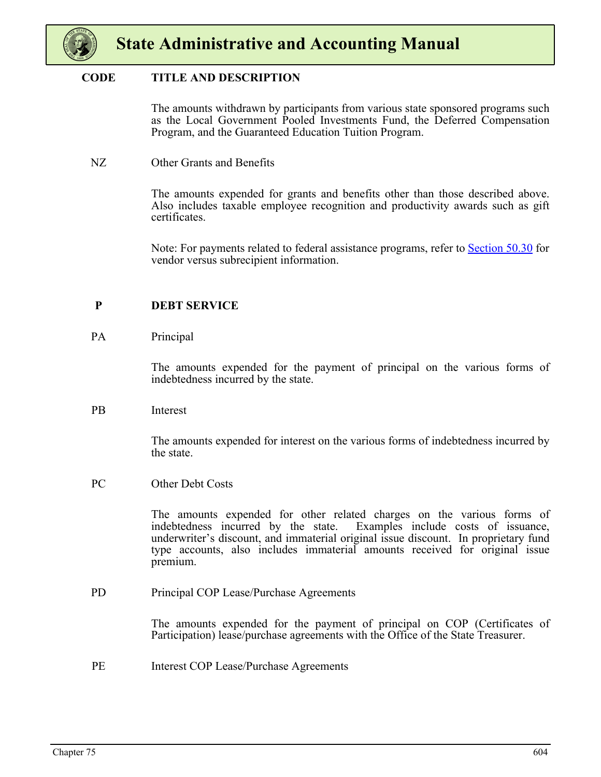

#### **CODE TITLE AND DESCRIPTION**

The amounts withdrawn by participants from various state sponsored programs such as the Local Government Pooled Investments Fund, the Deferred Compensation Program, and the Guaranteed Education Tuition Program.

NZ Other Grants and Benefits

The amounts expended for grants and benefits other than those described above. Also includes taxable employee recognition and productivity awards such as gift certificates.

Note: For payments related to federal assistance programs, refer to Section 50.30 for vendor versus subrecipient information.

#### **P DEBT SERVICE**

#### PA Principal

The amounts expended for the payment of principal on the various forms of indebtedness incurred by the state.

PB Interest

The amounts expended for interest on the various forms of indebtedness incurred by the state.

PC Other Debt Costs

The amounts expended for other related charges on the various forms of indebtedness incurred by the state. Examples include costs of issuance, underwriter's discount, and immaterial original issue discount. In proprietary fund type accounts, also includes immaterial amounts received for original issue premium.

PD Principal COP Lease/Purchase Agreements

The amounts expended for the payment of principal on COP (Certificates of Participation) lease/purchase agreements with the Office of the State Treasurer.

PE Interest COP Lease/Purchase Agreements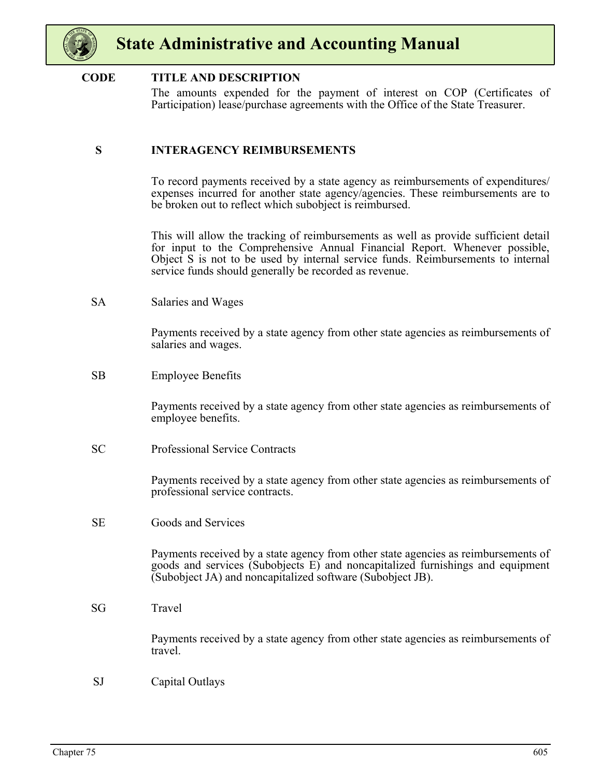

#### **CODE TITLE AND DESCRIPTION**

The amounts expended for the payment of interest on COP (Certificates of Participation) lease/purchase agreements with the Office of the State Treasurer.

#### **S INTERAGENCY REIMBURSEMENTS**

To record payments received by a state agency as reimbursements of expenditures/ expenses incurred for another state agency/agencies. These reimbursements are to be broken out to reflect which subobject is reimbursed.

This will allow the tracking of reimbursements as well as provide sufficient detail for input to the Comprehensive Annual Financial Report. Whenever possible, Object S is not to be used by internal service funds. Reimbursements to internal service funds should generally be recorded as revenue.

SA Salaries and Wages

Payments received by a state agency from other state agencies as reimbursements of salaries and wages.

SB Employee Benefits

Payments received by a state agency from other state agencies as reimbursements of employee benefits.

SC Professional Service Contracts

Payments received by a state agency from other state agencies as reimbursements of professional service contracts.

SE Goods and Services

Payments received by a state agency from other state agencies as reimbursements of goods and services (Subobjects E) and noncapitalized furnishings and equipment (Subobject JA) and noncapitalized software (Subobject JB).

SG Travel

Payments received by a state agency from other state agencies as reimbursements of travel.

SJ Capital Outlays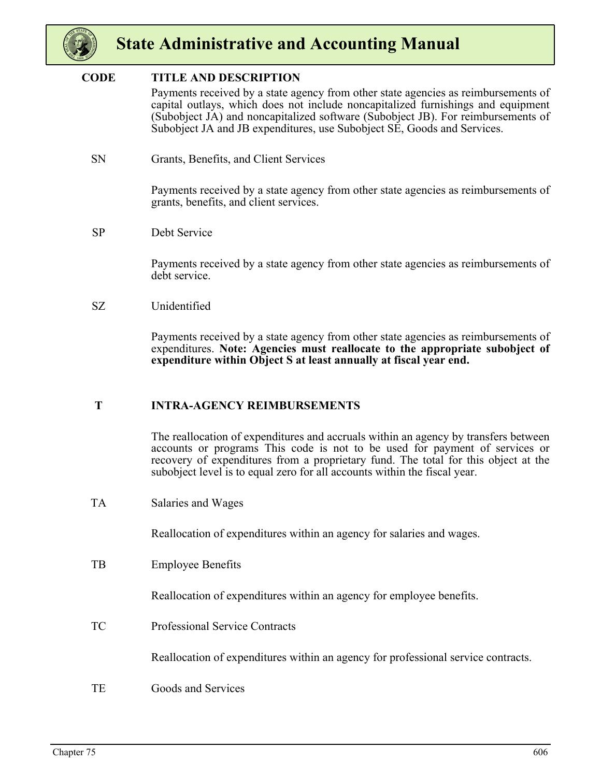

#### **CODE TITLE AND DESCRIPTION**

Payments received by a state agency from other state agencies as reimbursements of capital outlays, which does not include noncapitalized furnishings and equipment (Subobject JA) and noncapitalized software (Subobject JB). For reimbursements of Subobject JA and JB expenditures, use Subobject SE, Goods and Services.

SN Grants, Benefits, and Client Services

Payments received by a state agency from other state agencies as reimbursements of grants, benefits, and client services.

SP Debt Service

Payments received by a state agency from other state agencies as reimbursements of debt service.

#### SZ Unidentified

Payments received by a state agency from other state agencies as reimbursements of expenditures. **Note: Agencies must reallocate to the appropriate subobject of expenditure within Object S at least annually at fiscal year end.**

#### **T INTRA-AGENCY REIMBURSEMENTS**

The reallocation of expenditures and accruals within an agency by transfers between accounts or programs This code is not to be used for payment of services or recovery of expenditures from a proprietary fund. The total for this object at the subobject level is to equal zero for all accounts within the fiscal year.

TA Salaries and Wages

Reallocation of expenditures within an agency for salaries and wages.

TB Employee Benefits

Reallocation of expenditures within an agency for employee benefits.

TC Professional Service Contracts

Reallocation of expenditures within an agency for professional service contracts.

TE Goods and Services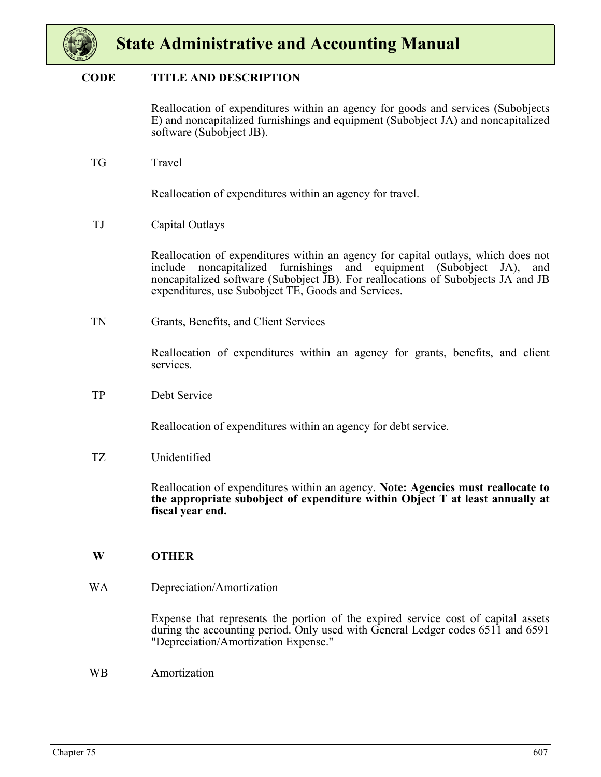

#### **CODE TITLE AND DESCRIPTION**

Reallocation of expenditures within an agency for goods and services (Subobjects E) and noncapitalized furnishings and equipment (Subobject JA) and noncapitalized software (Subobject JB).

TG Travel

Reallocation of expenditures within an agency for travel.

TJ Capital Outlays

Reallocation of expenditures within an agency for capital outlays, which does not include noncapitalized furnishings and equipment (Subobject JA), and noncapitalized software (Subobject JB). For reallocations of Subobjects JA and JB expenditures, use Subobject TE, Goods and Services.

TN Grants, Benefits, and Client Services

Reallocation of expenditures within an agency for grants, benefits, and client services.

TP Debt Service

Reallocation of expenditures within an agency for debt service.

TZ Unidentified

Reallocation of expenditures within an agency. **Note: Agencies must reallocate to the appropriate subobject of expenditure within Object T at least annually at fiscal year end.**

#### **W OTHER**

WA Depreciation/Amortization

Expense that represents the portion of the expired service cost of capital assets during the accounting period. Only used with General Ledger codes 6511 and 6591 "Depreciation/Amortization Expense."

WB Amortization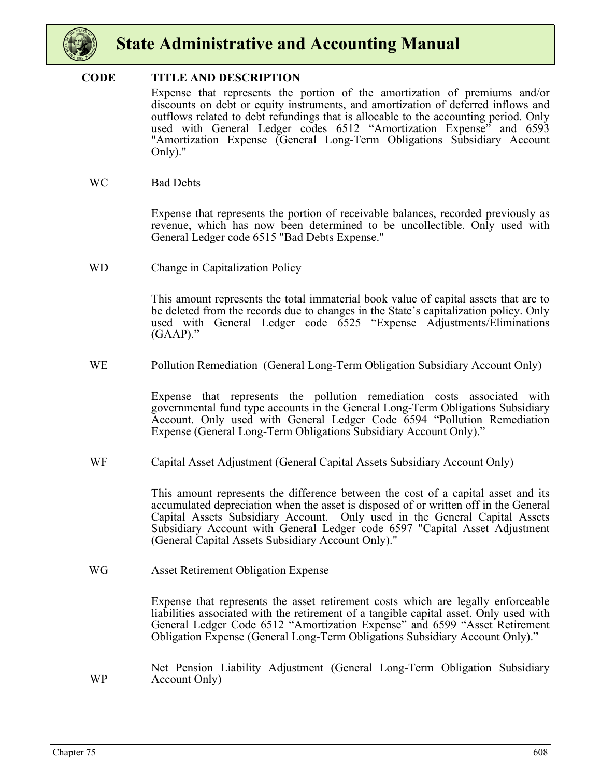

#### **CODE TITLE AND DESCRIPTION**

Expense that represents the portion of the amortization of premiums and/or discounts on debt or equity instruments, and amortization of deferred inflows and outflows related to debt refundings that is allocable to the accounting period. Only used with General Ledger codes 6512 "Amortization Expense" and 6593 "Amortization Expense (General Long-Term Obligations Subsidiary Account Only)."

WC Bad Debts

Expense that represents the portion of receivable balances, recorded previously as revenue, which has now been determined to be uncollectible. Only used with General Ledger code 6515 "Bad Debts Expense."

WD Change in Capitalization Policy

This amount represents the total immaterial book value of capital assets that are to be deleted from the records due to changes in the State's capitalization policy. Only used with General Ledger code 6525 "Expense Adjustments/Eliminations  $(GAAP)$ ."

WE Pollution Remediation (General Long-Term Obligation Subsidiary Account Only)

Expense that represents the pollution remediation costs associated with governmental fund type accounts in the General Long-Term Obligations Subsidiary Account. Only used with General Ledger Code 6594 "Pollution Remediation Expense (General Long-Term Obligations Subsidiary Account Only)."

WF Capital Asset Adjustment (General Capital Assets Subsidiary Account Only)

This amount represents the difference between the cost of a capital asset and its accumulated depreciation when the asset is disposed of or written off in the General Capital Assets Subsidiary Account. Only used in the General Capital Assets Subsidiary Account with General Ledger code 6597 "Capital Asset Adjustment (General Capital Assets Subsidiary Account Only)."

WG Asset Retirement Obligation Expense

Expense that represents the asset retirement costs which are legally enforceable liabilities associated with the retirement of a tangible capital asset. Only used with General Ledger Code 6512 "Amortization Expense" and 6599 "Asset Retirement Obligation Expense (General Long-Term Obligations Subsidiary Account Only)."

WP Net Pension Liability Adjustment (General Long-Term Obligation Subsidiary Account Only)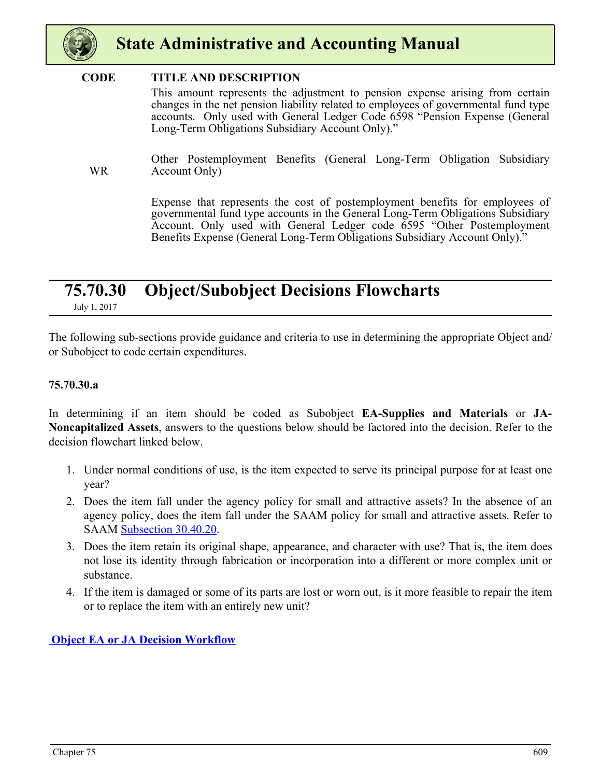<span id="page-69-0"></span>

#### **CODE TITLE AND DESCRIPTION**

This amount represents the adjustment to pension expense arising from certain changes in the net pension liability related to employees of governmental fund type accounts. Only used with General Ledger Code 6598 "Pension Expense (General Long-Term Obligations Subsidiary Account Only)."

WR Other Postemployment Benefits (General Long-Term Obligation Subsidiary Account Only)

> Expense that represents the cost of postemployment benefits for employees of governmental fund type accounts in the General Long-Term Obligations Subsidiary Account. Only used with General Ledger code 6595 "Other Postemployment Benefits Expense (General Long-Term Obligations Subsidiary Account Only)."

### **75.70.30 Object/Subobject Decisions Flowcharts**

July 1, 2017

The following sub-sections provide guidance and criteria to use in determining the appropriate Object and/ or Subobject to code certain expenditures.

#### **75.70.30.a**

In determining if an item should be coded as Subobject **EA-Supplies and Materials** or **JA-Noncapitalized Assets**, answers to the questions below should be factored into the decision. Refer to the decision flowchart linked below.

- 1. Under normal conditions of use, is the item expected to serve its principal purpose for at least one year?
- 2. Does the item fall under the agency policy for small and attractive assets? In the absence of an agency policy, does the item fall under the SAAM policy for small and attractive assets. Refer to SAAM Subsection 30.40.20.
- 3. Does the item retain its original shape, appearance, and character with use? That is, the item does not lose its identity through fabrication or incorporation into a different or more complex unit or substance.
- 4. If the item is damaged or some of its parts are lost or worn out, is it more feasible to repair the item or to replace the item with an entirely new unit?

 **[Object EA or JA Decision Workflow](https://ofm.wa.gov/sites/default/files/public/legacy/policy/E_and_J.pdf)**